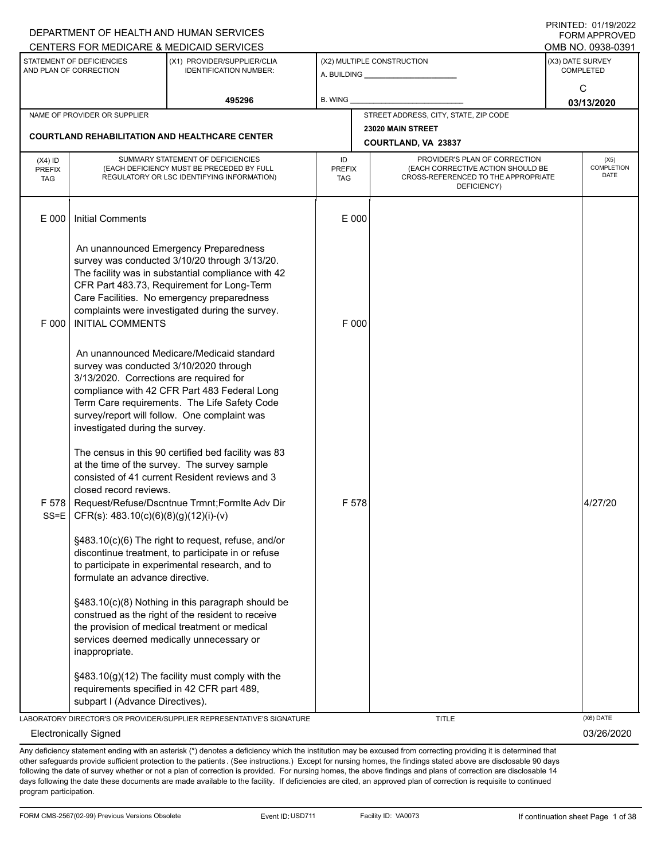|                                        |                                                                                                                      | DEPARTMENT OF HEALTH AND HUMAN SERVICES<br>CENTERS FOR MEDICARE & MEDICAID SERVICES                                                                                                                                                                                                         |                                   |                                                                                                                          | <b>FORM APPROVED</b><br>OMB NO. 0938-0391 |
|----------------------------------------|----------------------------------------------------------------------------------------------------------------------|---------------------------------------------------------------------------------------------------------------------------------------------------------------------------------------------------------------------------------------------------------------------------------------------|-----------------------------------|--------------------------------------------------------------------------------------------------------------------------|-------------------------------------------|
|                                        | STATEMENT OF DEFICIENCIES<br>AND PLAN OF CORRECTION                                                                  | (X1) PROVIDER/SUPPLIER/CLIA<br><b>IDENTIFICATION NUMBER:</b>                                                                                                                                                                                                                                |                                   | (X2) MULTIPLE CONSTRUCTION                                                                                               | (X3) DATE SURVEY<br><b>COMPLETED</b>      |
|                                        |                                                                                                                      | 495296                                                                                                                                                                                                                                                                                      | B. WING                           |                                                                                                                          | C<br>03/13/2020                           |
|                                        | NAME OF PROVIDER OR SUPPLIER                                                                                         | <b>COURTLAND REHABILITATION AND HEALTHCARE CENTER</b>                                                                                                                                                                                                                                       |                                   | STREET ADDRESS, CITY, STATE, ZIP CODE<br>23020 MAIN STREET<br>COURTLAND, VA 23837                                        |                                           |
| (X4) ID<br><b>PREFIX</b><br><b>TAG</b> |                                                                                                                      | SUMMARY STATEMENT OF DEFICIENCIES<br>(EACH DEFICIENCY MUST BE PRECEDED BY FULL<br>REGULATORY OR LSC IDENTIFYING INFORMATION)                                                                                                                                                                | ID<br><b>PREFIX</b><br><b>TAG</b> | PROVIDER'S PLAN OF CORRECTION<br>(EACH CORRECTIVE ACTION SHOULD BE<br>CROSS-REFERENCED TO THE APPROPRIATE<br>DEFICIENCY) | (X5)<br><b>COMPLETION</b><br><b>DATE</b>  |
| E 000                                  | <b>Initial Comments</b>                                                                                              |                                                                                                                                                                                                                                                                                             | E 000                             |                                                                                                                          |                                           |
| F 000                                  | <b>INITIAL COMMENTS</b>                                                                                              | An unannounced Emergency Preparedness<br>survey was conducted 3/10/20 through 3/13/20.<br>The facility was in substantial compliance with 42<br>CFR Part 483.73, Requirement for Long-Term<br>Care Facilities. No emergency preparedness<br>complaints were investigated during the survey. | F 000                             |                                                                                                                          |                                           |
|                                        | survey was conducted 3/10/2020 through<br>3/13/2020. Corrections are required for<br>investigated during the survey. | An unannounced Medicare/Medicaid standard<br>compliance with 42 CFR Part 483 Federal Long<br>Term Care requirements. The Life Safety Code<br>survey/report will follow. One complaint was                                                                                                   |                                   |                                                                                                                          |                                           |
| $SS=E$                                 | closed record reviews.<br>CFR(s): 483.10(c)(6)(8)(g)(12)(i)-(v)                                                      | The census in this 90 certified bed facility was 83<br>at the time of the survey. The survey sample<br>consisted of 41 current Resident reviews and 3<br>F 578   Request/Refuse/Dscntnue Trmnt; Form Ite Adv Dir                                                                            | F 578                             |                                                                                                                          | 4/27/20                                   |
|                                        | formulate an advance directive.                                                                                      | §483.10(c)(6) The right to request, refuse, and/or<br>discontinue treatment, to participate in or refuse<br>to participate in experimental research, and to                                                                                                                                 |                                   |                                                                                                                          |                                           |
|                                        | inappropriate.                                                                                                       | §483.10(c)(8) Nothing in this paragraph should be<br>construed as the right of the resident to receive<br>the provision of medical treatment or medical<br>services deemed medically unnecessary or                                                                                         |                                   |                                                                                                                          |                                           |
|                                        | requirements specified in 42 CFR part 489,<br>subpart I (Advance Directives).                                        | $§483.10(g)(12)$ The facility must comply with the                                                                                                                                                                                                                                          |                                   |                                                                                                                          |                                           |
|                                        |                                                                                                                      | LABORATORY DIRECTOR'S OR PROVIDER/SUPPLIER REPRESENTATIVE'S SIGNATURE                                                                                                                                                                                                                       |                                   | <b>TITLE</b>                                                                                                             | (X6) DATE                                 |
|                                        | <b>Electronically Signed</b>                                                                                         |                                                                                                                                                                                                                                                                                             |                                   |                                                                                                                          | 03/26/2020                                |

Any deficiency statement ending with an asterisk (\*) denotes a deficiency which the institution may be excused from correcting providing it is determined that other safeguards provide sufficient protection to the patients . (See instructions.) Except for nursing homes, the findings stated above are disclosable 90 days following the date of survey whether or not a plan of correction is provided. For nursing homes, the above findings and plans of correction are disclosable 14 days following the date these documents are made available to the facility. If deficiencies are cited, an approved plan of correction is requisite to continued program participation.

DEPARTMENT OF HEALTH AND HUMAN SERVICES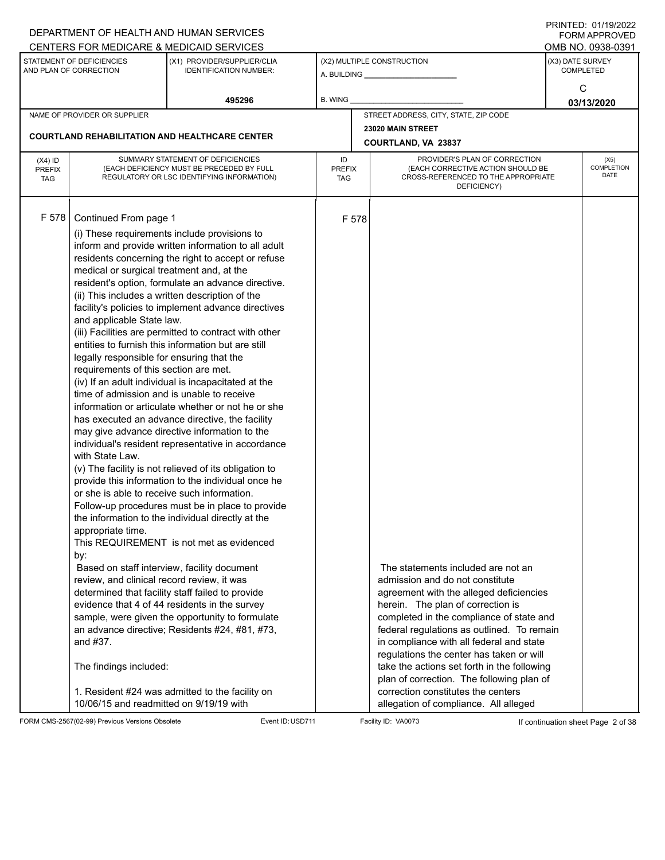|                                                                                                                                                                                                                                                                                                                                                                                                                                                                                                                                                                                                                                                                                                                                                                                                                                                                                                                                                                                                                                                                                                                                |                                                                                                                                                                                                                                                                         |                                                                                                                                                                                                                                                                                                                                                                                                                                                                                                                                                                                                                                                                                                                                                                                              |                                   |                                                                                                                                                                                                                                                                                                                                                                                                                                                                                                                             | FININILD. VIII MZUZZ<br><b>FORM APPROVED</b><br>OMB NO. 0938-0391 |
|--------------------------------------------------------------------------------------------------------------------------------------------------------------------------------------------------------------------------------------------------------------------------------------------------------------------------------------------------------------------------------------------------------------------------------------------------------------------------------------------------------------------------------------------------------------------------------------------------------------------------------------------------------------------------------------------------------------------------------------------------------------------------------------------------------------------------------------------------------------------------------------------------------------------------------------------------------------------------------------------------------------------------------------------------------------------------------------------------------------------------------|-------------------------------------------------------------------------------------------------------------------------------------------------------------------------------------------------------------------------------------------------------------------------|----------------------------------------------------------------------------------------------------------------------------------------------------------------------------------------------------------------------------------------------------------------------------------------------------------------------------------------------------------------------------------------------------------------------------------------------------------------------------------------------------------------------------------------------------------------------------------------------------------------------------------------------------------------------------------------------------------------------------------------------------------------------------------------------|-----------------------------------|-----------------------------------------------------------------------------------------------------------------------------------------------------------------------------------------------------------------------------------------------------------------------------------------------------------------------------------------------------------------------------------------------------------------------------------------------------------------------------------------------------------------------------|-------------------------------------------------------------------|
| DEPARTMENT OF HEALTH AND HUMAN SERVICES<br>CENTERS FOR MEDICARE & MEDICAID SERVICES<br>STATEMENT OF DEFICIENCIES<br>AND PLAN OF CORRECTION<br>495296<br>NAME OF PROVIDER OR SUPPLIER<br><b>COURTLAND REHABILITATION AND HEALTHCARE CENTER</b><br>SUMMARY STATEMENT OF DEFICIENCIES<br>$(X4)$ ID<br>(EACH DEFICIENCY MUST BE PRECEDED BY FULL<br><b>PREFIX</b><br>REGULATORY OR LSC IDENTIFYING INFORMATION)<br><b>TAG</b><br>F 578<br>Continued From page 1<br>(i) These requirements include provisions to<br>inform and provide written information to all adult<br>residents concerning the right to accept or refuse<br>medical or surgical treatment and, at the<br>resident's option, formulate an advance directive.<br>(ii) This includes a written description of the<br>facility's policies to implement advance directives<br>and applicable State law.<br>(iii) Facilities are permitted to contract with other<br>entities to furnish this information but are still<br>legally responsible for ensuring that the<br>requirements of this section are met.<br>(iv) If an adult individual is incapacitated at the |                                                                                                                                                                                                                                                                         | (X1) PROVIDER/SUPPLIER/CLIA<br><b>IDENTIFICATION NUMBER:</b>                                                                                                                                                                                                                                                                                                                                                                                                                                                                                                                                                                                                                                                                                                                                 |                                   | (X2) MULTIPLE CONSTRUCTION                                                                                                                                                                                                                                                                                                                                                                                                                                                                                                  | (X3) DATE SURVEY<br><b>COMPLETED</b>                              |
|                                                                                                                                                                                                                                                                                                                                                                                                                                                                                                                                                                                                                                                                                                                                                                                                                                                                                                                                                                                                                                                                                                                                |                                                                                                                                                                                                                                                                         |                                                                                                                                                                                                                                                                                                                                                                                                                                                                                                                                                                                                                                                                                                                                                                                              | <b>B. WING</b>                    |                                                                                                                                                                                                                                                                                                                                                                                                                                                                                                                             | C<br>03/13/2020                                                   |
|                                                                                                                                                                                                                                                                                                                                                                                                                                                                                                                                                                                                                                                                                                                                                                                                                                                                                                                                                                                                                                                                                                                                |                                                                                                                                                                                                                                                                         |                                                                                                                                                                                                                                                                                                                                                                                                                                                                                                                                                                                                                                                                                                                                                                                              |                                   | STREET ADDRESS, CITY, STATE, ZIP CODE                                                                                                                                                                                                                                                                                                                                                                                                                                                                                       |                                                                   |
|                                                                                                                                                                                                                                                                                                                                                                                                                                                                                                                                                                                                                                                                                                                                                                                                                                                                                                                                                                                                                                                                                                                                |                                                                                                                                                                                                                                                                         |                                                                                                                                                                                                                                                                                                                                                                                                                                                                                                                                                                                                                                                                                                                                                                                              |                                   | 23020 MAIN STREET<br>COURTLAND, VA 23837                                                                                                                                                                                                                                                                                                                                                                                                                                                                                    |                                                                   |
|                                                                                                                                                                                                                                                                                                                                                                                                                                                                                                                                                                                                                                                                                                                                                                                                                                                                                                                                                                                                                                                                                                                                |                                                                                                                                                                                                                                                                         |                                                                                                                                                                                                                                                                                                                                                                                                                                                                                                                                                                                                                                                                                                                                                                                              | ID<br><b>PREFIX</b><br><b>TAG</b> | PROVIDER'S PLAN OF CORRECTION<br>(EACH CORRECTIVE ACTION SHOULD BE<br>CROSS-REFERENCED TO THE APPROPRIATE<br>DEFICIENCY)                                                                                                                                                                                                                                                                                                                                                                                                    | (X5)<br>COMPLETION<br><b>DATE</b>                                 |
|                                                                                                                                                                                                                                                                                                                                                                                                                                                                                                                                                                                                                                                                                                                                                                                                                                                                                                                                                                                                                                                                                                                                | time of admission and is unable to receive<br>with State Law.<br>or she is able to receive such information.<br>appropriate time.<br>by:<br>review, and clinical record review, it was<br>and #37.<br>The findings included:<br>10/06/15 and readmitted on 9/19/19 with | information or articulate whether or not he or she<br>has executed an advance directive, the facility<br>may give advance directive information to the<br>individual's resident representative in accordance<br>(v) The facility is not relieved of its obligation to<br>provide this information to the individual once he<br>Follow-up procedures must be in place to provide<br>the information to the individual directly at the<br>This REQUIREMENT is not met as evidenced<br>Based on staff interview, facility document<br>determined that facility staff failed to provide<br>evidence that 4 of 44 residents in the survey<br>sample, were given the opportunity to formulate<br>an advance directive; Residents #24, #81, #73,<br>1. Resident #24 was admitted to the facility on |                                   | F 578<br>The statements included are not an<br>admission and do not constitute<br>agreement with the alleged deficiencies<br>herein. The plan of correction is<br>completed in the compliance of state and<br>federal regulations as outlined. To remain<br>in compliance with all federal and state<br>regulations the center has taken or will<br>take the actions set forth in the following<br>plan of correction. The following plan of<br>correction constitutes the centers<br>allegation of compliance. All alleged |                                                                   |

FORM CMS-2567(02-99) Previous Versions Obsolete Event ID:USD711 Facility ID: VA0073 If continuation sheet Page 2 of 38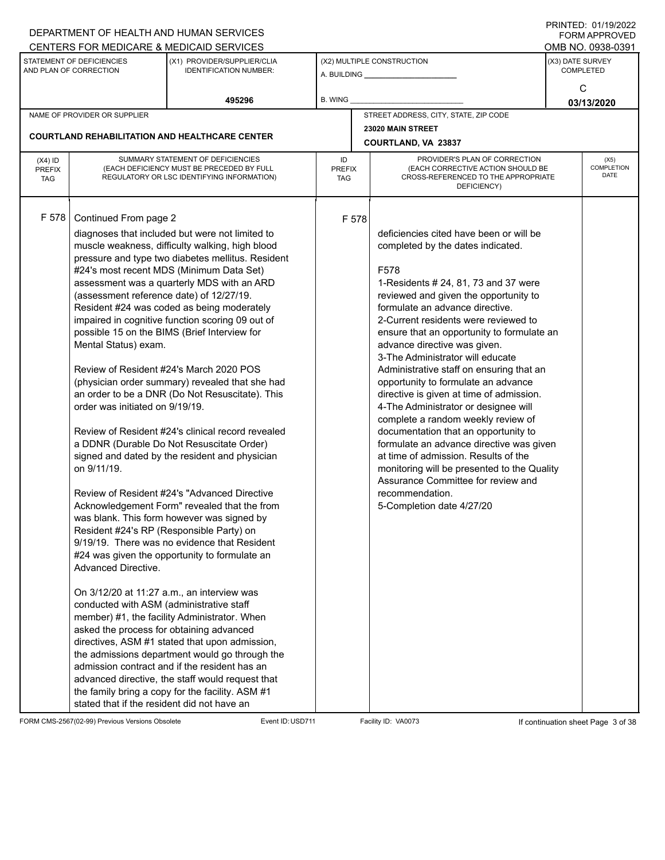|                             |                                                     | DEPARTMENT OF HEALTH AND HUMAN SERVICES                                                            |                      |  |                                                                                 |                  | <b>FORM APPROVED</b>      |
|-----------------------------|-----------------------------------------------------|----------------------------------------------------------------------------------------------------|----------------------|--|---------------------------------------------------------------------------------|------------------|---------------------------|
|                             |                                                     | CENTERS FOR MEDICARE & MEDICAID SERVICES                                                           |                      |  |                                                                                 |                  | OMB NO. 0938-0391         |
|                             | STATEMENT OF DEFICIENCIES<br>AND PLAN OF CORRECTION | (X1) PROVIDER/SUPPLIER/CLIA<br><b>IDENTIFICATION NUMBER:</b>                                       |                      |  | (X2) MULTIPLE CONSTRUCTION                                                      | (X3) DATE SURVEY | <b>COMPLETED</b>          |
|                             |                                                     |                                                                                                    |                      |  |                                                                                 |                  |                           |
|                             |                                                     |                                                                                                    |                      |  |                                                                                 |                  | С                         |
|                             |                                                     | 495296                                                                                             | B. WING              |  |                                                                                 |                  | 03/13/2020                |
|                             | NAME OF PROVIDER OR SUPPLIER                        |                                                                                                    |                      |  | STREET ADDRESS, CITY, STATE, ZIP CODE                                           |                  |                           |
|                             |                                                     | <b>COURTLAND REHABILITATION AND HEALTHCARE CENTER</b>                                              | 23020 MAIN STREET    |  |                                                                                 |                  |                           |
|                             |                                                     |                                                                                                    |                      |  | COURTLAND, VA 23837                                                             |                  |                           |
| $(X4)$ ID                   |                                                     | SUMMARY STATEMENT OF DEFICIENCIES                                                                  | ID                   |  | PROVIDER'S PLAN OF CORRECTION                                                   |                  | (X5)                      |
| <b>PREFIX</b><br><b>TAG</b> |                                                     | (EACH DEFICIENCY MUST BE PRECEDED BY FULL<br>REGULATORY OR LSC IDENTIFYING INFORMATION)            | <b>PREFIX</b><br>TAG |  | (EACH CORRECTIVE ACTION SHOULD BE<br>CROSS-REFERENCED TO THE APPROPRIATE        |                  | <b>COMPLETION</b><br>DATE |
|                             |                                                     |                                                                                                    |                      |  | DEFICIENCY)                                                                     |                  |                           |
|                             |                                                     |                                                                                                    |                      |  |                                                                                 |                  |                           |
| F 578                       | Continued From page 2                               |                                                                                                    | F 578                |  |                                                                                 |                  |                           |
|                             |                                                     | diagnoses that included but were not limited to                                                    |                      |  | deficiencies cited have been or will be                                         |                  |                           |
|                             |                                                     | muscle weakness, difficulty walking, high blood                                                    |                      |  | completed by the dates indicated.                                               |                  |                           |
|                             |                                                     | pressure and type two diabetes mellitus. Resident                                                  |                      |  |                                                                                 |                  |                           |
|                             |                                                     | #24's most recent MDS (Minimum Data Set)                                                           |                      |  | F578                                                                            |                  |                           |
|                             |                                                     | assessment was a quarterly MDS with an ARD                                                         |                      |  | 1-Residents # 24, 81, 73 and 37 were                                            |                  |                           |
|                             | (assessment reference date) of 12/27/19.            |                                                                                                    |                      |  | reviewed and given the opportunity to                                           |                  |                           |
|                             |                                                     | Resident #24 was coded as being moderately                                                         |                      |  | formulate an advance directive.                                                 |                  |                           |
|                             |                                                     | impaired in cognitive function scoring 09 out of                                                   |                      |  | 2-Current residents were reviewed to                                            |                  |                           |
|                             |                                                     | possible 15 on the BIMS (Brief Interview for                                                       |                      |  | ensure that an opportunity to formulate an                                      |                  |                           |
|                             | Mental Status) exam.                                |                                                                                                    |                      |  | advance directive was given.                                                    |                  |                           |
|                             |                                                     |                                                                                                    |                      |  | 3-The Administrator will educate                                                |                  |                           |
|                             |                                                     | Review of Resident #24's March 2020 POS                                                            |                      |  | Administrative staff on ensuring that an                                        |                  |                           |
|                             |                                                     | (physician order summary) revealed that she had<br>an order to be a DNR (Do Not Resuscitate). This |                      |  | opportunity to formulate an advance<br>directive is given at time of admission. |                  |                           |
|                             | order was initiated on 9/19/19.                     |                                                                                                    |                      |  | 4-The Administrator or designee will                                            |                  |                           |
|                             |                                                     |                                                                                                    |                      |  | complete a random weekly review of                                              |                  |                           |
|                             |                                                     | Review of Resident #24's clinical record revealed                                                  |                      |  | documentation that an opportunity to                                            |                  |                           |
|                             |                                                     | a DDNR (Durable Do Not Resuscitate Order)                                                          |                      |  | formulate an advance directive was given                                        |                  |                           |
|                             |                                                     | signed and dated by the resident and physician                                                     |                      |  | at time of admission. Results of the                                            |                  |                           |
|                             | on 9/11/19.                                         |                                                                                                    |                      |  | monitoring will be presented to the Quality                                     |                  |                           |
|                             |                                                     |                                                                                                    |                      |  | Assurance Committee for review and                                              |                  |                           |
|                             |                                                     | Review of Resident #24's "Advanced Directive                                                       |                      |  | recommendation.                                                                 |                  |                           |
|                             |                                                     | Acknowledgement Form" revealed that the from                                                       |                      |  | 5-Completion date 4/27/20                                                       |                  |                           |
|                             |                                                     | was blank. This form however was signed by                                                         |                      |  |                                                                                 |                  |                           |
|                             | Resident #24's RP (Responsible Party) on            |                                                                                                    |                      |  |                                                                                 |                  |                           |
|                             |                                                     | 9/19/19. There was no evidence that Resident<br>#24 was given the opportunity to formulate an      |                      |  |                                                                                 |                  |                           |
|                             | Advanced Directive.                                 |                                                                                                    |                      |  |                                                                                 |                  |                           |
|                             |                                                     |                                                                                                    |                      |  |                                                                                 |                  |                           |
|                             |                                                     | On 3/12/20 at 11:27 a.m., an interview was                                                         |                      |  |                                                                                 |                  |                           |
|                             | conducted with ASM (administrative staff            |                                                                                                    |                      |  |                                                                                 |                  |                           |
|                             |                                                     | member) #1, the facility Administrator. When                                                       |                      |  |                                                                                 |                  |                           |
|                             | asked the process for obtaining advanced            |                                                                                                    |                      |  |                                                                                 |                  |                           |
|                             |                                                     | directives, ASM #1 stated that upon admission,                                                     |                      |  |                                                                                 |                  |                           |
|                             |                                                     | the admissions department would go through the                                                     |                      |  |                                                                                 |                  |                           |
|                             |                                                     | admission contract and if the resident has an                                                      |                      |  |                                                                                 |                  |                           |
|                             |                                                     | advanced directive, the staff would request that                                                   |                      |  |                                                                                 |                  |                           |
|                             |                                                     | the family bring a copy for the facility. ASM #1                                                   |                      |  |                                                                                 |                  |                           |
|                             | stated that if the resident did not have an         |                                                                                                    |                      |  |                                                                                 |                  |                           |

FORM CMS-2567(02-99) Previous Versions Obsolete Event ID:USD711 Facility ID: VA0073 If continuation sheet Page 3 of 38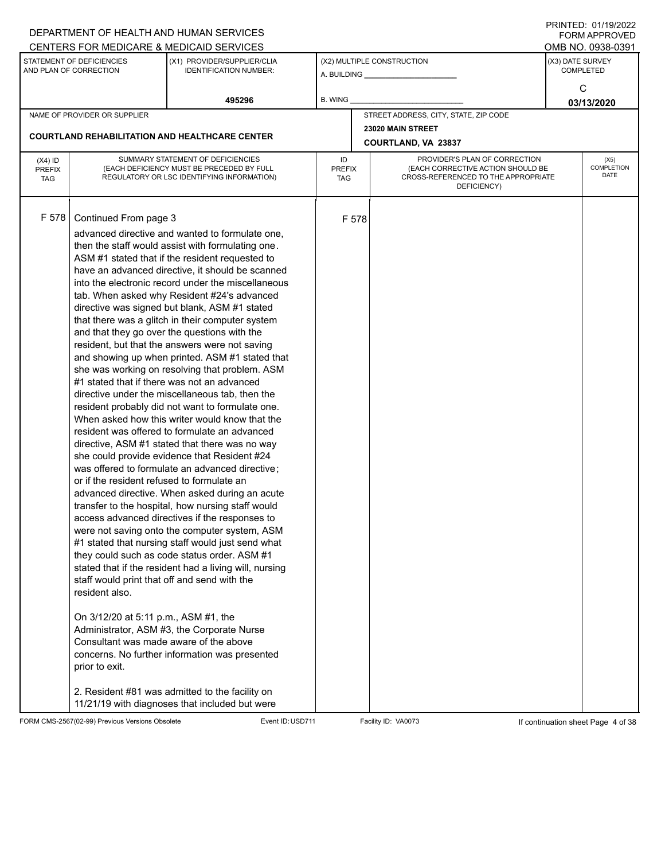|                                          |                                                                                                                                                                                                                                           | DEPARTMENT OF HEALTH AND HUMAN SERVICES                                                                                                                                                                                                                                                                                                                                                                                                                                                                                                                                                                                                                                                                                                                                                                                                                                                                                                                                                                                                                                                                                                                                                                                                                                                                                                                                                                                                                                                                                                                                |                            |       |                                                                                                                          |                  | $1 \times 1 \times 1 = 1$ . $0 \times 1 \times 1 = 0$<br><b>FORM APPROVED</b> |
|------------------------------------------|-------------------------------------------------------------------------------------------------------------------------------------------------------------------------------------------------------------------------------------------|------------------------------------------------------------------------------------------------------------------------------------------------------------------------------------------------------------------------------------------------------------------------------------------------------------------------------------------------------------------------------------------------------------------------------------------------------------------------------------------------------------------------------------------------------------------------------------------------------------------------------------------------------------------------------------------------------------------------------------------------------------------------------------------------------------------------------------------------------------------------------------------------------------------------------------------------------------------------------------------------------------------------------------------------------------------------------------------------------------------------------------------------------------------------------------------------------------------------------------------------------------------------------------------------------------------------------------------------------------------------------------------------------------------------------------------------------------------------------------------------------------------------------------------------------------------------|----------------------------|-------|--------------------------------------------------------------------------------------------------------------------------|------------------|-------------------------------------------------------------------------------|
|                                          |                                                                                                                                                                                                                                           | CENTERS FOR MEDICARE & MEDICAID SERVICES                                                                                                                                                                                                                                                                                                                                                                                                                                                                                                                                                                                                                                                                                                                                                                                                                                                                                                                                                                                                                                                                                                                                                                                                                                                                                                                                                                                                                                                                                                                               |                            |       |                                                                                                                          |                  | OMB NO. 0938-0391                                                             |
|                                          | STATEMENT OF DEFICIENCIES<br>AND PLAN OF CORRECTION                                                                                                                                                                                       | (X1) PROVIDER/SUPPLIER/CLIA<br><b>IDENTIFICATION NUMBER:</b>                                                                                                                                                                                                                                                                                                                                                                                                                                                                                                                                                                                                                                                                                                                                                                                                                                                                                                                                                                                                                                                                                                                                                                                                                                                                                                                                                                                                                                                                                                           |                            |       | (X2) MULTIPLE CONSTRUCTION                                                                                               | (X3) DATE SURVEY | <b>COMPLETED</b>                                                              |
|                                          |                                                                                                                                                                                                                                           | 495296                                                                                                                                                                                                                                                                                                                                                                                                                                                                                                                                                                                                                                                                                                                                                                                                                                                                                                                                                                                                                                                                                                                                                                                                                                                                                                                                                                                                                                                                                                                                                                 | <b>B. WING</b>             |       |                                                                                                                          |                  | C<br>03/13/2020                                                               |
|                                          | NAME OF PROVIDER OR SUPPLIER                                                                                                                                                                                                              |                                                                                                                                                                                                                                                                                                                                                                                                                                                                                                                                                                                                                                                                                                                                                                                                                                                                                                                                                                                                                                                                                                                                                                                                                                                                                                                                                                                                                                                                                                                                                                        |                            |       | STREET ADDRESS, CITY, STATE, ZIP CODE                                                                                    |                  |                                                                               |
|                                          |                                                                                                                                                                                                                                           |                                                                                                                                                                                                                                                                                                                                                                                                                                                                                                                                                                                                                                                                                                                                                                                                                                                                                                                                                                                                                                                                                                                                                                                                                                                                                                                                                                                                                                                                                                                                                                        |                            |       | 23020 MAIN STREET                                                                                                        |                  |                                                                               |
|                                          |                                                                                                                                                                                                                                           | <b>COURTLAND REHABILITATION AND HEALTHCARE CENTER</b>                                                                                                                                                                                                                                                                                                                                                                                                                                                                                                                                                                                                                                                                                                                                                                                                                                                                                                                                                                                                                                                                                                                                                                                                                                                                                                                                                                                                                                                                                                                  |                            |       | COURTLAND, VA 23837                                                                                                      |                  |                                                                               |
| $(X4)$ ID<br><b>PREFIX</b><br><b>TAG</b> |                                                                                                                                                                                                                                           | SUMMARY STATEMENT OF DEFICIENCIES<br>(EACH DEFICIENCY MUST BE PRECEDED BY FULL<br>REGULATORY OR LSC IDENTIFYING INFORMATION)                                                                                                                                                                                                                                                                                                                                                                                                                                                                                                                                                                                                                                                                                                                                                                                                                                                                                                                                                                                                                                                                                                                                                                                                                                                                                                                                                                                                                                           | ID<br><b>PREFIX</b><br>TAG |       | PROVIDER'S PLAN OF CORRECTION<br>(EACH CORRECTIVE ACTION SHOULD BE<br>CROSS-REFERENCED TO THE APPROPRIATE<br>DEFICIENCY) |                  | (X5)<br><b>COMPLETION</b><br>DATE                                             |
| F 578                                    | Continued From page 3<br>or if the resident refused to formulate an<br>staff would print that off and send with the<br>resident also.<br>On 3/12/20 at 5:11 p.m., ASM #1, the<br>Consultant was made aware of the above<br>prior to exit. | advanced directive and wanted to formulate one,<br>then the staff would assist with formulating one.<br>ASM #1 stated that if the resident requested to<br>have an advanced directive, it should be scanned<br>into the electronic record under the miscellaneous<br>tab. When asked why Resident #24's advanced<br>directive was signed but blank, ASM #1 stated<br>that there was a glitch in their computer system<br>and that they go over the questions with the<br>resident, but that the answers were not saving<br>and showing up when printed. ASM #1 stated that<br>she was working on resolving that problem. ASM<br>#1 stated that if there was not an advanced<br>directive under the miscellaneous tab, then the<br>resident probably did not want to formulate one.<br>When asked how this writer would know that the<br>resident was offered to formulate an advanced<br>directive, ASM #1 stated that there was no way<br>she could provide evidence that Resident #24<br>was offered to formulate an advanced directive;<br>advanced directive. When asked during an acute<br>transfer to the hospital, how nursing staff would<br>access advanced directives if the responses to<br>were not saving onto the computer system, ASM<br>#1 stated that nursing staff would just send what<br>they could such as code status order. ASM #1<br>stated that if the resident had a living will, nursing<br>Administrator, ASM #3, the Corporate Nurse<br>concerns. No further information was presented<br>2. Resident #81 was admitted to the facility on |                            | F 578 |                                                                                                                          |                  |                                                                               |
|                                          |                                                                                                                                                                                                                                           | 11/21/19 with diagnoses that included but were                                                                                                                                                                                                                                                                                                                                                                                                                                                                                                                                                                                                                                                                                                                                                                                                                                                                                                                                                                                                                                                                                                                                                                                                                                                                                                                                                                                                                                                                                                                         |                            |       |                                                                                                                          |                  |                                                                               |

FORM CMS-2567(02-99) Previous Versions Obsolete Event ID:USD711 Facility ID: VA0073 If continuation sheet Page 4 of 38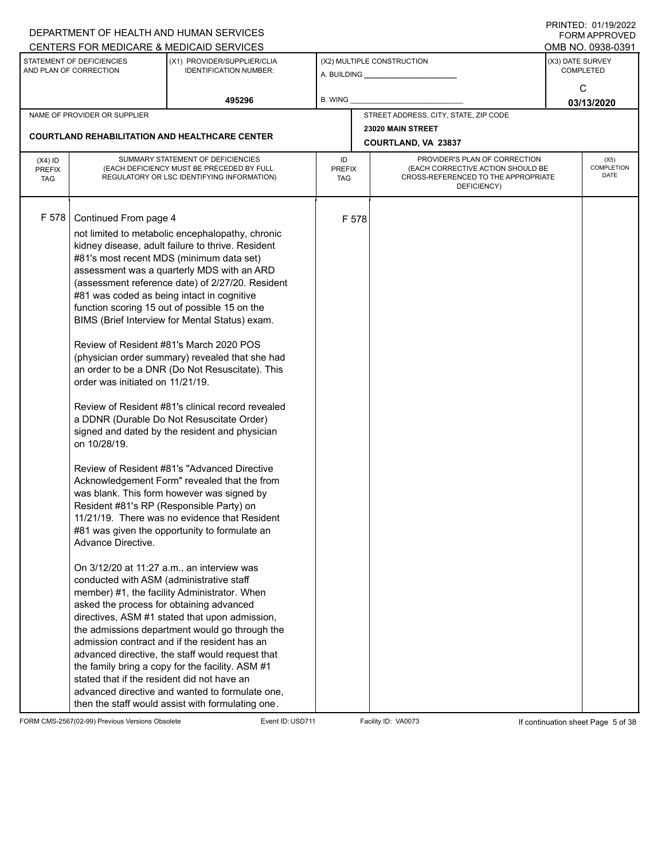|                                          |                                                                                                                                                                                                                                                                                                                                  | DEPARTMENT OF HEALTH AND HUMAN SERVICES                                                                                                                                                                                                                                                                                                                                                                                                                                                                                                                                                                                                                                                                                                                                                                                                                                                                                                                                                                                                                                                                                                                                                                                                                                                                                                                                        |                            |       |                                                                                                                          |                  | <b>FORM APPROVED</b>              |
|------------------------------------------|----------------------------------------------------------------------------------------------------------------------------------------------------------------------------------------------------------------------------------------------------------------------------------------------------------------------------------|--------------------------------------------------------------------------------------------------------------------------------------------------------------------------------------------------------------------------------------------------------------------------------------------------------------------------------------------------------------------------------------------------------------------------------------------------------------------------------------------------------------------------------------------------------------------------------------------------------------------------------------------------------------------------------------------------------------------------------------------------------------------------------------------------------------------------------------------------------------------------------------------------------------------------------------------------------------------------------------------------------------------------------------------------------------------------------------------------------------------------------------------------------------------------------------------------------------------------------------------------------------------------------------------------------------------------------------------------------------------------------|----------------------------|-------|--------------------------------------------------------------------------------------------------------------------------|------------------|-----------------------------------|
|                                          |                                                                                                                                                                                                                                                                                                                                  | CENTERS FOR MEDICARE & MEDICAID SERVICES                                                                                                                                                                                                                                                                                                                                                                                                                                                                                                                                                                                                                                                                                                                                                                                                                                                                                                                                                                                                                                                                                                                                                                                                                                                                                                                                       |                            |       |                                                                                                                          |                  | OMB NO. 0938-0391                 |
|                                          | STATEMENT OF DEFICIENCIES<br>AND PLAN OF CORRECTION                                                                                                                                                                                                                                                                              | (X1) PROVIDER/SUPPLIER/CLIA<br><b>IDENTIFICATION NUMBER:</b>                                                                                                                                                                                                                                                                                                                                                                                                                                                                                                                                                                                                                                                                                                                                                                                                                                                                                                                                                                                                                                                                                                                                                                                                                                                                                                                   |                            |       | (X2) MULTIPLE CONSTRUCTION                                                                                               | (X3) DATE SURVEY | <b>COMPLETED</b>                  |
|                                          |                                                                                                                                                                                                                                                                                                                                  | 495296                                                                                                                                                                                                                                                                                                                                                                                                                                                                                                                                                                                                                                                                                                                                                                                                                                                                                                                                                                                                                                                                                                                                                                                                                                                                                                                                                                         | B. WING                    |       |                                                                                                                          |                  | С<br>03/13/2020                   |
|                                          | NAME OF PROVIDER OR SUPPLIER                                                                                                                                                                                                                                                                                                     |                                                                                                                                                                                                                                                                                                                                                                                                                                                                                                                                                                                                                                                                                                                                                                                                                                                                                                                                                                                                                                                                                                                                                                                                                                                                                                                                                                                |                            |       | STREET ADDRESS, CITY, STATE, ZIP CODE                                                                                    |                  |                                   |
|                                          |                                                                                                                                                                                                                                                                                                                                  |                                                                                                                                                                                                                                                                                                                                                                                                                                                                                                                                                                                                                                                                                                                                                                                                                                                                                                                                                                                                                                                                                                                                                                                                                                                                                                                                                                                |                            |       | 23020 MAIN STREET                                                                                                        |                  |                                   |
|                                          |                                                                                                                                                                                                                                                                                                                                  | <b>COURTLAND REHABILITATION AND HEALTHCARE CENTER</b>                                                                                                                                                                                                                                                                                                                                                                                                                                                                                                                                                                                                                                                                                                                                                                                                                                                                                                                                                                                                                                                                                                                                                                                                                                                                                                                          |                            |       | COURTLAND, VA 23837                                                                                                      |                  |                                   |
| $(X4)$ ID<br><b>PREFIX</b><br><b>TAG</b> |                                                                                                                                                                                                                                                                                                                                  | SUMMARY STATEMENT OF DEFICIENCIES<br>(EACH DEFICIENCY MUST BE PRECEDED BY FULL<br>REGULATORY OR LSC IDENTIFYING INFORMATION)                                                                                                                                                                                                                                                                                                                                                                                                                                                                                                                                                                                                                                                                                                                                                                                                                                                                                                                                                                                                                                                                                                                                                                                                                                                   | ID<br><b>PREFIX</b><br>TAG |       | PROVIDER'S PLAN OF CORRECTION<br>(EACH CORRECTIVE ACTION SHOULD BE<br>CROSS-REFERENCED TO THE APPROPRIATE<br>DEFICIENCY) |                  | (X5)<br><b>COMPLETION</b><br>DATE |
| F 578                                    | Continued From page 4<br>#81 was coded as being intact in cognitive<br>order was initiated on 11/21/19.<br>on 10/28/19.<br>Resident #81's RP (Responsible Party) on<br>Advance Directive.<br>conducted with ASM (administrative staff<br>asked the process for obtaining advanced<br>stated that if the resident did not have an | not limited to metabolic encephalopathy, chronic<br>kidney disease, adult failure to thrive. Resident<br>#81's most recent MDS (minimum data set)<br>assessment was a quarterly MDS with an ARD<br>(assessment reference date) of 2/27/20. Resident<br>function scoring 15 out of possible 15 on the<br>BIMS (Brief Interview for Mental Status) exam.<br>Review of Resident #81's March 2020 POS<br>(physician order summary) revealed that she had<br>an order to be a DNR (Do Not Resuscitate). This<br>Review of Resident #81's clinical record revealed<br>a DDNR (Durable Do Not Resuscitate Order)<br>signed and dated by the resident and physician<br>Review of Resident #81's "Advanced Directive<br>Acknowledgement Form" revealed that the from<br>was blank. This form however was signed by<br>11/21/19. There was no evidence that Resident<br>#81 was given the opportunity to formulate an<br>On 3/12/20 at 11:27 a.m., an interview was<br>member) #1, the facility Administrator. When<br>directives, ASM #1 stated that upon admission,<br>the admissions department would go through the<br>admission contract and if the resident has an<br>advanced directive, the staff would request that<br>the family bring a copy for the facility. ASM #1<br>advanced directive and wanted to formulate one,<br>then the staff would assist with formulating one. |                            | F 578 |                                                                                                                          |                  |                                   |

FORM CMS-2567(02-99) Previous Versions Obsolete Event ID:USD711 Facility ID: VA0073 If continuation sheet Page 5 of 38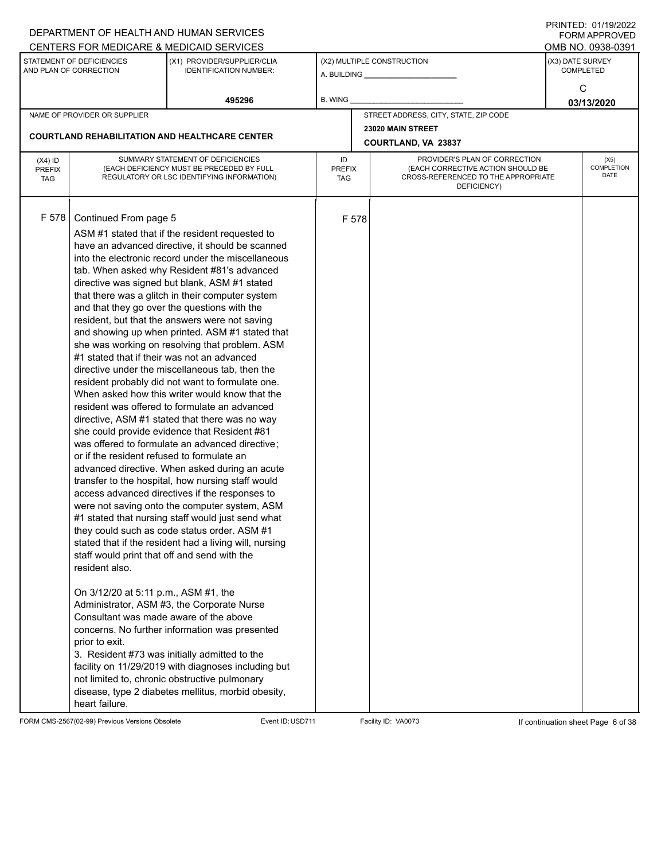|                                          |                                                                                                                                                                                                                                                                                                            | DEPARTMENT OF HEALTH AND HUMAN SERVICES                                                                                                                                                                                                                                                                                                                                                                                                                                                                                                                                                                                                                                                                                                                                                                                                                                                                                                                                                                                                                                                                                                                                                                                                                                                                                                                                                                                                                                                                                                                                     |                            |       |                                                                                                                          |                  | $1 \times 1 \times 1 = 1$ . $0 \times 1 \times 1 = 0$<br><b>FORM APPROVED</b> |
|------------------------------------------|------------------------------------------------------------------------------------------------------------------------------------------------------------------------------------------------------------------------------------------------------------------------------------------------------------|-----------------------------------------------------------------------------------------------------------------------------------------------------------------------------------------------------------------------------------------------------------------------------------------------------------------------------------------------------------------------------------------------------------------------------------------------------------------------------------------------------------------------------------------------------------------------------------------------------------------------------------------------------------------------------------------------------------------------------------------------------------------------------------------------------------------------------------------------------------------------------------------------------------------------------------------------------------------------------------------------------------------------------------------------------------------------------------------------------------------------------------------------------------------------------------------------------------------------------------------------------------------------------------------------------------------------------------------------------------------------------------------------------------------------------------------------------------------------------------------------------------------------------------------------------------------------------|----------------------------|-------|--------------------------------------------------------------------------------------------------------------------------|------------------|-------------------------------------------------------------------------------|
|                                          |                                                                                                                                                                                                                                                                                                            | CENTERS FOR MEDICARE & MEDICAID SERVICES                                                                                                                                                                                                                                                                                                                                                                                                                                                                                                                                                                                                                                                                                                                                                                                                                                                                                                                                                                                                                                                                                                                                                                                                                                                                                                                                                                                                                                                                                                                                    |                            |       |                                                                                                                          |                  | OMB NO. 0938-0391                                                             |
|                                          | STATEMENT OF DEFICIENCIES<br>AND PLAN OF CORRECTION                                                                                                                                                                                                                                                        | (X1) PROVIDER/SUPPLIER/CLIA<br><b>IDENTIFICATION NUMBER:</b>                                                                                                                                                                                                                                                                                                                                                                                                                                                                                                                                                                                                                                                                                                                                                                                                                                                                                                                                                                                                                                                                                                                                                                                                                                                                                                                                                                                                                                                                                                                |                            |       | (X2) MULTIPLE CONSTRUCTION                                                                                               | (X3) DATE SURVEY | <b>COMPLETED</b>                                                              |
|                                          |                                                                                                                                                                                                                                                                                                            | 495296                                                                                                                                                                                                                                                                                                                                                                                                                                                                                                                                                                                                                                                                                                                                                                                                                                                                                                                                                                                                                                                                                                                                                                                                                                                                                                                                                                                                                                                                                                                                                                      | B. WING                    |       |                                                                                                                          |                  | C<br>03/13/2020                                                               |
|                                          | NAME OF PROVIDER OR SUPPLIER                                                                                                                                                                                                                                                                               |                                                                                                                                                                                                                                                                                                                                                                                                                                                                                                                                                                                                                                                                                                                                                                                                                                                                                                                                                                                                                                                                                                                                                                                                                                                                                                                                                                                                                                                                                                                                                                             |                            |       | STREET ADDRESS, CITY, STATE, ZIP CODE                                                                                    |                  |                                                                               |
|                                          |                                                                                                                                                                                                                                                                                                            |                                                                                                                                                                                                                                                                                                                                                                                                                                                                                                                                                                                                                                                                                                                                                                                                                                                                                                                                                                                                                                                                                                                                                                                                                                                                                                                                                                                                                                                                                                                                                                             |                            |       | 23020 MAIN STREET                                                                                                        |                  |                                                                               |
|                                          |                                                                                                                                                                                                                                                                                                            | <b>COURTLAND REHABILITATION AND HEALTHCARE CENTER</b>                                                                                                                                                                                                                                                                                                                                                                                                                                                                                                                                                                                                                                                                                                                                                                                                                                                                                                                                                                                                                                                                                                                                                                                                                                                                                                                                                                                                                                                                                                                       |                            |       | COURTLAND, VA 23837                                                                                                      |                  |                                                                               |
| $(X4)$ ID<br><b>PREFIX</b><br><b>TAG</b> |                                                                                                                                                                                                                                                                                                            | SUMMARY STATEMENT OF DEFICIENCIES<br>(EACH DEFICIENCY MUST BE PRECEDED BY FULL<br>REGULATORY OR LSC IDENTIFYING INFORMATION)                                                                                                                                                                                                                                                                                                                                                                                                                                                                                                                                                                                                                                                                                                                                                                                                                                                                                                                                                                                                                                                                                                                                                                                                                                                                                                                                                                                                                                                | ID<br><b>PREFIX</b><br>TAG |       | PROVIDER'S PLAN OF CORRECTION<br>(EACH CORRECTIVE ACTION SHOULD BE<br>CROSS-REFERENCED TO THE APPROPRIATE<br>DEFICIENCY) |                  | (X5)<br><b>COMPLETION</b><br>DATE                                             |
| F 578                                    | Continued From page 5<br>#1 stated that if their was not an advanced<br>or if the resident refused to formulate an<br>staff would print that off and send with the<br>resident also.<br>On 3/12/20 at 5:11 p.m., ASM #1, the<br>Consultant was made aware of the above<br>prior to exit.<br>heart failure. | ASM #1 stated that if the resident requested to<br>have an advanced directive, it should be scanned<br>into the electronic record under the miscellaneous<br>tab. When asked why Resident #81's advanced<br>directive was signed but blank, ASM #1 stated<br>that there was a glitch in their computer system<br>and that they go over the questions with the<br>resident, but that the answers were not saving<br>and showing up when printed. ASM #1 stated that<br>she was working on resolving that problem. ASM<br>directive under the miscellaneous tab, then the<br>resident probably did not want to formulate one.<br>When asked how this writer would know that the<br>resident was offered to formulate an advanced<br>directive, ASM #1 stated that there was no way<br>she could provide evidence that Resident #81<br>was offered to formulate an advanced directive;<br>advanced directive. When asked during an acute<br>transfer to the hospital, how nursing staff would<br>access advanced directives if the responses to<br>were not saving onto the computer system, ASM<br>#1 stated that nursing staff would just send what<br>they could such as code status order. ASM #1<br>stated that if the resident had a living will, nursing<br>Administrator, ASM #3, the Corporate Nurse<br>concerns. No further information was presented<br>3. Resident #73 was initially admitted to the<br>facility on 11/29/2019 with diagnoses including but<br>not limited to, chronic obstructive pulmonary<br>disease, type 2 diabetes mellitus, morbid obesity, |                            | F 578 |                                                                                                                          |                  |                                                                               |

FORM CMS-2567(02-99) Previous Versions Obsolete Event ID:USD711 Facility ID: VA0073 If continuation sheet Page 6 of 38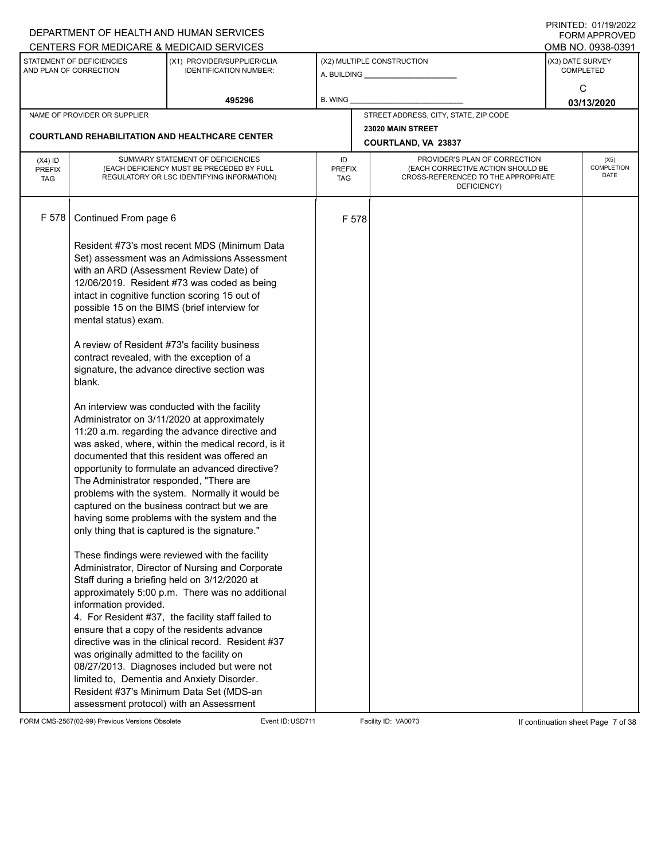|                                          |                                                                                                                                                  | DEPARTMENT OF HEALTH AND HUMAN SERVICES                                                                                                                                                                                                                                                                                                                                                                                                                                                                                                                                                                                                                                                                                                                                                                                                                                                                                                                                                                                                                                                                         |                     |       |                                                                                                                          |                  | I I SII SI LED. O I <i>I</i> I <i>di E</i> uzz<br><b>FORM APPROVED</b> |
|------------------------------------------|--------------------------------------------------------------------------------------------------------------------------------------------------|-----------------------------------------------------------------------------------------------------------------------------------------------------------------------------------------------------------------------------------------------------------------------------------------------------------------------------------------------------------------------------------------------------------------------------------------------------------------------------------------------------------------------------------------------------------------------------------------------------------------------------------------------------------------------------------------------------------------------------------------------------------------------------------------------------------------------------------------------------------------------------------------------------------------------------------------------------------------------------------------------------------------------------------------------------------------------------------------------------------------|---------------------|-------|--------------------------------------------------------------------------------------------------------------------------|------------------|------------------------------------------------------------------------|
|                                          |                                                                                                                                                  | CENTERS FOR MEDICARE & MEDICAID SERVICES                                                                                                                                                                                                                                                                                                                                                                                                                                                                                                                                                                                                                                                                                                                                                                                                                                                                                                                                                                                                                                                                        |                     |       |                                                                                                                          |                  | OMB NO. 0938-0391                                                      |
|                                          | STATEMENT OF DEFICIENCIES<br>AND PLAN OF CORRECTION                                                                                              | (X1) PROVIDER/SUPPLIER/CLIA<br><b>IDENTIFICATION NUMBER:</b>                                                                                                                                                                                                                                                                                                                                                                                                                                                                                                                                                                                                                                                                                                                                                                                                                                                                                                                                                                                                                                                    |                     |       | (X2) MULTIPLE CONSTRUCTION                                                                                               | (X3) DATE SURVEY | <b>COMPLETED</b>                                                       |
|                                          |                                                                                                                                                  | 495296                                                                                                                                                                                                                                                                                                                                                                                                                                                                                                                                                                                                                                                                                                                                                                                                                                                                                                                                                                                                                                                                                                          | B. WING             |       |                                                                                                                          |                  | C<br>03/13/2020                                                        |
|                                          | NAME OF PROVIDER OR SUPPLIER                                                                                                                     |                                                                                                                                                                                                                                                                                                                                                                                                                                                                                                                                                                                                                                                                                                                                                                                                                                                                                                                                                                                                                                                                                                                 |                     |       | STREET ADDRESS, CITY, STATE, ZIP CODE                                                                                    |                  |                                                                        |
|                                          |                                                                                                                                                  |                                                                                                                                                                                                                                                                                                                                                                                                                                                                                                                                                                                                                                                                                                                                                                                                                                                                                                                                                                                                                                                                                                                 |                     |       | 23020 MAIN STREET                                                                                                        |                  |                                                                        |
|                                          |                                                                                                                                                  | <b>COURTLAND REHABILITATION AND HEALTHCARE CENTER</b>                                                                                                                                                                                                                                                                                                                                                                                                                                                                                                                                                                                                                                                                                                                                                                                                                                                                                                                                                                                                                                                           |                     |       | COURTLAND, VA 23837                                                                                                      |                  |                                                                        |
| $(X4)$ ID<br><b>PREFIX</b><br><b>TAG</b> |                                                                                                                                                  | SUMMARY STATEMENT OF DEFICIENCIES<br>(EACH DEFICIENCY MUST BE PRECEDED BY FULL<br>REGULATORY OR LSC IDENTIFYING INFORMATION)                                                                                                                                                                                                                                                                                                                                                                                                                                                                                                                                                                                                                                                                                                                                                                                                                                                                                                                                                                                    | ID<br>PREFIX<br>TAG |       | PROVIDER'S PLAN OF CORRECTION<br>(EACH CORRECTIVE ACTION SHOULD BE<br>CROSS-REFERENCED TO THE APPROPRIATE<br>DEFICIENCY) |                  | (X5)<br>COMPLETION<br>DATE                                             |
| F 578                                    | Continued From page 6                                                                                                                            |                                                                                                                                                                                                                                                                                                                                                                                                                                                                                                                                                                                                                                                                                                                                                                                                                                                                                                                                                                                                                                                                                                                 |                     | F 578 |                                                                                                                          |                  |                                                                        |
|                                          | mental status) exam.<br>contract revealed, with the exception of a<br>blank.<br>The Administrator responded, "There are<br>information provided. | Resident #73's most recent MDS (Minimum Data<br>Set) assessment was an Admissions Assessment<br>with an ARD (Assessment Review Date) of<br>12/06/2019. Resident #73 was coded as being<br>intact in cognitive function scoring 15 out of<br>possible 15 on the BIMS (brief interview for<br>A review of Resident #73's facility business<br>signature, the advance directive section was<br>An interview was conducted with the facility<br>Administrator on 3/11/2020 at approximately<br>11:20 a.m. regarding the advance directive and<br>was asked, where, within the medical record, is it<br>documented that this resident was offered an<br>opportunity to formulate an advanced directive?<br>problems with the system. Normally it would be<br>captured on the business contract but we are<br>having some problems with the system and the<br>only thing that is captured is the signature."<br>These findings were reviewed with the facility<br>Administrator, Director of Nursing and Corporate<br>Staff during a briefing held on 3/12/2020 at<br>approximately 5:00 p.m. There was no additional |                     |       |                                                                                                                          |                  |                                                                        |
|                                          | was originally admitted to the facility on<br>assessment protocol) with an Assessment                                                            | 4. For Resident #37, the facility staff failed to<br>ensure that a copy of the residents advance<br>directive was in the clinical record. Resident #37<br>08/27/2013. Diagnoses included but were not<br>limited to, Dementia and Anxiety Disorder.<br>Resident #37's Minimum Data Set (MDS-an                                                                                                                                                                                                                                                                                                                                                                                                                                                                                                                                                                                                                                                                                                                                                                                                                  |                     |       |                                                                                                                          |                  |                                                                        |

FORM CMS-2567(02-99) Previous Versions Obsolete Event ID:USD711 Facility ID: VA0073 If continuation sheet Page 7 of 38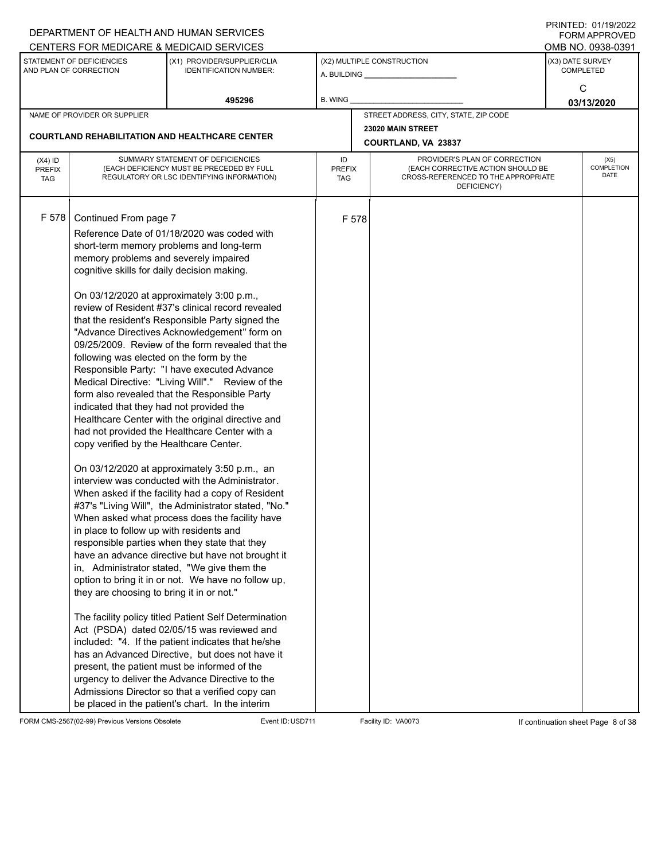|               |                                                     | DEPARTMENT OF HEALTH AND HUMAN SERVICES                                                               |               |       |                                                                          |                  | $1 \times 1 \times 1 = 1$ . $0 \times 1 \times 1 = 0$<br><b>FORM APPROVED</b> |
|---------------|-----------------------------------------------------|-------------------------------------------------------------------------------------------------------|---------------|-------|--------------------------------------------------------------------------|------------------|-------------------------------------------------------------------------------|
|               |                                                     | CENTERS FOR MEDICARE & MEDICAID SERVICES                                                              |               |       |                                                                          |                  | OMB NO. 0938-0391                                                             |
|               | STATEMENT OF DEFICIENCIES<br>AND PLAN OF CORRECTION | (X1) PROVIDER/SUPPLIER/CLIA<br><b>IDENTIFICATION NUMBER:</b>                                          |               |       | (X2) MULTIPLE CONSTRUCTION                                               | (X3) DATE SURVEY | <b>COMPLETED</b>                                                              |
|               |                                                     |                                                                                                       |               |       |                                                                          |                  | C                                                                             |
|               |                                                     | 495296                                                                                                | B. WING       |       |                                                                          |                  | 03/13/2020                                                                    |
|               | NAME OF PROVIDER OR SUPPLIER                        |                                                                                                       |               |       | STREET ADDRESS, CITY, STATE, ZIP CODE                                    |                  |                                                                               |
|               |                                                     |                                                                                                       |               |       | 23020 MAIN STREET                                                        |                  |                                                                               |
|               |                                                     | <b>COURTLAND REHABILITATION AND HEALTHCARE CENTER</b>                                                 |               |       | COURTLAND, VA 23837                                                      |                  |                                                                               |
| $(X4)$ ID     |                                                     | SUMMARY STATEMENT OF DEFICIENCIES                                                                     | ID            |       | PROVIDER'S PLAN OF CORRECTION                                            |                  | (X5)                                                                          |
| <b>PREFIX</b> |                                                     | (EACH DEFICIENCY MUST BE PRECEDED BY FULL<br>REGULATORY OR LSC IDENTIFYING INFORMATION)               | <b>PREFIX</b> |       | (EACH CORRECTIVE ACTION SHOULD BE<br>CROSS-REFERENCED TO THE APPROPRIATE |                  | COMPLETION<br>DATE                                                            |
| <b>TAG</b>    |                                                     |                                                                                                       | TAG           |       | DEFICIENCY)                                                              |                  |                                                                               |
|               |                                                     |                                                                                                       |               |       |                                                                          |                  |                                                                               |
| F 578         | Continued From page 7                               |                                                                                                       |               | F 578 |                                                                          |                  |                                                                               |
|               |                                                     | Reference Date of 01/18/2020 was coded with                                                           |               |       |                                                                          |                  |                                                                               |
|               |                                                     | short-term memory problems and long-term                                                              |               |       |                                                                          |                  |                                                                               |
|               | memory problems and severely impaired               |                                                                                                       |               |       |                                                                          |                  |                                                                               |
|               | cognitive skills for daily decision making.         |                                                                                                       |               |       |                                                                          |                  |                                                                               |
|               |                                                     |                                                                                                       |               |       |                                                                          |                  |                                                                               |
|               |                                                     | On 03/12/2020 at approximately 3:00 p.m.,<br>review of Resident #37's clinical record revealed        |               |       |                                                                          |                  |                                                                               |
|               |                                                     | that the resident's Responsible Party signed the                                                      |               |       |                                                                          |                  |                                                                               |
|               |                                                     | "Advance Directives Acknowledgement" form on                                                          |               |       |                                                                          |                  |                                                                               |
|               |                                                     | 09/25/2009. Review of the form revealed that the                                                      |               |       |                                                                          |                  |                                                                               |
|               | following was elected on the form by the            |                                                                                                       |               |       |                                                                          |                  |                                                                               |
|               |                                                     | Responsible Party: "I have executed Advance                                                           |               |       |                                                                          |                  |                                                                               |
|               |                                                     | Medical Directive: "Living Will"." Review of the                                                      |               |       |                                                                          |                  |                                                                               |
|               |                                                     | form also revealed that the Responsible Party                                                         |               |       |                                                                          |                  |                                                                               |
|               | indicated that they had not provided the            |                                                                                                       |               |       |                                                                          |                  |                                                                               |
|               |                                                     | Healthcare Center with the original directive and                                                     |               |       |                                                                          |                  |                                                                               |
|               | copy verified by the Healthcare Center.             | had not provided the Healthcare Center with a                                                         |               |       |                                                                          |                  |                                                                               |
|               |                                                     |                                                                                                       |               |       |                                                                          |                  |                                                                               |
|               |                                                     | On 03/12/2020 at approximately 3:50 p.m., an                                                          |               |       |                                                                          |                  |                                                                               |
|               |                                                     | interview was conducted with the Administrator.                                                       |               |       |                                                                          |                  |                                                                               |
|               |                                                     | When asked if the facility had a copy of Resident                                                     |               |       |                                                                          |                  |                                                                               |
|               |                                                     | #37's "Living Will", the Administrator stated, "No."                                                  |               |       |                                                                          |                  |                                                                               |
|               |                                                     | When asked what process does the facility have                                                        |               |       |                                                                          |                  |                                                                               |
|               | in place to follow up with residents and            |                                                                                                       |               |       |                                                                          |                  |                                                                               |
|               |                                                     | responsible parties when they state that they<br>have an advance directive but have not brought it    |               |       |                                                                          |                  |                                                                               |
|               |                                                     | in, Administrator stated, "We give them the                                                           |               |       |                                                                          |                  |                                                                               |
|               |                                                     | option to bring it in or not. We have no follow up,                                                   |               |       |                                                                          |                  |                                                                               |
|               | they are choosing to bring it in or not."           |                                                                                                       |               |       |                                                                          |                  |                                                                               |
|               |                                                     |                                                                                                       |               |       |                                                                          |                  |                                                                               |
|               |                                                     | The facility policy titled Patient Self Determination                                                 |               |       |                                                                          |                  |                                                                               |
|               |                                                     | Act (PSDA) dated 02/05/15 was reviewed and                                                            |               |       |                                                                          |                  |                                                                               |
|               |                                                     | included: "4. If the patient indicates that he/she<br>has an Advanced Directive, but does not have it |               |       |                                                                          |                  |                                                                               |
|               |                                                     | present, the patient must be informed of the                                                          |               |       |                                                                          |                  |                                                                               |
|               |                                                     | urgency to deliver the Advance Directive to the                                                       |               |       |                                                                          |                  |                                                                               |
|               |                                                     | Admissions Director so that a verified copy can                                                       |               |       |                                                                          |                  |                                                                               |
|               |                                                     | be placed in the patient's chart. In the interim                                                      |               |       |                                                                          |                  |                                                                               |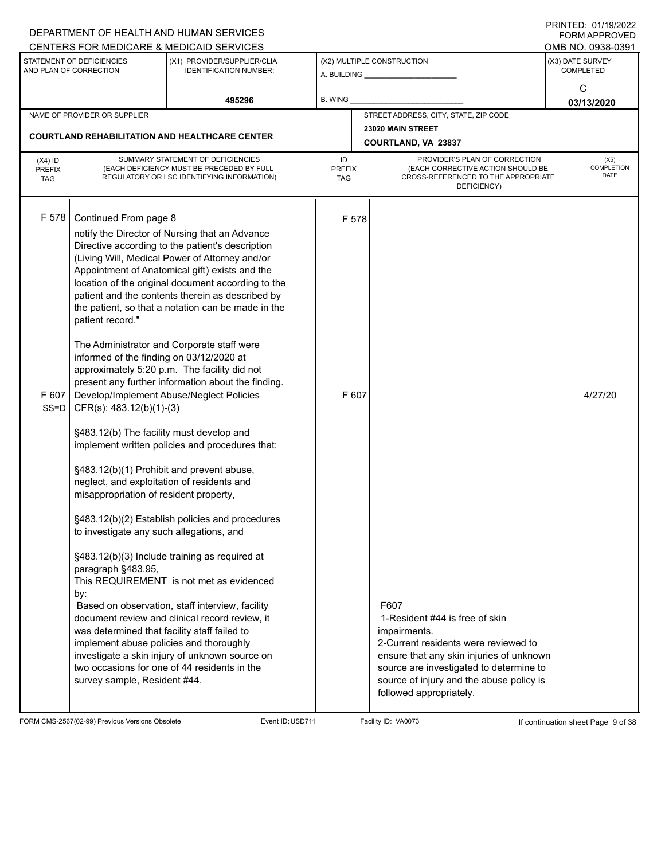|                                          |                                                                                                                                                                                                                                                                                                                                                                                                                                                                                                                    | DEPARTMENT OF HEALTH AND HUMAN SERVICES                                                                                                                                                                                                                                                                                                                                                                                                                                                                                                                                                                                                                                                                                                                                                                                                                                                                                              |                                   |                |                                                                                                                                                                                       |                  | I INITILD. 01/19/4944<br>FORM APPROVED |
|------------------------------------------|--------------------------------------------------------------------------------------------------------------------------------------------------------------------------------------------------------------------------------------------------------------------------------------------------------------------------------------------------------------------------------------------------------------------------------------------------------------------------------------------------------------------|--------------------------------------------------------------------------------------------------------------------------------------------------------------------------------------------------------------------------------------------------------------------------------------------------------------------------------------------------------------------------------------------------------------------------------------------------------------------------------------------------------------------------------------------------------------------------------------------------------------------------------------------------------------------------------------------------------------------------------------------------------------------------------------------------------------------------------------------------------------------------------------------------------------------------------------|-----------------------------------|----------------|---------------------------------------------------------------------------------------------------------------------------------------------------------------------------------------|------------------|----------------------------------------|
|                                          |                                                                                                                                                                                                                                                                                                                                                                                                                                                                                                                    | CENTERS FOR MEDICARE & MEDICAID SERVICES                                                                                                                                                                                                                                                                                                                                                                                                                                                                                                                                                                                                                                                                                                                                                                                                                                                                                             |                                   |                |                                                                                                                                                                                       |                  | OMB NO. 0938-0391                      |
|                                          | STATEMENT OF DEFICIENCIES<br>AND PLAN OF CORRECTION                                                                                                                                                                                                                                                                                                                                                                                                                                                                | (X1) PROVIDER/SUPPLIER/CLIA<br><b>IDENTIFICATION NUMBER:</b>                                                                                                                                                                                                                                                                                                                                                                                                                                                                                                                                                                                                                                                                                                                                                                                                                                                                         |                                   |                | (X2) MULTIPLE CONSTRUCTION                                                                                                                                                            | (X3) DATE SURVEY | <b>COMPLETED</b>                       |
|                                          |                                                                                                                                                                                                                                                                                                                                                                                                                                                                                                                    | 495296                                                                                                                                                                                                                                                                                                                                                                                                                                                                                                                                                                                                                                                                                                                                                                                                                                                                                                                               | <b>B. WING</b>                    |                |                                                                                                                                                                                       |                  | C<br>03/13/2020                        |
|                                          | NAME OF PROVIDER OR SUPPLIER                                                                                                                                                                                                                                                                                                                                                                                                                                                                                       |                                                                                                                                                                                                                                                                                                                                                                                                                                                                                                                                                                                                                                                                                                                                                                                                                                                                                                                                      |                                   |                | STREET ADDRESS, CITY, STATE, ZIP CODE                                                                                                                                                 |                  |                                        |
|                                          |                                                                                                                                                                                                                                                                                                                                                                                                                                                                                                                    | <b>COURTLAND REHABILITATION AND HEALTHCARE CENTER</b>                                                                                                                                                                                                                                                                                                                                                                                                                                                                                                                                                                                                                                                                                                                                                                                                                                                                                |                                   |                | 23020 MAIN STREET<br>COURTLAND, VA 23837                                                                                                                                              |                  |                                        |
| $(X4)$ ID<br><b>PREFIX</b><br><b>TAG</b> |                                                                                                                                                                                                                                                                                                                                                                                                                                                                                                                    | SUMMARY STATEMENT OF DEFICIENCIES<br>(EACH DEFICIENCY MUST BE PRECEDED BY FULL<br>REGULATORY OR LSC IDENTIFYING INFORMATION)                                                                                                                                                                                                                                                                                                                                                                                                                                                                                                                                                                                                                                                                                                                                                                                                         | ID<br><b>PREFIX</b><br><b>TAG</b> |                | PROVIDER'S PLAN OF CORRECTION<br>(EACH CORRECTIVE ACTION SHOULD BE<br>CROSS-REFERENCED TO THE APPROPRIATE<br>DEFICIENCY)                                                              |                  | (X5)<br>COMPLETION<br>DATE             |
| F 578<br>F 607<br>$SS = D$               | Continued From page 8<br>patient record."<br>informed of the finding on 03/12/2020 at<br>Develop/Implement Abuse/Neglect Policies<br>CFR(s): 483.12(b)(1)-(3)<br>§483.12(b) The facility must develop and<br>§483.12(b)(1) Prohibit and prevent abuse,<br>neglect, and exploitation of residents and<br>misappropriation of resident property,<br>to investigate any such allegations, and<br>paragraph §483.95,<br>by:<br>was determined that facility staff failed to<br>implement abuse policies and thoroughly | notify the Director of Nursing that an Advance<br>Directive according to the patient's description<br>(Living Will, Medical Power of Attorney and/or<br>Appointment of Anatomical gift) exists and the<br>location of the original document according to the<br>patient and the contents therein as described by<br>the patient, so that a notation can be made in the<br>The Administrator and Corporate staff were<br>approximately 5:20 p.m. The facility did not<br>present any further information about the finding.<br>implement written policies and procedures that:<br>§483.12(b)(2) Establish policies and procedures<br>§483.12(b)(3) Include training as required at<br>This REQUIREMENT is not met as evidenced<br>Based on observation, staff interview, facility<br>document review and clinical record review, it<br>investigate a skin injury of unknown source on<br>two occasions for one of 44 residents in the |                                   | F 578<br>F 607 | F607<br>1-Resident #44 is free of skin<br>impairments.<br>2-Current residents were reviewed to<br>ensure that any skin injuries of unknown<br>source are investigated to determine to |                  | 4/27/20                                |

FORM CMS-2567(02-99) Previous Versions Obsolete Event ID:USD711 Facility ID: VA0073 If continuation sheet Page 9 of 38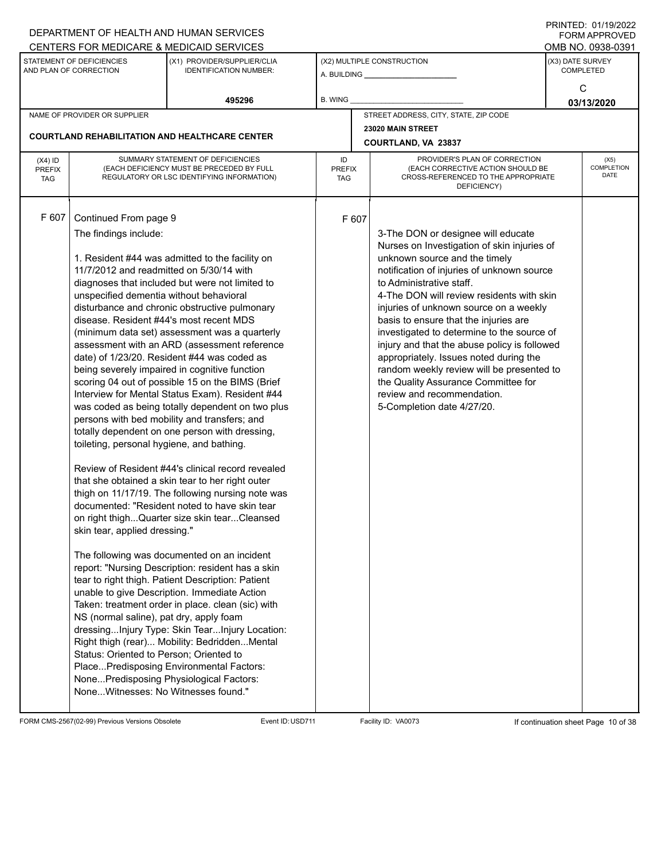|                                          |                                                                                                                                                                                                                                                                                                                                                                                             | CENTERS FOR MEDICARE & MEDICAID SERVICES                                                                                                                                                                                                                                                                                                                                                                                                                                                                                                                                                                                                                                                                                                                                                                                                                                                                                                                                                                                                                                                                                                                                                                                                                                                                                                |                                   |       |                                                                                                                                                                                                                                                                                                                                                                                                                                                                                                                                                                                                                      |                  | OMB NO. 0938-0391                 |
|------------------------------------------|---------------------------------------------------------------------------------------------------------------------------------------------------------------------------------------------------------------------------------------------------------------------------------------------------------------------------------------------------------------------------------------------|-----------------------------------------------------------------------------------------------------------------------------------------------------------------------------------------------------------------------------------------------------------------------------------------------------------------------------------------------------------------------------------------------------------------------------------------------------------------------------------------------------------------------------------------------------------------------------------------------------------------------------------------------------------------------------------------------------------------------------------------------------------------------------------------------------------------------------------------------------------------------------------------------------------------------------------------------------------------------------------------------------------------------------------------------------------------------------------------------------------------------------------------------------------------------------------------------------------------------------------------------------------------------------------------------------------------------------------------|-----------------------------------|-------|----------------------------------------------------------------------------------------------------------------------------------------------------------------------------------------------------------------------------------------------------------------------------------------------------------------------------------------------------------------------------------------------------------------------------------------------------------------------------------------------------------------------------------------------------------------------------------------------------------------------|------------------|-----------------------------------|
|                                          | STATEMENT OF DEFICIENCIES<br>AND PLAN OF CORRECTION                                                                                                                                                                                                                                                                                                                                         | (X1) PROVIDER/SUPPLIER/CLIA<br><b>IDENTIFICATION NUMBER:</b>                                                                                                                                                                                                                                                                                                                                                                                                                                                                                                                                                                                                                                                                                                                                                                                                                                                                                                                                                                                                                                                                                                                                                                                                                                                                            |                                   |       | (X2) MULTIPLE CONSTRUCTION<br>A. BUILDING <b>A.</b> BUILDING                                                                                                                                                                                                                                                                                                                                                                                                                                                                                                                                                         | (X3) DATE SURVEY | <b>COMPLETED</b>                  |
|                                          |                                                                                                                                                                                                                                                                                                                                                                                             | 495296                                                                                                                                                                                                                                                                                                                                                                                                                                                                                                                                                                                                                                                                                                                                                                                                                                                                                                                                                                                                                                                                                                                                                                                                                                                                                                                                  | <b>B. WING</b>                    |       |                                                                                                                                                                                                                                                                                                                                                                                                                                                                                                                                                                                                                      |                  | C<br>03/13/2020                   |
|                                          | NAME OF PROVIDER OR SUPPLIER                                                                                                                                                                                                                                                                                                                                                                |                                                                                                                                                                                                                                                                                                                                                                                                                                                                                                                                                                                                                                                                                                                                                                                                                                                                                                                                                                                                                                                                                                                                                                                                                                                                                                                                         |                                   |       | STREET ADDRESS, CITY, STATE, ZIP CODE                                                                                                                                                                                                                                                                                                                                                                                                                                                                                                                                                                                |                  |                                   |
|                                          |                                                                                                                                                                                                                                                                                                                                                                                             | <b>COURTLAND REHABILITATION AND HEALTHCARE CENTER</b>                                                                                                                                                                                                                                                                                                                                                                                                                                                                                                                                                                                                                                                                                                                                                                                                                                                                                                                                                                                                                                                                                                                                                                                                                                                                                   |                                   |       | 23020 MAIN STREET<br>COURTLAND, VA 23837                                                                                                                                                                                                                                                                                                                                                                                                                                                                                                                                                                             |                  |                                   |
| $(X4)$ ID<br><b>PREFIX</b><br><b>TAG</b> |                                                                                                                                                                                                                                                                                                                                                                                             | SUMMARY STATEMENT OF DEFICIENCIES<br>(EACH DEFICIENCY MUST BE PRECEDED BY FULL<br>REGULATORY OR LSC IDENTIFYING INFORMATION)                                                                                                                                                                                                                                                                                                                                                                                                                                                                                                                                                                                                                                                                                                                                                                                                                                                                                                                                                                                                                                                                                                                                                                                                            | ID<br><b>PREFIX</b><br><b>TAG</b> |       | PROVIDER'S PLAN OF CORRECTION<br>(EACH CORRECTIVE ACTION SHOULD BE<br>CROSS-REFERENCED TO THE APPROPRIATE<br>DEFICIENCY)                                                                                                                                                                                                                                                                                                                                                                                                                                                                                             |                  | (X5)<br><b>COMPLETION</b><br>DATE |
| F 607                                    | Continued From page 9<br>The findings include:<br>11/7/2012 and readmitted on 5/30/14 with<br>unspecified dementia without behavioral<br>disease. Resident #44's most recent MDS<br>toileting, personal hygiene, and bathing.<br>skin tear, applied dressing."<br>NS (normal saline), pat dry, apply foam<br>Status: Oriented to Person; Oriented to<br>NoneWitnesses: No Witnesses found." | 1. Resident #44 was admitted to the facility on<br>diagnoses that included but were not limited to<br>disturbance and chronic obstructive pulmonary<br>(minimum data set) assessment was a quarterly<br>assessment with an ARD (assessment reference<br>date) of 1/23/20. Resident #44 was coded as<br>being severely impaired in cognitive function<br>scoring 04 out of possible 15 on the BIMS (Brief<br>Interview for Mental Status Exam). Resident #44<br>was coded as being totally dependent on two plus<br>persons with bed mobility and transfers; and<br>totally dependent on one person with dressing,<br>Review of Resident #44's clinical record revealed<br>that she obtained a skin tear to her right outer<br>thigh on 11/17/19. The following nursing note was<br>documented: "Resident noted to have skin tear<br>on right thighQuarter size skin tearCleansed<br>The following was documented on an incident<br>report: "Nursing Description: resident has a skin<br>tear to right thigh. Patient Description: Patient<br>unable to give Description. Immediate Action<br>Taken: treatment order in place. clean (sic) with<br>dressingInjury Type: Skin TearInjury Location:<br>Right thigh (rear) Mobility: BedriddenMental<br>PlacePredisposing Environmental Factors:<br>NonePredisposing Physiological Factors: |                                   | F 607 | 3-The DON or designee will educate<br>Nurses on Investigation of skin injuries of<br>unknown source and the timely<br>notification of injuries of unknown source<br>to Administrative staff.<br>4-The DON will review residents with skin<br>injuries of unknown source on a weekly<br>basis to ensure that the injuries are<br>investigated to determine to the source of<br>injury and that the abuse policy is followed<br>appropriately. Issues noted during the<br>random weekly review will be presented to<br>the Quality Assurance Committee for<br>review and recommendation.<br>5-Completion date 4/27/20. |                  |                                   |

FORM CMS-2567(02-99) Previous Versions Obsolete Event ID:USD711 Facility ID: VA0073 If continuation sheet Page 10 of 38

DEPARTMENT OF HEALTH AND HUMAN SERVICES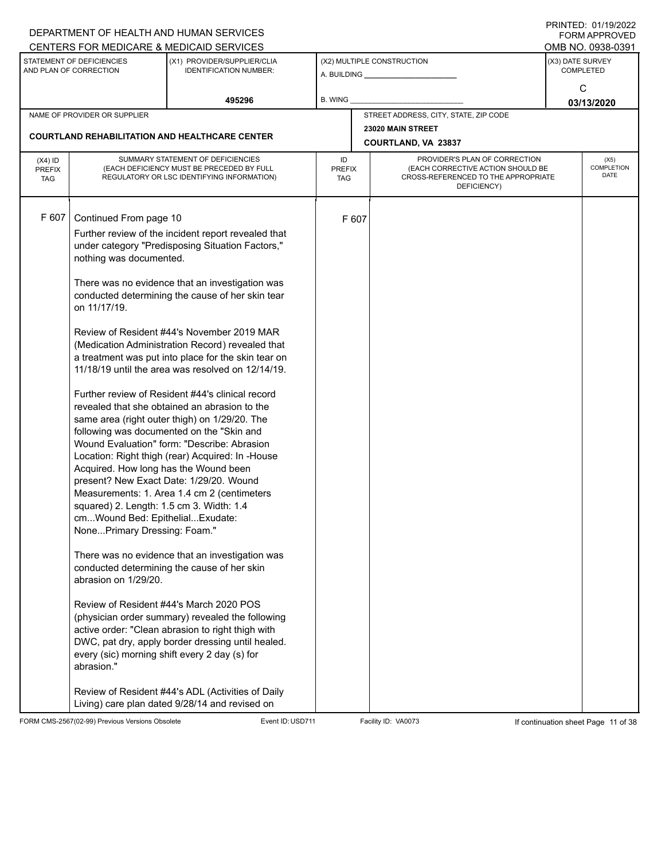|                                          |                                                                                                                                                                                                                                                                 | DEPARTMENT OF HEALTH AND HUMAN SERVICES                                                                                                                                                                                                                                                                                                                                                                                                                                                                                                                                                                                                                                                                                                                                                                                                                                                                                                                                                                                                                                                                                                                                                                                                       |                            |       |                                                                                                                          | <b>FORM APPROVED</b>                 |
|------------------------------------------|-----------------------------------------------------------------------------------------------------------------------------------------------------------------------------------------------------------------------------------------------------------------|-----------------------------------------------------------------------------------------------------------------------------------------------------------------------------------------------------------------------------------------------------------------------------------------------------------------------------------------------------------------------------------------------------------------------------------------------------------------------------------------------------------------------------------------------------------------------------------------------------------------------------------------------------------------------------------------------------------------------------------------------------------------------------------------------------------------------------------------------------------------------------------------------------------------------------------------------------------------------------------------------------------------------------------------------------------------------------------------------------------------------------------------------------------------------------------------------------------------------------------------------|----------------------------|-------|--------------------------------------------------------------------------------------------------------------------------|--------------------------------------|
|                                          |                                                                                                                                                                                                                                                                 | CENTERS FOR MEDICARE & MEDICAID SERVICES                                                                                                                                                                                                                                                                                                                                                                                                                                                                                                                                                                                                                                                                                                                                                                                                                                                                                                                                                                                                                                                                                                                                                                                                      |                            |       |                                                                                                                          | OMB NO. 0938-0391                    |
|                                          | STATEMENT OF DEFICIENCIES<br>AND PLAN OF CORRECTION                                                                                                                                                                                                             | (X1) PROVIDER/SUPPLIER/CLIA<br><b>IDENTIFICATION NUMBER:</b>                                                                                                                                                                                                                                                                                                                                                                                                                                                                                                                                                                                                                                                                                                                                                                                                                                                                                                                                                                                                                                                                                                                                                                                  |                            |       | (X2) MULTIPLE CONSTRUCTION                                                                                               | (X3) DATE SURVEY<br><b>COMPLETED</b> |
|                                          |                                                                                                                                                                                                                                                                 | 495296                                                                                                                                                                                                                                                                                                                                                                                                                                                                                                                                                                                                                                                                                                                                                                                                                                                                                                                                                                                                                                                                                                                                                                                                                                        | B. WING                    |       |                                                                                                                          | C<br>03/13/2020                      |
|                                          | NAME OF PROVIDER OR SUPPLIER                                                                                                                                                                                                                                    |                                                                                                                                                                                                                                                                                                                                                                                                                                                                                                                                                                                                                                                                                                                                                                                                                                                                                                                                                                                                                                                                                                                                                                                                                                               |                            |       | STREET ADDRESS, CITY, STATE, ZIP CODE                                                                                    |                                      |
|                                          |                                                                                                                                                                                                                                                                 |                                                                                                                                                                                                                                                                                                                                                                                                                                                                                                                                                                                                                                                                                                                                                                                                                                                                                                                                                                                                                                                                                                                                                                                                                                               |                            |       | 23020 MAIN STREET                                                                                                        |                                      |
|                                          |                                                                                                                                                                                                                                                                 | <b>COURTLAND REHABILITATION AND HEALTHCARE CENTER</b>                                                                                                                                                                                                                                                                                                                                                                                                                                                                                                                                                                                                                                                                                                                                                                                                                                                                                                                                                                                                                                                                                                                                                                                         |                            |       | COURTLAND, VA 23837                                                                                                      |                                      |
| $(X4)$ ID<br><b>PREFIX</b><br><b>TAG</b> |                                                                                                                                                                                                                                                                 | SUMMARY STATEMENT OF DEFICIENCIES<br>(EACH DEFICIENCY MUST BE PRECEDED BY FULL<br>REGULATORY OR LSC IDENTIFYING INFORMATION)                                                                                                                                                                                                                                                                                                                                                                                                                                                                                                                                                                                                                                                                                                                                                                                                                                                                                                                                                                                                                                                                                                                  | ID<br><b>PREFIX</b><br>TAG |       | PROVIDER'S PLAN OF CORRECTION<br>(EACH CORRECTIVE ACTION SHOULD BE<br>CROSS-REFERENCED TO THE APPROPRIATE<br>DEFICIENCY) | (X5)<br>COMPLETION<br><b>DATE</b>    |
| F 607                                    | Continued From page 10<br>nothing was documented.<br>on 11/17/19.<br>Acquired. How long has the Wound been<br>squared) 2. Length: 1.5 cm 3. Width: 1.4<br>cmWound Bed: EpithelialExudate:<br>NonePrimary Dressing: Foam."<br>abrasion on 1/29/20.<br>abrasion." | Further review of the incident report revealed that<br>under category "Predisposing Situation Factors,"<br>There was no evidence that an investigation was<br>conducted determining the cause of her skin tear<br>Review of Resident #44's November 2019 MAR<br>(Medication Administration Record) revealed that<br>a treatment was put into place for the skin tear on<br>11/18/19 until the area was resolved on 12/14/19.<br>Further review of Resident #44's clinical record<br>revealed that she obtained an abrasion to the<br>same area (right outer thigh) on 1/29/20. The<br>following was documented on the "Skin and<br>Wound Evaluation" form: "Describe: Abrasion<br>Location: Right thigh (rear) Acquired: In -House<br>present? New Exact Date: 1/29/20. Wound<br>Measurements: 1. Area 1.4 cm 2 (centimeters<br>There was no evidence that an investigation was<br>conducted determining the cause of her skin<br>Review of Resident #44's March 2020 POS<br>(physician order summary) revealed the following<br>active order: "Clean abrasion to right thigh with<br>DWC, pat dry, apply border dressing until healed.<br>every (sic) morning shift every 2 day (s) for<br>Review of Resident #44's ADL (Activities of Daily |                            | F 607 |                                                                                                                          |                                      |
|                                          |                                                                                                                                                                                                                                                                 | Living) care plan dated 9/28/14 and revised on                                                                                                                                                                                                                                                                                                                                                                                                                                                                                                                                                                                                                                                                                                                                                                                                                                                                                                                                                                                                                                                                                                                                                                                                |                            |       |                                                                                                                          |                                      |

FORM CMS-2567(02-99) Previous Versions Obsolete Event ID:USD711 Facility ID: VA0073 If continuation sheet Page 11 of 38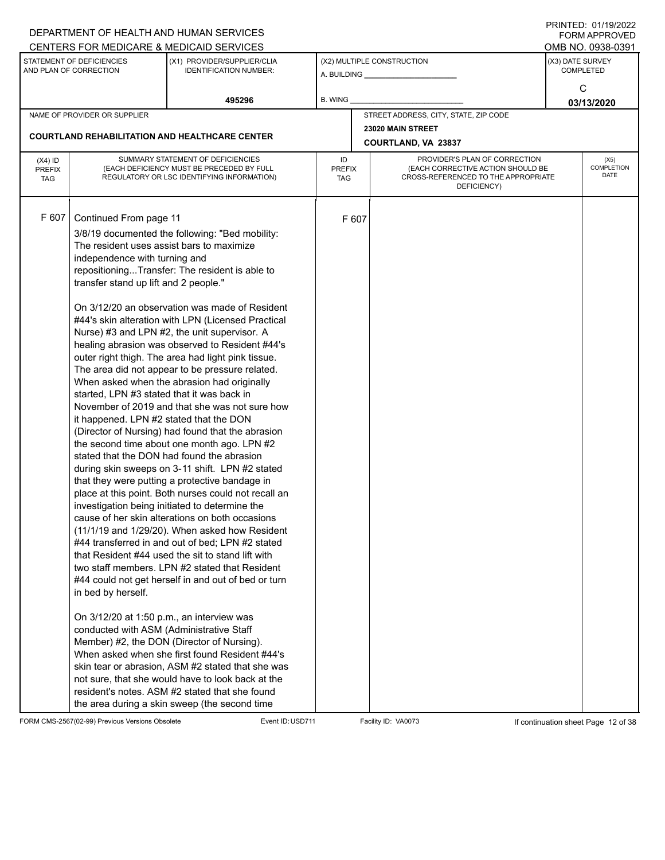|                                          |                                                                                                                                                                                                                                                                                                                                                       | DEPARTMENT OF HEALTH AND HUMAN SERVICES                                                                                                                                                                                                                                                                                                                                                                                                                                                                                                                                                                                                                                                                                                                                                                                                                                                                                                                                                                                                                                                                                                                                                                                                                                                                                                                                                                                                                                                                                     |                     |       |                                                                                                                          |                  | I I SII SI LED. O I <i>I</i> I <i>di E</i> uzz<br><b>FORM APPROVED</b> |
|------------------------------------------|-------------------------------------------------------------------------------------------------------------------------------------------------------------------------------------------------------------------------------------------------------------------------------------------------------------------------------------------------------|-----------------------------------------------------------------------------------------------------------------------------------------------------------------------------------------------------------------------------------------------------------------------------------------------------------------------------------------------------------------------------------------------------------------------------------------------------------------------------------------------------------------------------------------------------------------------------------------------------------------------------------------------------------------------------------------------------------------------------------------------------------------------------------------------------------------------------------------------------------------------------------------------------------------------------------------------------------------------------------------------------------------------------------------------------------------------------------------------------------------------------------------------------------------------------------------------------------------------------------------------------------------------------------------------------------------------------------------------------------------------------------------------------------------------------------------------------------------------------------------------------------------------------|---------------------|-------|--------------------------------------------------------------------------------------------------------------------------|------------------|------------------------------------------------------------------------|
|                                          |                                                                                                                                                                                                                                                                                                                                                       | CENTERS FOR MEDICARE & MEDICAID SERVICES                                                                                                                                                                                                                                                                                                                                                                                                                                                                                                                                                                                                                                                                                                                                                                                                                                                                                                                                                                                                                                                                                                                                                                                                                                                                                                                                                                                                                                                                                    |                     |       |                                                                                                                          |                  | OMB NO. 0938-0391                                                      |
|                                          | STATEMENT OF DEFICIENCIES<br>AND PLAN OF CORRECTION                                                                                                                                                                                                                                                                                                   | (X1) PROVIDER/SUPPLIER/CLIA<br><b>IDENTIFICATION NUMBER:</b>                                                                                                                                                                                                                                                                                                                                                                                                                                                                                                                                                                                                                                                                                                                                                                                                                                                                                                                                                                                                                                                                                                                                                                                                                                                                                                                                                                                                                                                                |                     |       | (X2) MULTIPLE CONSTRUCTION                                                                                               | (X3) DATE SURVEY | <b>COMPLETED</b>                                                       |
|                                          |                                                                                                                                                                                                                                                                                                                                                       | 495296                                                                                                                                                                                                                                                                                                                                                                                                                                                                                                                                                                                                                                                                                                                                                                                                                                                                                                                                                                                                                                                                                                                                                                                                                                                                                                                                                                                                                                                                                                                      | B. WING             |       |                                                                                                                          |                  | C<br>03/13/2020                                                        |
|                                          | NAME OF PROVIDER OR SUPPLIER                                                                                                                                                                                                                                                                                                                          |                                                                                                                                                                                                                                                                                                                                                                                                                                                                                                                                                                                                                                                                                                                                                                                                                                                                                                                                                                                                                                                                                                                                                                                                                                                                                                                                                                                                                                                                                                                             |                     |       | STREET ADDRESS, CITY, STATE, ZIP CODE                                                                                    |                  |                                                                        |
|                                          |                                                                                                                                                                                                                                                                                                                                                       |                                                                                                                                                                                                                                                                                                                                                                                                                                                                                                                                                                                                                                                                                                                                                                                                                                                                                                                                                                                                                                                                                                                                                                                                                                                                                                                                                                                                                                                                                                                             |                     |       | 23020 MAIN STREET                                                                                                        |                  |                                                                        |
|                                          |                                                                                                                                                                                                                                                                                                                                                       | <b>COURTLAND REHABILITATION AND HEALTHCARE CENTER</b>                                                                                                                                                                                                                                                                                                                                                                                                                                                                                                                                                                                                                                                                                                                                                                                                                                                                                                                                                                                                                                                                                                                                                                                                                                                                                                                                                                                                                                                                       |                     |       | COURTLAND, VA 23837                                                                                                      |                  |                                                                        |
| $(X4)$ ID<br><b>PREFIX</b><br><b>TAG</b> |                                                                                                                                                                                                                                                                                                                                                       | SUMMARY STATEMENT OF DEFICIENCIES<br>(EACH DEFICIENCY MUST BE PRECEDED BY FULL<br>REGULATORY OR LSC IDENTIFYING INFORMATION)                                                                                                                                                                                                                                                                                                                                                                                                                                                                                                                                                                                                                                                                                                                                                                                                                                                                                                                                                                                                                                                                                                                                                                                                                                                                                                                                                                                                | ID<br>PREFIX<br>TAG |       | PROVIDER'S PLAN OF CORRECTION<br>(EACH CORRECTIVE ACTION SHOULD BE<br>CROSS-REFERENCED TO THE APPROPRIATE<br>DEFICIENCY) |                  | (X5)<br><b>COMPLETION</b><br>DATE                                      |
| F 607                                    | Continued From page 11<br>The resident uses assist bars to maximize<br>independence with turning and<br>transfer stand up lift and 2 people."<br>started, LPN #3 stated that it was back in<br>it happened. LPN #2 stated that the DON<br>in bed by herself.<br>On 3/12/20 at 1:50 p.m., an interview was<br>conducted with ASM (Administrative Staff | 3/8/19 documented the following: "Bed mobility:<br>repositioningTransfer: The resident is able to<br>On 3/12/20 an observation was made of Resident<br>#44's skin alteration with LPN (Licensed Practical<br>Nurse) #3 and LPN #2, the unit supervisor. A<br>healing abrasion was observed to Resident #44's<br>outer right thigh. The area had light pink tissue.<br>The area did not appear to be pressure related.<br>When asked when the abrasion had originally<br>November of 2019 and that she was not sure how<br>(Director of Nursing) had found that the abrasion<br>the second time about one month ago. LPN #2<br>stated that the DON had found the abrasion<br>during skin sweeps on 3-11 shift. LPN #2 stated<br>that they were putting a protective bandage in<br>place at this point. Both nurses could not recall an<br>investigation being initiated to determine the<br>cause of her skin alterations on both occasions<br>(11/1/19 and 1/29/20). When asked how Resident<br>#44 transferred in and out of bed; LPN #2 stated<br>that Resident #44 used the sit to stand lift with<br>two staff members. LPN #2 stated that Resident<br>#44 could not get herself in and out of bed or turn<br>Member) #2, the DON (Director of Nursing).<br>When asked when she first found Resident #44's<br>skin tear or abrasion, ASM #2 stated that she was<br>not sure, that she would have to look back at the<br>resident's notes. ASM #2 stated that she found<br>the area during a skin sweep (the second time |                     | F 607 |                                                                                                                          |                  |                                                                        |

FORM CMS-2567(02-99) Previous Versions Obsolete Event ID:USD711 Facility ID: VA0073 If continuation sheet Page 12 of 38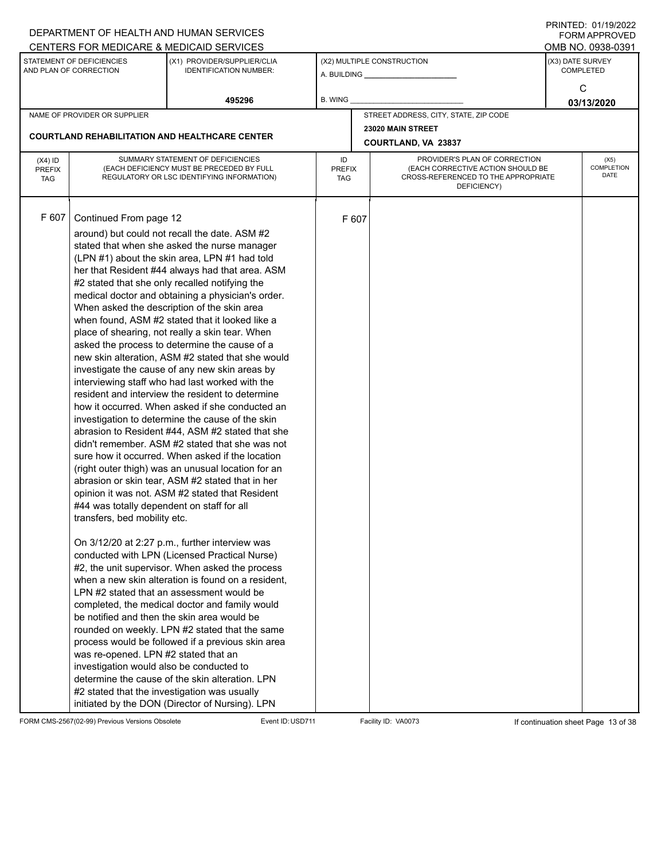|                                                                                                         |                                                                                                                                                                                          | DEPARTMENT OF HEALTH AND HUMAN SERVICES                                                                                                                                                                                                                                                                                                                                                                                                                                                                                                                                                                                                                                                                                                                                                                                                                                                                                                                                                                                                                                                                                                                                                                                                                                                                                                                                                                                                                                                                                                                                                                                                                                                                                                                                            |                |                                                                                                                 |                                       |                  | <b>FORM APPROVED</b> |  |
|---------------------------------------------------------------------------------------------------------|------------------------------------------------------------------------------------------------------------------------------------------------------------------------------------------|------------------------------------------------------------------------------------------------------------------------------------------------------------------------------------------------------------------------------------------------------------------------------------------------------------------------------------------------------------------------------------------------------------------------------------------------------------------------------------------------------------------------------------------------------------------------------------------------------------------------------------------------------------------------------------------------------------------------------------------------------------------------------------------------------------------------------------------------------------------------------------------------------------------------------------------------------------------------------------------------------------------------------------------------------------------------------------------------------------------------------------------------------------------------------------------------------------------------------------------------------------------------------------------------------------------------------------------------------------------------------------------------------------------------------------------------------------------------------------------------------------------------------------------------------------------------------------------------------------------------------------------------------------------------------------------------------------------------------------------------------------------------------------|----------------|-----------------------------------------------------------------------------------------------------------------|---------------------------------------|------------------|----------------------|--|
|                                                                                                         |                                                                                                                                                                                          | CENTERS FOR MEDICARE & MEDICAID SERVICES                                                                                                                                                                                                                                                                                                                                                                                                                                                                                                                                                                                                                                                                                                                                                                                                                                                                                                                                                                                                                                                                                                                                                                                                                                                                                                                                                                                                                                                                                                                                                                                                                                                                                                                                           |                |                                                                                                                 |                                       |                  | OMB NO. 0938-0391    |  |
|                                                                                                         | STATEMENT OF DEFICIENCIES<br>AND PLAN OF CORRECTION                                                                                                                                      | (X1) PROVIDER/SUPPLIER/CLIA<br><b>IDENTIFICATION NUMBER:</b>                                                                                                                                                                                                                                                                                                                                                                                                                                                                                                                                                                                                                                                                                                                                                                                                                                                                                                                                                                                                                                                                                                                                                                                                                                                                                                                                                                                                                                                                                                                                                                                                                                                                                                                       |                |                                                                                                                 | (X2) MULTIPLE CONSTRUCTION            | (X3) DATE SURVEY | <b>COMPLETED</b>     |  |
|                                                                                                         |                                                                                                                                                                                          |                                                                                                                                                                                                                                                                                                                                                                                                                                                                                                                                                                                                                                                                                                                                                                                                                                                                                                                                                                                                                                                                                                                                                                                                                                                                                                                                                                                                                                                                                                                                                                                                                                                                                                                                                                                    |                |                                                                                                                 |                                       |                  | С                    |  |
|                                                                                                         |                                                                                                                                                                                          | 495296                                                                                                                                                                                                                                                                                                                                                                                                                                                                                                                                                                                                                                                                                                                                                                                                                                                                                                                                                                                                                                                                                                                                                                                                                                                                                                                                                                                                                                                                                                                                                                                                                                                                                                                                                                             | <b>B. WING</b> |                                                                                                                 |                                       |                  | 03/13/2020           |  |
|                                                                                                         | NAME OF PROVIDER OR SUPPLIER                                                                                                                                                             |                                                                                                                                                                                                                                                                                                                                                                                                                                                                                                                                                                                                                                                                                                                                                                                                                                                                                                                                                                                                                                                                                                                                                                                                                                                                                                                                                                                                                                                                                                                                                                                                                                                                                                                                                                                    |                |                                                                                                                 | STREET ADDRESS, CITY, STATE, ZIP CODE |                  |                      |  |
| <b>COURTLAND REHABILITATION AND HEALTHCARE CENTER</b><br>SUMMARY STATEMENT OF DEFICIENCIES<br>$(X4)$ ID |                                                                                                                                                                                          |                                                                                                                                                                                                                                                                                                                                                                                                                                                                                                                                                                                                                                                                                                                                                                                                                                                                                                                                                                                                                                                                                                                                                                                                                                                                                                                                                                                                                                                                                                                                                                                                                                                                                                                                                                                    |                |                                                                                                                 | 23020 MAIN STREET                     |                  |                      |  |
|                                                                                                         |                                                                                                                                                                                          |                                                                                                                                                                                                                                                                                                                                                                                                                                                                                                                                                                                                                                                                                                                                                                                                                                                                                                                                                                                                                                                                                                                                                                                                                                                                                                                                                                                                                                                                                                                                                                                                                                                                                                                                                                                    |                | COURTLAND, VA 23837<br>PROVIDER'S PLAN OF CORRECTION<br>ID<br><b>COMPLETION</b>                                 |                                       |                  |                      |  |
| <b>PREFIX</b><br><b>TAG</b>                                                                             |                                                                                                                                                                                          | (EACH DEFICIENCY MUST BE PRECEDED BY FULL<br>REGULATORY OR LSC IDENTIFYING INFORMATION)                                                                                                                                                                                                                                                                                                                                                                                                                                                                                                                                                                                                                                                                                                                                                                                                                                                                                                                                                                                                                                                                                                                                                                                                                                                                                                                                                                                                                                                                                                                                                                                                                                                                                            |                | (EACH CORRECTIVE ACTION SHOULD BE<br><b>PREFIX</b><br>CROSS-REFERENCED TO THE APPROPRIATE<br>TAG<br>DEFICIENCY) |                                       |                  |                      |  |
| F 607                                                                                                   | Continued From page 12<br>#44 was totally dependent on staff for all<br>transfers, bed mobility etc.<br>was re-opened. LPN #2 stated that an<br>investigation would also be conducted to | around) but could not recall the date. ASM #2<br>stated that when she asked the nurse manager<br>(LPN #1) about the skin area, LPN #1 had told<br>her that Resident #44 always had that area. ASM<br>#2 stated that she only recalled notifying the<br>medical doctor and obtaining a physician's order.<br>When asked the description of the skin area<br>when found, ASM #2 stated that it looked like a<br>place of shearing, not really a skin tear. When<br>asked the process to determine the cause of a<br>new skin alteration, ASM #2 stated that she would<br>investigate the cause of any new skin areas by<br>interviewing staff who had last worked with the<br>resident and interview the resident to determine<br>how it occurred. When asked if she conducted an<br>investigation to determine the cause of the skin<br>abrasion to Resident #44, ASM #2 stated that she<br>didn't remember. ASM #2 stated that she was not<br>sure how it occurred. When asked if the location<br>(right outer thigh) was an unusual location for an<br>abrasion or skin tear, ASM #2 stated that in her<br>opinion it was not. ASM #2 stated that Resident<br>On 3/12/20 at 2:27 p.m., further interview was<br>conducted with LPN (Licensed Practical Nurse)<br>#2, the unit supervisor. When asked the process<br>when a new skin alteration is found on a resident,<br>LPN #2 stated that an assessment would be<br>completed, the medical doctor and family would<br>be notified and then the skin area would be<br>rounded on weekly. LPN #2 stated that the same<br>process would be followed if a previous skin area<br>determine the cause of the skin alteration. LPN<br>#2 stated that the investigation was usually<br>initiated by the DON (Director of Nursing). LPN |                | F 607                                                                                                           |                                       |                  |                      |  |

FORM CMS-2567(02-99) Previous Versions Obsolete Event ID:USD711 Facility ID: VA0073 If continuation sheet Page 13 of 38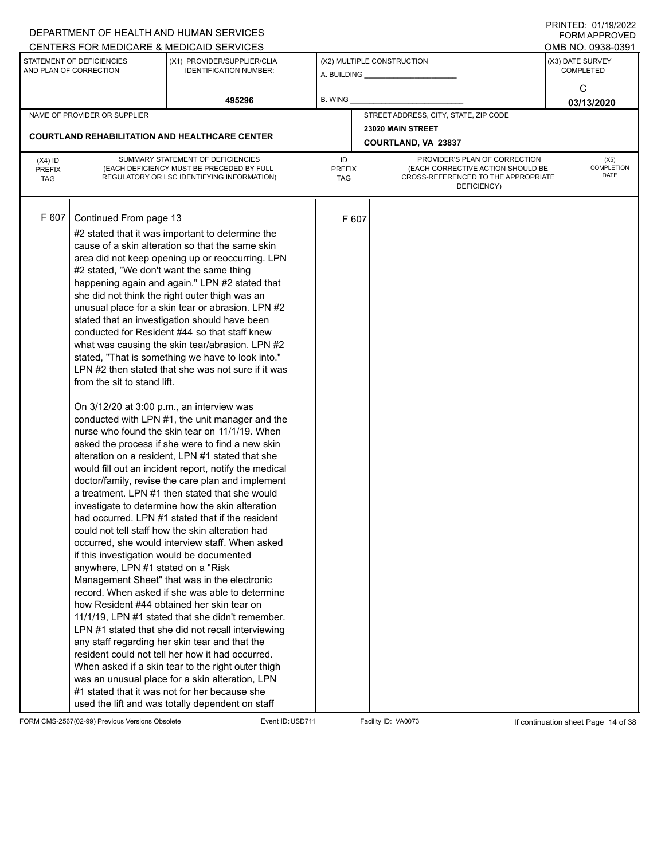|                                          |                                                                                                                                                                                                                                   | DEPARTMENT OF HEALTH AND HUMAN SERVICES<br>CENTERS FOR MEDICARE & MEDICAID SERVICES                                                                                                                                                                                                                                                                                                                                                                                                                                                                                                                                                                                                                                                                                                                                                                                                                                                                                                                                                                                                                                                                                                                                                                                                                                                                                                                                                                                                                                                                                                                                                                                                                      |                            |       |                                                                                                                          |  | $1 \times 1 \times 1 = 1$ . $0 \times 1 \times 1 = 0$<br><b>FORM APPROVED</b><br>OMB NO. 0938-0391 |  |
|------------------------------------------|-----------------------------------------------------------------------------------------------------------------------------------------------------------------------------------------------------------------------------------|----------------------------------------------------------------------------------------------------------------------------------------------------------------------------------------------------------------------------------------------------------------------------------------------------------------------------------------------------------------------------------------------------------------------------------------------------------------------------------------------------------------------------------------------------------------------------------------------------------------------------------------------------------------------------------------------------------------------------------------------------------------------------------------------------------------------------------------------------------------------------------------------------------------------------------------------------------------------------------------------------------------------------------------------------------------------------------------------------------------------------------------------------------------------------------------------------------------------------------------------------------------------------------------------------------------------------------------------------------------------------------------------------------------------------------------------------------------------------------------------------------------------------------------------------------------------------------------------------------------------------------------------------------------------------------------------------------|----------------------------|-------|--------------------------------------------------------------------------------------------------------------------------|--|----------------------------------------------------------------------------------------------------|--|
|                                          | STATEMENT OF DEFICIENCIES<br>AND PLAN OF CORRECTION                                                                                                                                                                               | (X1) PROVIDER/SUPPLIER/CLIA<br><b>IDENTIFICATION NUMBER:</b>                                                                                                                                                                                                                                                                                                                                                                                                                                                                                                                                                                                                                                                                                                                                                                                                                                                                                                                                                                                                                                                                                                                                                                                                                                                                                                                                                                                                                                                                                                                                                                                                                                             |                            |       | (X2) MULTIPLE CONSTRUCTION                                                                                               |  | (X3) DATE SURVEY<br><b>COMPLETED</b>                                                               |  |
|                                          |                                                                                                                                                                                                                                   |                                                                                                                                                                                                                                                                                                                                                                                                                                                                                                                                                                                                                                                                                                                                                                                                                                                                                                                                                                                                                                                                                                                                                                                                                                                                                                                                                                                                                                                                                                                                                                                                                                                                                                          |                            |       | A. BUILDING _________________                                                                                            |  |                                                                                                    |  |
|                                          |                                                                                                                                                                                                                                   | 495296                                                                                                                                                                                                                                                                                                                                                                                                                                                                                                                                                                                                                                                                                                                                                                                                                                                                                                                                                                                                                                                                                                                                                                                                                                                                                                                                                                                                                                                                                                                                                                                                                                                                                                   | <b>B. WING</b>             |       |                                                                                                                          |  | C<br>03/13/2020                                                                                    |  |
|                                          | NAME OF PROVIDER OR SUPPLIER                                                                                                                                                                                                      |                                                                                                                                                                                                                                                                                                                                                                                                                                                                                                                                                                                                                                                                                                                                                                                                                                                                                                                                                                                                                                                                                                                                                                                                                                                                                                                                                                                                                                                                                                                                                                                                                                                                                                          |                            |       | STREET ADDRESS, CITY, STATE, ZIP CODE                                                                                    |  |                                                                                                    |  |
|                                          |                                                                                                                                                                                                                                   |                                                                                                                                                                                                                                                                                                                                                                                                                                                                                                                                                                                                                                                                                                                                                                                                                                                                                                                                                                                                                                                                                                                                                                                                                                                                                                                                                                                                                                                                                                                                                                                                                                                                                                          |                            |       | 23020 MAIN STREET                                                                                                        |  |                                                                                                    |  |
|                                          |                                                                                                                                                                                                                                   | <b>COURTLAND REHABILITATION AND HEALTHCARE CENTER</b>                                                                                                                                                                                                                                                                                                                                                                                                                                                                                                                                                                                                                                                                                                                                                                                                                                                                                                                                                                                                                                                                                                                                                                                                                                                                                                                                                                                                                                                                                                                                                                                                                                                    |                            |       | COURTLAND, VA 23837                                                                                                      |  |                                                                                                    |  |
| $(X4)$ ID<br><b>PREFIX</b><br><b>TAG</b> |                                                                                                                                                                                                                                   | SUMMARY STATEMENT OF DEFICIENCIES<br>(EACH DEFICIENCY MUST BE PRECEDED BY FULL<br>REGULATORY OR LSC IDENTIFYING INFORMATION)                                                                                                                                                                                                                                                                                                                                                                                                                                                                                                                                                                                                                                                                                                                                                                                                                                                                                                                                                                                                                                                                                                                                                                                                                                                                                                                                                                                                                                                                                                                                                                             | ID<br><b>PREFIX</b><br>TAG |       | PROVIDER'S PLAN OF CORRECTION<br>(EACH CORRECTIVE ACTION SHOULD BE<br>CROSS-REFERENCED TO THE APPROPRIATE<br>DEFICIENCY) |  | (X5)<br><b>COMPLETION</b><br>DATE                                                                  |  |
| F 607                                    | Continued From page 13<br>#2 stated, "We don't want the same thing<br>from the sit to stand lift.<br>On 3/12/20 at 3:00 p.m., an interview was<br>if this investigation would be documented<br>anywhere, LPN #1 stated on a "Risk | #2 stated that it was important to determine the<br>cause of a skin alteration so that the same skin<br>area did not keep opening up or reoccurring. LPN<br>happening again and again." LPN #2 stated that<br>she did not think the right outer thigh was an<br>unusual place for a skin tear or abrasion. LPN #2<br>stated that an investigation should have been<br>conducted for Resident #44 so that staff knew<br>what was causing the skin tear/abrasion. LPN #2<br>stated, "That is something we have to look into."<br>LPN #2 then stated that she was not sure if it was<br>conducted with LPN #1, the unit manager and the<br>nurse who found the skin tear on 11/1/19. When<br>asked the process if she were to find a new skin<br>alteration on a resident, LPN #1 stated that she<br>would fill out an incident report, notify the medical<br>doctor/family, revise the care plan and implement<br>a treatment. LPN #1 then stated that she would<br>investigate to determine how the skin alteration<br>had occurred. LPN #1 stated that if the resident<br>could not tell staff how the skin alteration had<br>occurred, she would interview staff. When asked<br>Management Sheet" that was in the electronic<br>record. When asked if she was able to determine<br>how Resident #44 obtained her skin tear on<br>11/1/19, LPN #1 stated that she didn't remember.<br>LPN #1 stated that she did not recall interviewing<br>any staff regarding her skin tear and that the<br>resident could not tell her how it had occurred.<br>When asked if a skin tear to the right outer thigh<br>was an unusual place for a skin alteration, LPN<br>#1 stated that it was not for her because she |                            | F 607 |                                                                                                                          |  |                                                                                                    |  |
|                                          |                                                                                                                                                                                                                                   | used the lift and was totally dependent on staff                                                                                                                                                                                                                                                                                                                                                                                                                                                                                                                                                                                                                                                                                                                                                                                                                                                                                                                                                                                                                                                                                                                                                                                                                                                                                                                                                                                                                                                                                                                                                                                                                                                         |                            |       |                                                                                                                          |  |                                                                                                    |  |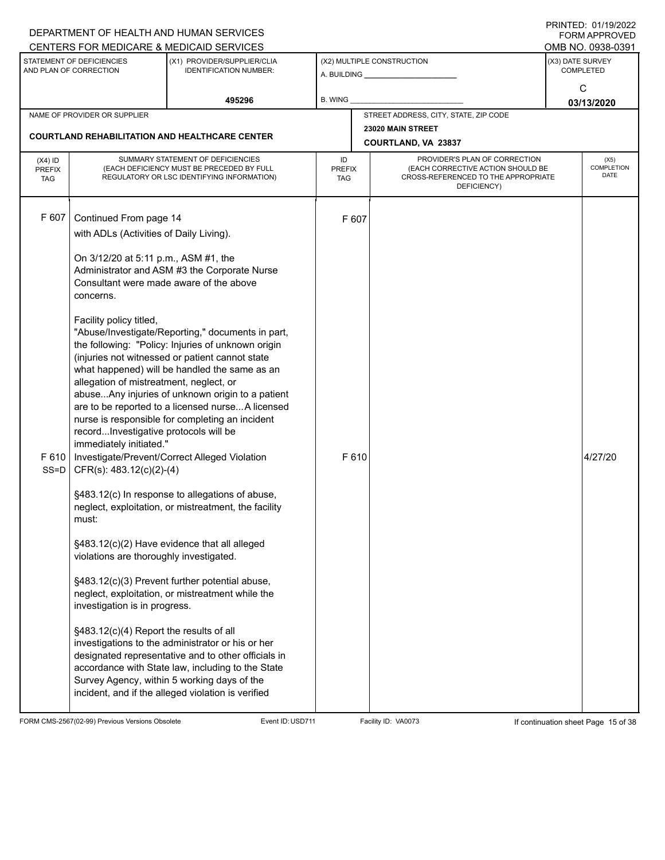|                                          |                                                                                                                                                                                                                                                                                                                                                                                                                                                                         | DEPARTMENT OF HEALTH AND HUMAN SERVICES                                                                                                                                                                                                                                                                                                                                                                                                                                                                                                                                                                                                                                                                                                                                                                                                                                                                                                                  |                                   |               |                                                                                                                          |                  | FININILU. VIII JIZUZZ<br><b>FORM APPROVED</b><br>OMB NO. 0938-0391 |
|------------------------------------------|-------------------------------------------------------------------------------------------------------------------------------------------------------------------------------------------------------------------------------------------------------------------------------------------------------------------------------------------------------------------------------------------------------------------------------------------------------------------------|----------------------------------------------------------------------------------------------------------------------------------------------------------------------------------------------------------------------------------------------------------------------------------------------------------------------------------------------------------------------------------------------------------------------------------------------------------------------------------------------------------------------------------------------------------------------------------------------------------------------------------------------------------------------------------------------------------------------------------------------------------------------------------------------------------------------------------------------------------------------------------------------------------------------------------------------------------|-----------------------------------|---------------|--------------------------------------------------------------------------------------------------------------------------|------------------|--------------------------------------------------------------------|
|                                          | CENTERS FOR MEDICARE & MEDICAID SERVICES<br>STATEMENT OF DEFICIENCIES<br>(X1) PROVIDER/SUPPLIER/CLIA<br>AND PLAN OF CORRECTION<br><b>IDENTIFICATION NUMBER:</b>                                                                                                                                                                                                                                                                                                         |                                                                                                                                                                                                                                                                                                                                                                                                                                                                                                                                                                                                                                                                                                                                                                                                                                                                                                                                                          |                                   |               | (X2) MULTIPLE CONSTRUCTION                                                                                               | (X3) DATE SURVEY | <b>COMPLETED</b><br>C                                              |
|                                          |                                                                                                                                                                                                                                                                                                                                                                                                                                                                         | 495296                                                                                                                                                                                                                                                                                                                                                                                                                                                                                                                                                                                                                                                                                                                                                                                                                                                                                                                                                   | <b>B. WING</b>                    |               |                                                                                                                          |                  | 03/13/2020                                                         |
|                                          | NAME OF PROVIDER OR SUPPLIER                                                                                                                                                                                                                                                                                                                                                                                                                                            |                                                                                                                                                                                                                                                                                                                                                                                                                                                                                                                                                                                                                                                                                                                                                                                                                                                                                                                                                          |                                   |               | STREET ADDRESS, CITY, STATE, ZIP CODE                                                                                    |                  |                                                                    |
|                                          |                                                                                                                                                                                                                                                                                                                                                                                                                                                                         | <b>COURTLAND REHABILITATION AND HEALTHCARE CENTER</b>                                                                                                                                                                                                                                                                                                                                                                                                                                                                                                                                                                                                                                                                                                                                                                                                                                                                                                    |                                   |               | 23020 MAIN STREET<br>COURTLAND, VA 23837                                                                                 |                  |                                                                    |
| $(X4)$ ID<br><b>PREFIX</b><br><b>TAG</b> |                                                                                                                                                                                                                                                                                                                                                                                                                                                                         | SUMMARY STATEMENT OF DEFICIENCIES<br>(EACH DEFICIENCY MUST BE PRECEDED BY FULL<br>REGULATORY OR LSC IDENTIFYING INFORMATION)                                                                                                                                                                                                                                                                                                                                                                                                                                                                                                                                                                                                                                                                                                                                                                                                                             | ID<br><b>PREFIX</b><br><b>TAG</b> |               | PROVIDER'S PLAN OF CORRECTION<br>(EACH CORRECTIVE ACTION SHOULD BE<br>CROSS-REFERENCED TO THE APPROPRIATE<br>DEFICIENCY) |                  | (X5)<br><b>COMPLETION</b><br><b>DATE</b>                           |
| F 607<br>F 610<br>$SS = D$               | Continued From page 14<br>with ADLs (Activities of Daily Living).<br>On 3/12/20 at 5:11 p.m., ASM #1, the<br>Consultant were made aware of the above<br>concerns.<br>Facility policy titled,<br>allegation of mistreatment, neglect, or<br>recordInvestigative protocols will be<br>immediately initiated."<br>CFR(s): 483.12(c)(2)-(4)<br>must:<br>violations are thoroughly investigated.<br>investigation is in progress.<br>§483.12(c)(4) Report the results of all | Administrator and ASM #3 the Corporate Nurse<br>"Abuse/Investigate/Reporting," documents in part,<br>the following: "Policy: Injuries of unknown origin<br>(injuries not witnessed or patient cannot state<br>what happened) will be handled the same as an<br>abuseAny injuries of unknown origin to a patient<br>are to be reported to a licensed nurseA licensed<br>nurse is responsible for completing an incident<br>Investigate/Prevent/Correct Alleged Violation<br>§483.12(c) In response to allegations of abuse,<br>neglect, exploitation, or mistreatment, the facility<br>§483.12(c)(2) Have evidence that all alleged<br>§483.12(c)(3) Prevent further potential abuse,<br>neglect, exploitation, or mistreatment while the<br>investigations to the administrator or his or her<br>designated representative and to other officials in<br>accordance with State law, including to the State<br>Survey Agency, within 5 working days of the |                                   | F 607<br>F610 |                                                                                                                          |                  | 4/27/20                                                            |
|                                          |                                                                                                                                                                                                                                                                                                                                                                                                                                                                         | incident, and if the alleged violation is verified                                                                                                                                                                                                                                                                                                                                                                                                                                                                                                                                                                                                                                                                                                                                                                                                                                                                                                       |                                   |               |                                                                                                                          |                  |                                                                    |

FORM CMS-2567(02-99) Previous Versions Obsolete Event ID:USD711 Facility ID: VA0073 If continuation sheet Page 15 of 38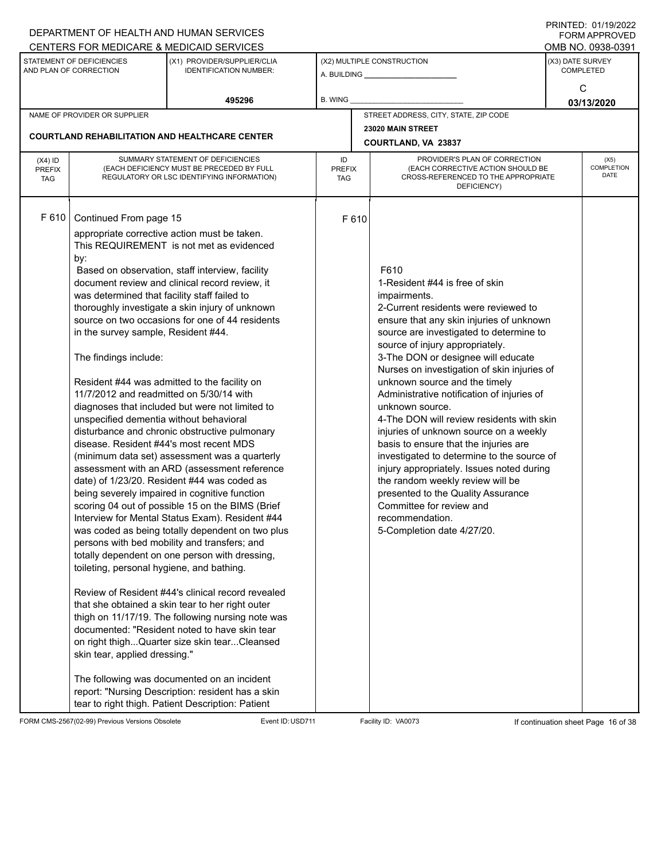|                                          |                                                                                                                                                                                                                                                                                                                                                               | DEPARTMENT OF HEALTH AND HUMAN SERVICES                                                                                                                                                                                                                                                                                                                                                                                                                                                                                                                                                                                                                                                                                                                                                                                                                                                                                                                                                                                                                                                                                                                                                                                             |                                                  |  |                                                                                                                                                                                                                                                                                                                                                                                                                                                                                                                                                                                                                                                                                                                                                                                                   |                  | <b>FORM APPROVED</b>                     |
|------------------------------------------|---------------------------------------------------------------------------------------------------------------------------------------------------------------------------------------------------------------------------------------------------------------------------------------------------------------------------------------------------------------|-------------------------------------------------------------------------------------------------------------------------------------------------------------------------------------------------------------------------------------------------------------------------------------------------------------------------------------------------------------------------------------------------------------------------------------------------------------------------------------------------------------------------------------------------------------------------------------------------------------------------------------------------------------------------------------------------------------------------------------------------------------------------------------------------------------------------------------------------------------------------------------------------------------------------------------------------------------------------------------------------------------------------------------------------------------------------------------------------------------------------------------------------------------------------------------------------------------------------------------|--------------------------------------------------|--|---------------------------------------------------------------------------------------------------------------------------------------------------------------------------------------------------------------------------------------------------------------------------------------------------------------------------------------------------------------------------------------------------------------------------------------------------------------------------------------------------------------------------------------------------------------------------------------------------------------------------------------------------------------------------------------------------------------------------------------------------------------------------------------------------|------------------|------------------------------------------|
|                                          | CENTERS FOR MEDICARE & MEDICAID SERVICES<br>STATEMENT OF DEFICIENCIES<br>(X1) PROVIDER/SUPPLIER/CLIA<br>AND PLAN OF CORRECTION<br><b>IDENTIFICATION NUMBER:</b>                                                                                                                                                                                               |                                                                                                                                                                                                                                                                                                                                                                                                                                                                                                                                                                                                                                                                                                                                                                                                                                                                                                                                                                                                                                                                                                                                                                                                                                     |                                                  |  | (X2) MULTIPLE CONSTRUCTION<br>A. BUILDING <b>A.</b> BUILDING                                                                                                                                                                                                                                                                                                                                                                                                                                                                                                                                                                                                                                                                                                                                      | (X3) DATE SURVEY | OMB NO. 0938-0391<br><b>COMPLETED</b>    |
|                                          |                                                                                                                                                                                                                                                                                                                                                               | 495296                                                                                                                                                                                                                                                                                                                                                                                                                                                                                                                                                                                                                                                                                                                                                                                                                                                                                                                                                                                                                                                                                                                                                                                                                              | B. WING<br>STREET ADDRESS, CITY, STATE, ZIP CODE |  |                                                                                                                                                                                                                                                                                                                                                                                                                                                                                                                                                                                                                                                                                                                                                                                                   |                  | C<br>03/13/2020                          |
|                                          | NAME OF PROVIDER OR SUPPLIER                                                                                                                                                                                                                                                                                                                                  |                                                                                                                                                                                                                                                                                                                                                                                                                                                                                                                                                                                                                                                                                                                                                                                                                                                                                                                                                                                                                                                                                                                                                                                                                                     |                                                  |  |                                                                                                                                                                                                                                                                                                                                                                                                                                                                                                                                                                                                                                                                                                                                                                                                   |                  |                                          |
|                                          |                                                                                                                                                                                                                                                                                                                                                               |                                                                                                                                                                                                                                                                                                                                                                                                                                                                                                                                                                                                                                                                                                                                                                                                                                                                                                                                                                                                                                                                                                                                                                                                                                     |                                                  |  | 23020 MAIN STREET                                                                                                                                                                                                                                                                                                                                                                                                                                                                                                                                                                                                                                                                                                                                                                                 |                  |                                          |
|                                          |                                                                                                                                                                                                                                                                                                                                                               | <b>COURTLAND REHABILITATION AND HEALTHCARE CENTER</b>                                                                                                                                                                                                                                                                                                                                                                                                                                                                                                                                                                                                                                                                                                                                                                                                                                                                                                                                                                                                                                                                                                                                                                               |                                                  |  | COURTLAND, VA 23837                                                                                                                                                                                                                                                                                                                                                                                                                                                                                                                                                                                                                                                                                                                                                                               |                  |                                          |
| $(X4)$ ID<br><b>PREFIX</b><br><b>TAG</b> |                                                                                                                                                                                                                                                                                                                                                               | SUMMARY STATEMENT OF DEFICIENCIES<br>PROVIDER'S PLAN OF CORRECTION<br>ID<br>(EACH DEFICIENCY MUST BE PRECEDED BY FULL<br>(EACH CORRECTIVE ACTION SHOULD BE<br><b>PREFIX</b><br>CROSS-REFERENCED TO THE APPROPRIATE<br>REGULATORY OR LSC IDENTIFYING INFORMATION)<br><b>TAG</b><br>DEFICIENCY)                                                                                                                                                                                                                                                                                                                                                                                                                                                                                                                                                                                                                                                                                                                                                                                                                                                                                                                                       |                                                  |  |                                                                                                                                                                                                                                                                                                                                                                                                                                                                                                                                                                                                                                                                                                                                                                                                   |                  | (X5)<br><b>COMPLETION</b><br><b>DATE</b> |
| F 610                                    | Continued From page 15<br>by:<br>was determined that facility staff failed to<br>in the survey sample, Resident #44.<br>The findings include:<br>11/7/2012 and readmitted on 5/30/14 with<br>unspecified dementia without behavioral<br>disease. Resident #44's most recent MDS<br>toileting, personal hygiene, and bathing.<br>skin tear, applied dressing." | appropriate corrective action must be taken.<br>This REQUIREMENT is not met as evidenced<br>Based on observation, staff interview, facility<br>document review and clinical record review, it<br>thoroughly investigate a skin injury of unknown<br>source on two occasions for one of 44 residents<br>Resident #44 was admitted to the facility on<br>diagnoses that included but were not limited to<br>disturbance and chronic obstructive pulmonary<br>(minimum data set) assessment was a quarterly<br>assessment with an ARD (assessment reference<br>date) of 1/23/20. Resident #44 was coded as<br>being severely impaired in cognitive function<br>scoring 04 out of possible 15 on the BIMS (Brief<br>Interview for Mental Status Exam). Resident #44<br>was coded as being totally dependent on two plus<br>persons with bed mobility and transfers; and<br>totally dependent on one person with dressing,<br>Review of Resident #44's clinical record revealed<br>that she obtained a skin tear to her right outer<br>thigh on 11/17/19. The following nursing note was<br>documented: "Resident noted to have skin tear<br>on right thighQuarter size skin tearCleansed<br>The following was documented on an incident | F610                                             |  | F610<br>1-Resident #44 is free of skin<br>impairments.<br>2-Current residents were reviewed to<br>ensure that any skin injuries of unknown<br>source are investigated to determine to<br>source of injury appropriately.<br>3-The DON or designee will educate<br>Nurses on investigation of skin injuries of<br>unknown source and the timely<br>Administrative notification of injuries of<br>unknown source.<br>4-The DON will review residents with skin<br>injuries of unknown source on a weekly<br>basis to ensure that the injuries are<br>investigated to determine to the source of<br>injury appropriately. Issues noted during<br>the random weekly review will be<br>presented to the Quality Assurance<br>Committee for review and<br>recommendation.<br>5-Completion date 4/27/20. |                  |                                          |
|                                          |                                                                                                                                                                                                                                                                                                                                                               | report: "Nursing Description: resident has a skin<br>tear to right thigh. Patient Description: Patient                                                                                                                                                                                                                                                                                                                                                                                                                                                                                                                                                                                                                                                                                                                                                                                                                                                                                                                                                                                                                                                                                                                              |                                                  |  |                                                                                                                                                                                                                                                                                                                                                                                                                                                                                                                                                                                                                                                                                                                                                                                                   |                  |                                          |

FORM CMS-2567(02-99) Previous Versions Obsolete Event ID:USD711 Facility ID: VA0073 If continuation sheet Page 16 of 38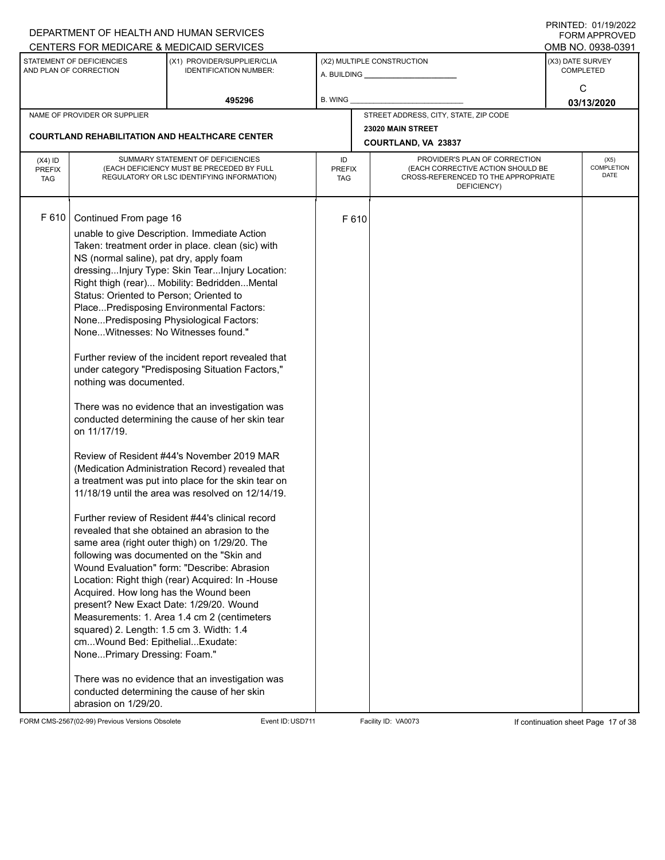|               |                                                     | DEPARTMENT OF HEALTH AND HUMAN SERVICES                                                        |               |       |                                                                          |                  | $1 \times 1 \times 1 = 1$ . $0 \times 1 \times 1 = 0$<br><b>FORM APPROVED</b> |  |  |
|---------------|-----------------------------------------------------|------------------------------------------------------------------------------------------------|---------------|-------|--------------------------------------------------------------------------|------------------|-------------------------------------------------------------------------------|--|--|
|               |                                                     | CENTERS FOR MEDICARE & MEDICAID SERVICES                                                       |               |       |                                                                          |                  | OMB NO. 0938-0391                                                             |  |  |
|               | STATEMENT OF DEFICIENCIES<br>AND PLAN OF CORRECTION | (X1) PROVIDER/SUPPLIER/CLIA<br><b>IDENTIFICATION NUMBER:</b>                                   |               |       | (X2) MULTIPLE CONSTRUCTION                                               | (X3) DATE SURVEY | <b>COMPLETED</b>                                                              |  |  |
|               |                                                     |                                                                                                |               |       |                                                                          |                  |                                                                               |  |  |
|               |                                                     | 495296                                                                                         | B. WING       |       |                                                                          |                  | С<br>03/13/2020                                                               |  |  |
|               | NAME OF PROVIDER OR SUPPLIER                        |                                                                                                |               |       | STREET ADDRESS, CITY, STATE, ZIP CODE                                    |                  |                                                                               |  |  |
|               |                                                     |                                                                                                |               |       | 23020 MAIN STREET                                                        |                  |                                                                               |  |  |
|               |                                                     | <b>COURTLAND REHABILITATION AND HEALTHCARE CENTER</b>                                          |               |       | COURTLAND, VA 23837                                                      |                  |                                                                               |  |  |
| $(X4)$ ID     |                                                     | SUMMARY STATEMENT OF DEFICIENCIES                                                              | ID            |       | PROVIDER'S PLAN OF CORRECTION                                            |                  | (X5)                                                                          |  |  |
| <b>PREFIX</b> |                                                     | (EACH DEFICIENCY MUST BE PRECEDED BY FULL                                                      | <b>PREFIX</b> |       | (EACH CORRECTIVE ACTION SHOULD BE<br>CROSS-REFERENCED TO THE APPROPRIATE |                  | <b>COMPLETION</b><br>DATE                                                     |  |  |
| <b>TAG</b>    |                                                     | REGULATORY OR LSC IDENTIFYING INFORMATION)                                                     | TAG           |       | DEFICIENCY)                                                              |                  |                                                                               |  |  |
|               |                                                     |                                                                                                |               |       |                                                                          |                  |                                                                               |  |  |
| F 610         |                                                     |                                                                                                |               |       |                                                                          |                  |                                                                               |  |  |
|               | Continued From page 16                              |                                                                                                |               | F 610 |                                                                          |                  |                                                                               |  |  |
|               |                                                     | unable to give Description. Immediate Action                                                   |               |       |                                                                          |                  |                                                                               |  |  |
|               |                                                     | Taken: treatment order in place. clean (sic) with                                              |               |       |                                                                          |                  |                                                                               |  |  |
|               | NS (normal saline), pat dry, apply foam             |                                                                                                |               |       |                                                                          |                  |                                                                               |  |  |
|               |                                                     | dressingInjury Type: Skin TearInjury Location:<br>Right thigh (rear) Mobility: BedriddenMental |               |       |                                                                          |                  |                                                                               |  |  |
|               | Status: Oriented to Person; Oriented to             |                                                                                                |               |       |                                                                          |                  |                                                                               |  |  |
|               |                                                     | PlacePredisposing Environmental Factors:                                                       |               |       |                                                                          |                  |                                                                               |  |  |
|               |                                                     | NonePredisposing Physiological Factors:                                                        |               |       |                                                                          |                  |                                                                               |  |  |
|               | NoneWitnesses: No Witnesses found."                 |                                                                                                |               |       |                                                                          |                  |                                                                               |  |  |
|               |                                                     |                                                                                                |               |       |                                                                          |                  |                                                                               |  |  |
|               |                                                     | Further review of the incident report revealed that                                            |               |       |                                                                          |                  |                                                                               |  |  |
|               |                                                     | under category "Predisposing Situation Factors,"                                               |               |       |                                                                          |                  |                                                                               |  |  |
|               | nothing was documented.                             |                                                                                                |               |       |                                                                          |                  |                                                                               |  |  |
|               |                                                     |                                                                                                |               |       |                                                                          |                  |                                                                               |  |  |
|               |                                                     | There was no evidence that an investigation was                                                |               |       |                                                                          |                  |                                                                               |  |  |
|               |                                                     | conducted determining the cause of her skin tear                                               |               |       |                                                                          |                  |                                                                               |  |  |
|               | on 11/17/19.                                        |                                                                                                |               |       |                                                                          |                  |                                                                               |  |  |
|               |                                                     | Review of Resident #44's November 2019 MAR                                                     |               |       |                                                                          |                  |                                                                               |  |  |
|               |                                                     | (Medication Administration Record) revealed that                                               |               |       |                                                                          |                  |                                                                               |  |  |
|               |                                                     | a treatment was put into place for the skin tear on                                            |               |       |                                                                          |                  |                                                                               |  |  |
|               |                                                     | 11/18/19 until the area was resolved on 12/14/19.                                              |               |       |                                                                          |                  |                                                                               |  |  |
|               |                                                     |                                                                                                |               |       |                                                                          |                  |                                                                               |  |  |
|               |                                                     | Further review of Resident #44's clinical record                                               |               |       |                                                                          |                  |                                                                               |  |  |
|               |                                                     | revealed that she obtained an abrasion to the                                                  |               |       |                                                                          |                  |                                                                               |  |  |
|               |                                                     | same area (right outer thigh) on 1/29/20. The                                                  |               |       |                                                                          |                  |                                                                               |  |  |
|               |                                                     | following was documented on the "Skin and                                                      |               |       |                                                                          |                  |                                                                               |  |  |
|               |                                                     | Wound Evaluation" form: "Describe: Abrasion                                                    |               |       |                                                                          |                  |                                                                               |  |  |
|               |                                                     | Location: Right thigh (rear) Acquired: In -House                                               |               |       |                                                                          |                  |                                                                               |  |  |
|               | Acquired. How long has the Wound been               | present? New Exact Date: 1/29/20. Wound                                                        |               |       |                                                                          |                  |                                                                               |  |  |
|               |                                                     | Measurements: 1. Area 1.4 cm 2 (centimeters                                                    |               |       |                                                                          |                  |                                                                               |  |  |
|               | squared) 2. Length: 1.5 cm 3. Width: 1.4            |                                                                                                |               |       |                                                                          |                  |                                                                               |  |  |
|               | cmWound Bed: EpithelialExudate:                     |                                                                                                |               |       |                                                                          |                  |                                                                               |  |  |
|               | NonePrimary Dressing: Foam."                        |                                                                                                |               |       |                                                                          |                  |                                                                               |  |  |
|               |                                                     |                                                                                                |               |       |                                                                          |                  |                                                                               |  |  |
|               |                                                     | There was no evidence that an investigation was                                                |               |       |                                                                          |                  |                                                                               |  |  |
|               |                                                     | conducted determining the cause of her skin                                                    |               |       |                                                                          |                  |                                                                               |  |  |
|               | abrasion on 1/29/20.                                |                                                                                                |               |       |                                                                          |                  |                                                                               |  |  |

FORM CMS-2567(02-99) Previous Versions Obsolete Event ID:USD711 Facility ID: VA0073 If continuation sheet Page 17 of 38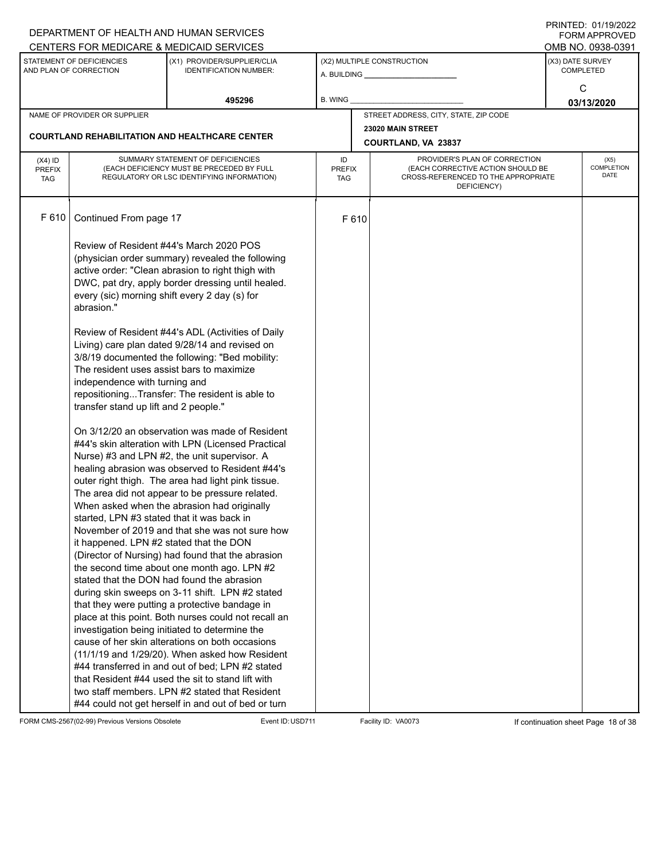|                                                     |                                                                                                                     | DEPARTMENT OF HEALTH AND HUMAN SERVICES                                                                                                                                                                                                                                                                                                                                                                                                                                                                                                                                                                                                                                                                                                                                                                                                                                                                                                                                                                                                                                                                        |                                                                                                                                                        |       |                                                              |                  | 11111111122.011111121222<br><b>FORM APPROVED</b> |  |
|-----------------------------------------------------|---------------------------------------------------------------------------------------------------------------------|----------------------------------------------------------------------------------------------------------------------------------------------------------------------------------------------------------------------------------------------------------------------------------------------------------------------------------------------------------------------------------------------------------------------------------------------------------------------------------------------------------------------------------------------------------------------------------------------------------------------------------------------------------------------------------------------------------------------------------------------------------------------------------------------------------------------------------------------------------------------------------------------------------------------------------------------------------------------------------------------------------------------------------------------------------------------------------------------------------------|--------------------------------------------------------------------------------------------------------------------------------------------------------|-------|--------------------------------------------------------------|------------------|--------------------------------------------------|--|
|                                                     |                                                                                                                     | CENTERS FOR MEDICARE & MEDICAID SERVICES                                                                                                                                                                                                                                                                                                                                                                                                                                                                                                                                                                                                                                                                                                                                                                                                                                                                                                                                                                                                                                                                       |                                                                                                                                                        |       |                                                              |                  | OMB NO. 0938-0391                                |  |
| STATEMENT OF DEFICIENCIES<br>AND PLAN OF CORRECTION |                                                                                                                     | (X1) PROVIDER/SUPPLIER/CLIA<br><b>IDENTIFICATION NUMBER:</b>                                                                                                                                                                                                                                                                                                                                                                                                                                                                                                                                                                                                                                                                                                                                                                                                                                                                                                                                                                                                                                                   |                                                                                                                                                        |       | (X2) MULTIPLE CONSTRUCTION<br>A. BUILDING <b>A.</b> BUILDING | (X3) DATE SURVEY | <b>COMPLETED</b>                                 |  |
|                                                     |                                                                                                                     | 495296                                                                                                                                                                                                                                                                                                                                                                                                                                                                                                                                                                                                                                                                                                                                                                                                                                                                                                                                                                                                                                                                                                         | B. WING                                                                                                                                                |       |                                                              |                  | C<br>03/13/2020                                  |  |
|                                                     | NAME OF PROVIDER OR SUPPLIER                                                                                        |                                                                                                                                                                                                                                                                                                                                                                                                                                                                                                                                                                                                                                                                                                                                                                                                                                                                                                                                                                                                                                                                                                                |                                                                                                                                                        |       | STREET ADDRESS, CITY, STATE, ZIP CODE                        |                  |                                                  |  |
|                                                     |                                                                                                                     |                                                                                                                                                                                                                                                                                                                                                                                                                                                                                                                                                                                                                                                                                                                                                                                                                                                                                                                                                                                                                                                                                                                |                                                                                                                                                        |       | 23020 MAIN STREET                                            |                  |                                                  |  |
|                                                     |                                                                                                                     | <b>COURTLAND REHABILITATION AND HEALTHCARE CENTER</b>                                                                                                                                                                                                                                                                                                                                                                                                                                                                                                                                                                                                                                                                                                                                                                                                                                                                                                                                                                                                                                                          | COURTLAND, VA 23837                                                                                                                                    |       |                                                              |                  |                                                  |  |
| $(X4)$ ID<br><b>PREFIX</b><br><b>TAG</b>            |                                                                                                                     | SUMMARY STATEMENT OF DEFICIENCIES<br>(EACH DEFICIENCY MUST BE PRECEDED BY FULL<br>REGULATORY OR LSC IDENTIFYING INFORMATION)                                                                                                                                                                                                                                                                                                                                                                                                                                                                                                                                                                                                                                                                                                                                                                                                                                                                                                                                                                                   | PROVIDER'S PLAN OF CORRECTION<br>ID<br>(EACH CORRECTIVE ACTION SHOULD BE<br><b>PREFIX</b><br>CROSS-REFERENCED TO THE APPROPRIATE<br>TAG<br>DEFICIENCY) |       |                                                              |                  | (X5)<br><b>COMPLETION</b><br>DATE                |  |
| F 610                                               | Continued From page 17                                                                                              |                                                                                                                                                                                                                                                                                                                                                                                                                                                                                                                                                                                                                                                                                                                                                                                                                                                                                                                                                                                                                                                                                                                |                                                                                                                                                        | F 610 |                                                              |                  |                                                  |  |
|                                                     | abrasion."                                                                                                          | Review of Resident #44's March 2020 POS<br>(physician order summary) revealed the following<br>active order: "Clean abrasion to right thigh with<br>DWC, pat dry, apply border dressing until healed.<br>every (sic) morning shift every 2 day (s) for                                                                                                                                                                                                                                                                                                                                                                                                                                                                                                                                                                                                                                                                                                                                                                                                                                                         |                                                                                                                                                        |       |                                                              |                  |                                                  |  |
|                                                     | The resident uses assist bars to maximize<br>independence with turning and<br>transfer stand up lift and 2 people." | Review of Resident #44's ADL (Activities of Daily<br>Living) care plan dated 9/28/14 and revised on<br>3/8/19 documented the following: "Bed mobility:<br>repositioningTransfer: The resident is able to                                                                                                                                                                                                                                                                                                                                                                                                                                                                                                                                                                                                                                                                                                                                                                                                                                                                                                       |                                                                                                                                                        |       |                                                              |                  |                                                  |  |
|                                                     | started, LPN #3 stated that it was back in<br>it happened. LPN #2 stated that the DON                               | On 3/12/20 an observation was made of Resident<br>#44's skin alteration with LPN (Licensed Practical<br>Nurse) #3 and LPN #2, the unit supervisor. A<br>healing abrasion was observed to Resident #44's<br>outer right thigh. The area had light pink tissue.<br>The area did not appear to be pressure related.<br>When asked when the abrasion had originally<br>November of 2019 and that she was not sure how<br>(Director of Nursing) had found that the abrasion<br>the second time about one month ago. LPN #2<br>stated that the DON had found the abrasion<br>during skin sweeps on 3-11 shift. LPN #2 stated<br>that they were putting a protective bandage in<br>place at this point. Both nurses could not recall an<br>investigation being initiated to determine the<br>cause of her skin alterations on both occasions<br>$(11/1/19$ and $1/29/20)$ . When asked how Resident<br>#44 transferred in and out of bed; LPN #2 stated<br>that Resident #44 used the sit to stand lift with<br>two staff members. LPN #2 stated that Resident<br>#44 could not get herself in and out of bed or turn |                                                                                                                                                        |       |                                                              |                  |                                                  |  |

FORM CMS-2567(02-99) Previous Versions Obsolete Event ID:USD711 Facility ID: VA0073 If continuation sheet Page 18 of 38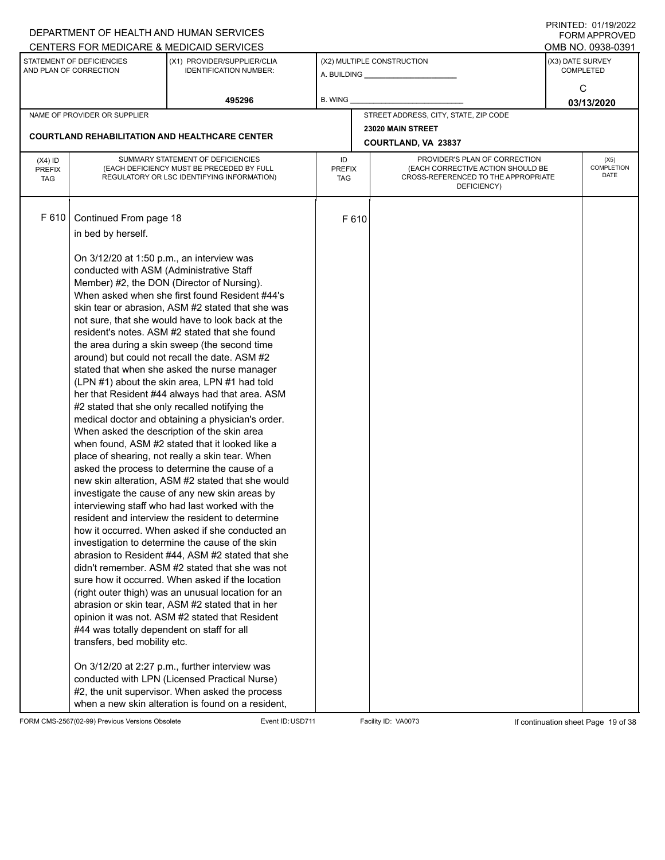| CENTERS FOR MEDICARE & MEDICAID SERVICES<br>OMB NO. 0938-0391<br>STATEMENT OF DEFICIENCIES<br>(X3) DATE SURVEY<br>(X1) PROVIDER/SUPPLIER/CLIA<br>(X2) MULTIPLE CONSTRUCTION<br>AND PLAN OF CORRECTION<br><b>IDENTIFICATION NUMBER:</b><br><b>COMPLETED</b><br>С<br>495296<br><b>B. WING</b><br>03/13/2020<br>STREET ADDRESS, CITY, STATE, ZIP CODE<br>NAME OF PROVIDER OR SUPPLIER<br>23020 MAIN STREET<br><b>COURTLAND REHABILITATION AND HEALTHCARE CENTER</b><br>COURTLAND, VA 23837<br>SUMMARY STATEMENT OF DEFICIENCIES<br>PROVIDER'S PLAN OF CORRECTION<br>ID<br>$(X4)$ ID<br>(X5)<br><b>COMPLETION</b><br>(EACH DEFICIENCY MUST BE PRECEDED BY FULL<br>(EACH CORRECTIVE ACTION SHOULD BE<br><b>PREFIX</b><br>PREFIX<br>DATE<br>REGULATORY OR LSC IDENTIFYING INFORMATION)<br>CROSS-REFERENCED TO THE APPROPRIATE<br><b>TAG</b><br>TAG<br>DEFICIENCY)<br>F 610<br>Continued From page 18<br>F 610<br>in bed by herself.<br>On 3/12/20 at 1:50 p.m., an interview was<br>conducted with ASM (Administrative Staff<br>Member) #2, the DON (Director of Nursing).<br>When asked when she first found Resident #44's<br>skin tear or abrasion, ASM #2 stated that she was<br>not sure, that she would have to look back at the<br>resident's notes. ASM #2 stated that she found<br>the area during a skin sweep (the second time<br>around) but could not recall the date. ASM #2<br>stated that when she asked the nurse manager<br>(LPN #1) about the skin area, LPN #1 had told<br>her that Resident #44 always had that area. ASM<br>#2 stated that she only recalled notifying the<br>medical doctor and obtaining a physician's order.<br>When asked the description of the skin area<br>when found, ASM #2 stated that it looked like a<br>place of shearing, not really a skin tear. When<br>asked the process to determine the cause of a<br>new skin alteration, ASM #2 stated that she would<br>investigate the cause of any new skin areas by<br>interviewing staff who had last worked with the<br>resident and interview the resident to determine<br>how it occurred. When asked if she conducted an<br>investigation to determine the cause of the skin<br>abrasion to Resident #44, ASM #2 stated that she<br>didn't remember. ASM #2 stated that she was not<br>sure how it occurred. When asked if the location<br>(right outer thigh) was an unusual location for an<br>abrasion or skin tear, ASM #2 stated that in her<br>opinion it was not. ASM #2 stated that Resident<br>#44 was totally dependent on staff for all<br>transfers, bed mobility etc.<br>On 3/12/20 at 2:27 p.m., further interview was<br>conducted with LPN (Licensed Practical Nurse)<br>#2, the unit supervisor. When asked the process |  | DEPARTMENT OF HEALTH AND HUMAN SERVICES |  |  | <b>FORM APPROVED</b> |  |  |
|----------------------------------------------------------------------------------------------------------------------------------------------------------------------------------------------------------------------------------------------------------------------------------------------------------------------------------------------------------------------------------------------------------------------------------------------------------------------------------------------------------------------------------------------------------------------------------------------------------------------------------------------------------------------------------------------------------------------------------------------------------------------------------------------------------------------------------------------------------------------------------------------------------------------------------------------------------------------------------------------------------------------------------------------------------------------------------------------------------------------------------------------------------------------------------------------------------------------------------------------------------------------------------------------------------------------------------------------------------------------------------------------------------------------------------------------------------------------------------------------------------------------------------------------------------------------------------------------------------------------------------------------------------------------------------------------------------------------------------------------------------------------------------------------------------------------------------------------------------------------------------------------------------------------------------------------------------------------------------------------------------------------------------------------------------------------------------------------------------------------------------------------------------------------------------------------------------------------------------------------------------------------------------------------------------------------------------------------------------------------------------------------------------------------------------------------------------------------------------------------------------------------------------------------------------------------------------------------------------------------------------------------------------------------------------------------------------------------------------------|--|-----------------------------------------|--|--|----------------------|--|--|
|                                                                                                                                                                                                                                                                                                                                                                                                                                                                                                                                                                                                                                                                                                                                                                                                                                                                                                                                                                                                                                                                                                                                                                                                                                                                                                                                                                                                                                                                                                                                                                                                                                                                                                                                                                                                                                                                                                                                                                                                                                                                                                                                                                                                                                                                                                                                                                                                                                                                                                                                                                                                                                                                                                                                        |  |                                         |  |  |                      |  |  |
|                                                                                                                                                                                                                                                                                                                                                                                                                                                                                                                                                                                                                                                                                                                                                                                                                                                                                                                                                                                                                                                                                                                                                                                                                                                                                                                                                                                                                                                                                                                                                                                                                                                                                                                                                                                                                                                                                                                                                                                                                                                                                                                                                                                                                                                                                                                                                                                                                                                                                                                                                                                                                                                                                                                                        |  |                                         |  |  |                      |  |  |
|                                                                                                                                                                                                                                                                                                                                                                                                                                                                                                                                                                                                                                                                                                                                                                                                                                                                                                                                                                                                                                                                                                                                                                                                                                                                                                                                                                                                                                                                                                                                                                                                                                                                                                                                                                                                                                                                                                                                                                                                                                                                                                                                                                                                                                                                                                                                                                                                                                                                                                                                                                                                                                                                                                                                        |  |                                         |  |  |                      |  |  |
|                                                                                                                                                                                                                                                                                                                                                                                                                                                                                                                                                                                                                                                                                                                                                                                                                                                                                                                                                                                                                                                                                                                                                                                                                                                                                                                                                                                                                                                                                                                                                                                                                                                                                                                                                                                                                                                                                                                                                                                                                                                                                                                                                                                                                                                                                                                                                                                                                                                                                                                                                                                                                                                                                                                                        |  |                                         |  |  |                      |  |  |
|                                                                                                                                                                                                                                                                                                                                                                                                                                                                                                                                                                                                                                                                                                                                                                                                                                                                                                                                                                                                                                                                                                                                                                                                                                                                                                                                                                                                                                                                                                                                                                                                                                                                                                                                                                                                                                                                                                                                                                                                                                                                                                                                                                                                                                                                                                                                                                                                                                                                                                                                                                                                                                                                                                                                        |  |                                         |  |  |                      |  |  |
|                                                                                                                                                                                                                                                                                                                                                                                                                                                                                                                                                                                                                                                                                                                                                                                                                                                                                                                                                                                                                                                                                                                                                                                                                                                                                                                                                                                                                                                                                                                                                                                                                                                                                                                                                                                                                                                                                                                                                                                                                                                                                                                                                                                                                                                                                                                                                                                                                                                                                                                                                                                                                                                                                                                                        |  |                                         |  |  |                      |  |  |
|                                                                                                                                                                                                                                                                                                                                                                                                                                                                                                                                                                                                                                                                                                                                                                                                                                                                                                                                                                                                                                                                                                                                                                                                                                                                                                                                                                                                                                                                                                                                                                                                                                                                                                                                                                                                                                                                                                                                                                                                                                                                                                                                                                                                                                                                                                                                                                                                                                                                                                                                                                                                                                                                                                                                        |  |                                         |  |  |                      |  |  |
|                                                                                                                                                                                                                                                                                                                                                                                                                                                                                                                                                                                                                                                                                                                                                                                                                                                                                                                                                                                                                                                                                                                                                                                                                                                                                                                                                                                                                                                                                                                                                                                                                                                                                                                                                                                                                                                                                                                                                                                                                                                                                                                                                                                                                                                                                                                                                                                                                                                                                                                                                                                                                                                                                                                                        |  |                                         |  |  |                      |  |  |
|                                                                                                                                                                                                                                                                                                                                                                                                                                                                                                                                                                                                                                                                                                                                                                                                                                                                                                                                                                                                                                                                                                                                                                                                                                                                                                                                                                                                                                                                                                                                                                                                                                                                                                                                                                                                                                                                                                                                                                                                                                                                                                                                                                                                                                                                                                                                                                                                                                                                                                                                                                                                                                                                                                                                        |  |                                         |  |  |                      |  |  |
|                                                                                                                                                                                                                                                                                                                                                                                                                                                                                                                                                                                                                                                                                                                                                                                                                                                                                                                                                                                                                                                                                                                                                                                                                                                                                                                                                                                                                                                                                                                                                                                                                                                                                                                                                                                                                                                                                                                                                                                                                                                                                                                                                                                                                                                                                                                                                                                                                                                                                                                                                                                                                                                                                                                                        |  |                                         |  |  |                      |  |  |
|                                                                                                                                                                                                                                                                                                                                                                                                                                                                                                                                                                                                                                                                                                                                                                                                                                                                                                                                                                                                                                                                                                                                                                                                                                                                                                                                                                                                                                                                                                                                                                                                                                                                                                                                                                                                                                                                                                                                                                                                                                                                                                                                                                                                                                                                                                                                                                                                                                                                                                                                                                                                                                                                                                                                        |  |                                         |  |  |                      |  |  |
|                                                                                                                                                                                                                                                                                                                                                                                                                                                                                                                                                                                                                                                                                                                                                                                                                                                                                                                                                                                                                                                                                                                                                                                                                                                                                                                                                                                                                                                                                                                                                                                                                                                                                                                                                                                                                                                                                                                                                                                                                                                                                                                                                                                                                                                                                                                                                                                                                                                                                                                                                                                                                                                                                                                                        |  |                                         |  |  |                      |  |  |
|                                                                                                                                                                                                                                                                                                                                                                                                                                                                                                                                                                                                                                                                                                                                                                                                                                                                                                                                                                                                                                                                                                                                                                                                                                                                                                                                                                                                                                                                                                                                                                                                                                                                                                                                                                                                                                                                                                                                                                                                                                                                                                                                                                                                                                                                                                                                                                                                                                                                                                                                                                                                                                                                                                                                        |  |                                         |  |  |                      |  |  |
|                                                                                                                                                                                                                                                                                                                                                                                                                                                                                                                                                                                                                                                                                                                                                                                                                                                                                                                                                                                                                                                                                                                                                                                                                                                                                                                                                                                                                                                                                                                                                                                                                                                                                                                                                                                                                                                                                                                                                                                                                                                                                                                                                                                                                                                                                                                                                                                                                                                                                                                                                                                                                                                                                                                                        |  |                                         |  |  |                      |  |  |
|                                                                                                                                                                                                                                                                                                                                                                                                                                                                                                                                                                                                                                                                                                                                                                                                                                                                                                                                                                                                                                                                                                                                                                                                                                                                                                                                                                                                                                                                                                                                                                                                                                                                                                                                                                                                                                                                                                                                                                                                                                                                                                                                                                                                                                                                                                                                                                                                                                                                                                                                                                                                                                                                                                                                        |  |                                         |  |  |                      |  |  |
|                                                                                                                                                                                                                                                                                                                                                                                                                                                                                                                                                                                                                                                                                                                                                                                                                                                                                                                                                                                                                                                                                                                                                                                                                                                                                                                                                                                                                                                                                                                                                                                                                                                                                                                                                                                                                                                                                                                                                                                                                                                                                                                                                                                                                                                                                                                                                                                                                                                                                                                                                                                                                                                                                                                                        |  |                                         |  |  |                      |  |  |
|                                                                                                                                                                                                                                                                                                                                                                                                                                                                                                                                                                                                                                                                                                                                                                                                                                                                                                                                                                                                                                                                                                                                                                                                                                                                                                                                                                                                                                                                                                                                                                                                                                                                                                                                                                                                                                                                                                                                                                                                                                                                                                                                                                                                                                                                                                                                                                                                                                                                                                                                                                                                                                                                                                                                        |  |                                         |  |  |                      |  |  |
|                                                                                                                                                                                                                                                                                                                                                                                                                                                                                                                                                                                                                                                                                                                                                                                                                                                                                                                                                                                                                                                                                                                                                                                                                                                                                                                                                                                                                                                                                                                                                                                                                                                                                                                                                                                                                                                                                                                                                                                                                                                                                                                                                                                                                                                                                                                                                                                                                                                                                                                                                                                                                                                                                                                                        |  |                                         |  |  |                      |  |  |
|                                                                                                                                                                                                                                                                                                                                                                                                                                                                                                                                                                                                                                                                                                                                                                                                                                                                                                                                                                                                                                                                                                                                                                                                                                                                                                                                                                                                                                                                                                                                                                                                                                                                                                                                                                                                                                                                                                                                                                                                                                                                                                                                                                                                                                                                                                                                                                                                                                                                                                                                                                                                                                                                                                                                        |  |                                         |  |  |                      |  |  |
|                                                                                                                                                                                                                                                                                                                                                                                                                                                                                                                                                                                                                                                                                                                                                                                                                                                                                                                                                                                                                                                                                                                                                                                                                                                                                                                                                                                                                                                                                                                                                                                                                                                                                                                                                                                                                                                                                                                                                                                                                                                                                                                                                                                                                                                                                                                                                                                                                                                                                                                                                                                                                                                                                                                                        |  |                                         |  |  |                      |  |  |
|                                                                                                                                                                                                                                                                                                                                                                                                                                                                                                                                                                                                                                                                                                                                                                                                                                                                                                                                                                                                                                                                                                                                                                                                                                                                                                                                                                                                                                                                                                                                                                                                                                                                                                                                                                                                                                                                                                                                                                                                                                                                                                                                                                                                                                                                                                                                                                                                                                                                                                                                                                                                                                                                                                                                        |  |                                         |  |  |                      |  |  |
|                                                                                                                                                                                                                                                                                                                                                                                                                                                                                                                                                                                                                                                                                                                                                                                                                                                                                                                                                                                                                                                                                                                                                                                                                                                                                                                                                                                                                                                                                                                                                                                                                                                                                                                                                                                                                                                                                                                                                                                                                                                                                                                                                                                                                                                                                                                                                                                                                                                                                                                                                                                                                                                                                                                                        |  |                                         |  |  |                      |  |  |
|                                                                                                                                                                                                                                                                                                                                                                                                                                                                                                                                                                                                                                                                                                                                                                                                                                                                                                                                                                                                                                                                                                                                                                                                                                                                                                                                                                                                                                                                                                                                                                                                                                                                                                                                                                                                                                                                                                                                                                                                                                                                                                                                                                                                                                                                                                                                                                                                                                                                                                                                                                                                                                                                                                                                        |  |                                         |  |  |                      |  |  |
|                                                                                                                                                                                                                                                                                                                                                                                                                                                                                                                                                                                                                                                                                                                                                                                                                                                                                                                                                                                                                                                                                                                                                                                                                                                                                                                                                                                                                                                                                                                                                                                                                                                                                                                                                                                                                                                                                                                                                                                                                                                                                                                                                                                                                                                                                                                                                                                                                                                                                                                                                                                                                                                                                                                                        |  |                                         |  |  |                      |  |  |
|                                                                                                                                                                                                                                                                                                                                                                                                                                                                                                                                                                                                                                                                                                                                                                                                                                                                                                                                                                                                                                                                                                                                                                                                                                                                                                                                                                                                                                                                                                                                                                                                                                                                                                                                                                                                                                                                                                                                                                                                                                                                                                                                                                                                                                                                                                                                                                                                                                                                                                                                                                                                                                                                                                                                        |  |                                         |  |  |                      |  |  |
|                                                                                                                                                                                                                                                                                                                                                                                                                                                                                                                                                                                                                                                                                                                                                                                                                                                                                                                                                                                                                                                                                                                                                                                                                                                                                                                                                                                                                                                                                                                                                                                                                                                                                                                                                                                                                                                                                                                                                                                                                                                                                                                                                                                                                                                                                                                                                                                                                                                                                                                                                                                                                                                                                                                                        |  |                                         |  |  |                      |  |  |
|                                                                                                                                                                                                                                                                                                                                                                                                                                                                                                                                                                                                                                                                                                                                                                                                                                                                                                                                                                                                                                                                                                                                                                                                                                                                                                                                                                                                                                                                                                                                                                                                                                                                                                                                                                                                                                                                                                                                                                                                                                                                                                                                                                                                                                                                                                                                                                                                                                                                                                                                                                                                                                                                                                                                        |  |                                         |  |  |                      |  |  |
|                                                                                                                                                                                                                                                                                                                                                                                                                                                                                                                                                                                                                                                                                                                                                                                                                                                                                                                                                                                                                                                                                                                                                                                                                                                                                                                                                                                                                                                                                                                                                                                                                                                                                                                                                                                                                                                                                                                                                                                                                                                                                                                                                                                                                                                                                                                                                                                                                                                                                                                                                                                                                                                                                                                                        |  |                                         |  |  |                      |  |  |
|                                                                                                                                                                                                                                                                                                                                                                                                                                                                                                                                                                                                                                                                                                                                                                                                                                                                                                                                                                                                                                                                                                                                                                                                                                                                                                                                                                                                                                                                                                                                                                                                                                                                                                                                                                                                                                                                                                                                                                                                                                                                                                                                                                                                                                                                                                                                                                                                                                                                                                                                                                                                                                                                                                                                        |  |                                         |  |  |                      |  |  |
|                                                                                                                                                                                                                                                                                                                                                                                                                                                                                                                                                                                                                                                                                                                                                                                                                                                                                                                                                                                                                                                                                                                                                                                                                                                                                                                                                                                                                                                                                                                                                                                                                                                                                                                                                                                                                                                                                                                                                                                                                                                                                                                                                                                                                                                                                                                                                                                                                                                                                                                                                                                                                                                                                                                                        |  |                                         |  |  |                      |  |  |
|                                                                                                                                                                                                                                                                                                                                                                                                                                                                                                                                                                                                                                                                                                                                                                                                                                                                                                                                                                                                                                                                                                                                                                                                                                                                                                                                                                                                                                                                                                                                                                                                                                                                                                                                                                                                                                                                                                                                                                                                                                                                                                                                                                                                                                                                                                                                                                                                                                                                                                                                                                                                                                                                                                                                        |  |                                         |  |  |                      |  |  |
|                                                                                                                                                                                                                                                                                                                                                                                                                                                                                                                                                                                                                                                                                                                                                                                                                                                                                                                                                                                                                                                                                                                                                                                                                                                                                                                                                                                                                                                                                                                                                                                                                                                                                                                                                                                                                                                                                                                                                                                                                                                                                                                                                                                                                                                                                                                                                                                                                                                                                                                                                                                                                                                                                                                                        |  |                                         |  |  |                      |  |  |
|                                                                                                                                                                                                                                                                                                                                                                                                                                                                                                                                                                                                                                                                                                                                                                                                                                                                                                                                                                                                                                                                                                                                                                                                                                                                                                                                                                                                                                                                                                                                                                                                                                                                                                                                                                                                                                                                                                                                                                                                                                                                                                                                                                                                                                                                                                                                                                                                                                                                                                                                                                                                                                                                                                                                        |  |                                         |  |  |                      |  |  |
|                                                                                                                                                                                                                                                                                                                                                                                                                                                                                                                                                                                                                                                                                                                                                                                                                                                                                                                                                                                                                                                                                                                                                                                                                                                                                                                                                                                                                                                                                                                                                                                                                                                                                                                                                                                                                                                                                                                                                                                                                                                                                                                                                                                                                                                                                                                                                                                                                                                                                                                                                                                                                                                                                                                                        |  |                                         |  |  |                      |  |  |
|                                                                                                                                                                                                                                                                                                                                                                                                                                                                                                                                                                                                                                                                                                                                                                                                                                                                                                                                                                                                                                                                                                                                                                                                                                                                                                                                                                                                                                                                                                                                                                                                                                                                                                                                                                                                                                                                                                                                                                                                                                                                                                                                                                                                                                                                                                                                                                                                                                                                                                                                                                                                                                                                                                                                        |  |                                         |  |  |                      |  |  |
|                                                                                                                                                                                                                                                                                                                                                                                                                                                                                                                                                                                                                                                                                                                                                                                                                                                                                                                                                                                                                                                                                                                                                                                                                                                                                                                                                                                                                                                                                                                                                                                                                                                                                                                                                                                                                                                                                                                                                                                                                                                                                                                                                                                                                                                                                                                                                                                                                                                                                                                                                                                                                                                                                                                                        |  |                                         |  |  |                      |  |  |
|                                                                                                                                                                                                                                                                                                                                                                                                                                                                                                                                                                                                                                                                                                                                                                                                                                                                                                                                                                                                                                                                                                                                                                                                                                                                                                                                                                                                                                                                                                                                                                                                                                                                                                                                                                                                                                                                                                                                                                                                                                                                                                                                                                                                                                                                                                                                                                                                                                                                                                                                                                                                                                                                                                                                        |  |                                         |  |  |                      |  |  |
|                                                                                                                                                                                                                                                                                                                                                                                                                                                                                                                                                                                                                                                                                                                                                                                                                                                                                                                                                                                                                                                                                                                                                                                                                                                                                                                                                                                                                                                                                                                                                                                                                                                                                                                                                                                                                                                                                                                                                                                                                                                                                                                                                                                                                                                                                                                                                                                                                                                                                                                                                                                                                                                                                                                                        |  |                                         |  |  |                      |  |  |
|                                                                                                                                                                                                                                                                                                                                                                                                                                                                                                                                                                                                                                                                                                                                                                                                                                                                                                                                                                                                                                                                                                                                                                                                                                                                                                                                                                                                                                                                                                                                                                                                                                                                                                                                                                                                                                                                                                                                                                                                                                                                                                                                                                                                                                                                                                                                                                                                                                                                                                                                                                                                                                                                                                                                        |  |                                         |  |  |                      |  |  |
|                                                                                                                                                                                                                                                                                                                                                                                                                                                                                                                                                                                                                                                                                                                                                                                                                                                                                                                                                                                                                                                                                                                                                                                                                                                                                                                                                                                                                                                                                                                                                                                                                                                                                                                                                                                                                                                                                                                                                                                                                                                                                                                                                                                                                                                                                                                                                                                                                                                                                                                                                                                                                                                                                                                                        |  |                                         |  |  |                      |  |  |
|                                                                                                                                                                                                                                                                                                                                                                                                                                                                                                                                                                                                                                                                                                                                                                                                                                                                                                                                                                                                                                                                                                                                                                                                                                                                                                                                                                                                                                                                                                                                                                                                                                                                                                                                                                                                                                                                                                                                                                                                                                                                                                                                                                                                                                                                                                                                                                                                                                                                                                                                                                                                                                                                                                                                        |  |                                         |  |  |                      |  |  |
|                                                                                                                                                                                                                                                                                                                                                                                                                                                                                                                                                                                                                                                                                                                                                                                                                                                                                                                                                                                                                                                                                                                                                                                                                                                                                                                                                                                                                                                                                                                                                                                                                                                                                                                                                                                                                                                                                                                                                                                                                                                                                                                                                                                                                                                                                                                                                                                                                                                                                                                                                                                                                                                                                                                                        |  |                                         |  |  |                      |  |  |
|                                                                                                                                                                                                                                                                                                                                                                                                                                                                                                                                                                                                                                                                                                                                                                                                                                                                                                                                                                                                                                                                                                                                                                                                                                                                                                                                                                                                                                                                                                                                                                                                                                                                                                                                                                                                                                                                                                                                                                                                                                                                                                                                                                                                                                                                                                                                                                                                                                                                                                                                                                                                                                                                                                                                        |  |                                         |  |  |                      |  |  |
|                                                                                                                                                                                                                                                                                                                                                                                                                                                                                                                                                                                                                                                                                                                                                                                                                                                                                                                                                                                                                                                                                                                                                                                                                                                                                                                                                                                                                                                                                                                                                                                                                                                                                                                                                                                                                                                                                                                                                                                                                                                                                                                                                                                                                                                                                                                                                                                                                                                                                                                                                                                                                                                                                                                                        |  |                                         |  |  |                      |  |  |
|                                                                                                                                                                                                                                                                                                                                                                                                                                                                                                                                                                                                                                                                                                                                                                                                                                                                                                                                                                                                                                                                                                                                                                                                                                                                                                                                                                                                                                                                                                                                                                                                                                                                                                                                                                                                                                                                                                                                                                                                                                                                                                                                                                                                                                                                                                                                                                                                                                                                                                                                                                                                                                                                                                                                        |  |                                         |  |  |                      |  |  |
|                                                                                                                                                                                                                                                                                                                                                                                                                                                                                                                                                                                                                                                                                                                                                                                                                                                                                                                                                                                                                                                                                                                                                                                                                                                                                                                                                                                                                                                                                                                                                                                                                                                                                                                                                                                                                                                                                                                                                                                                                                                                                                                                                                                                                                                                                                                                                                                                                                                                                                                                                                                                                                                                                                                                        |  |                                         |  |  |                      |  |  |
|                                                                                                                                                                                                                                                                                                                                                                                                                                                                                                                                                                                                                                                                                                                                                                                                                                                                                                                                                                                                                                                                                                                                                                                                                                                                                                                                                                                                                                                                                                                                                                                                                                                                                                                                                                                                                                                                                                                                                                                                                                                                                                                                                                                                                                                                                                                                                                                                                                                                                                                                                                                                                                                                                                                                        |  |                                         |  |  |                      |  |  |
| when a new skin alteration is found on a resident,                                                                                                                                                                                                                                                                                                                                                                                                                                                                                                                                                                                                                                                                                                                                                                                                                                                                                                                                                                                                                                                                                                                                                                                                                                                                                                                                                                                                                                                                                                                                                                                                                                                                                                                                                                                                                                                                                                                                                                                                                                                                                                                                                                                                                                                                                                                                                                                                                                                                                                                                                                                                                                                                                     |  |                                         |  |  |                      |  |  |

FORM CMS-2567(02-99) Previous Versions Obsolete Event ID:USD711 Facility ID: VA0073 If continuation sheet Page 19 of 38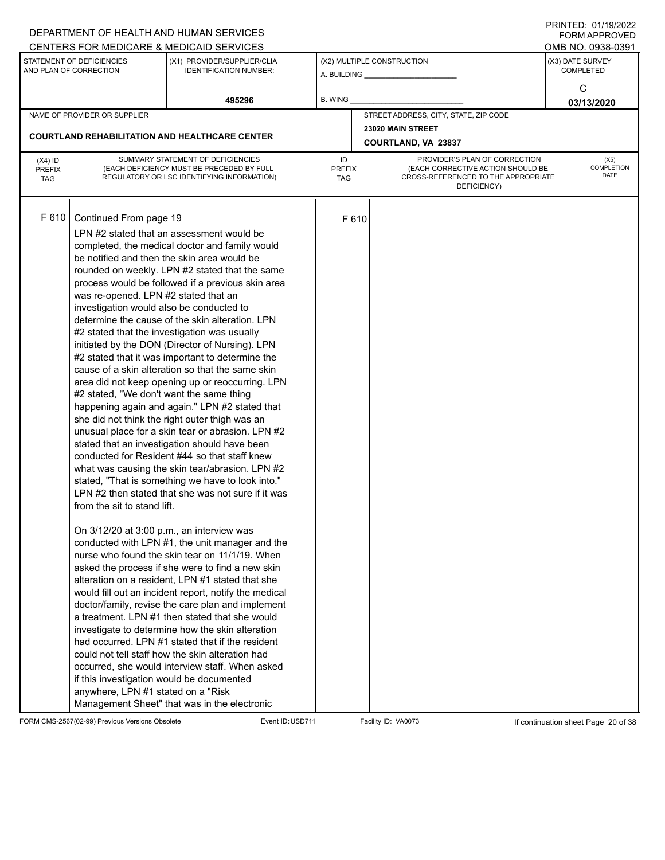|                                          |                                                                                                                                                                                                                                                                                                                                                                       | DEPARTMENT OF HEALTH AND HUMAN SERVICES                                                                                                                                                                                                                                                                                                                                                                                                                                                                                                                                                                                                                                                                                                                                                                                                                                                                                                                                                                                                                                                                                                                                                                                                                                                                                                                                                                                                                                                                                                                                                  |                            |       |                                                                                                                          |                  | $1 \times 1 \times 1 = 1$ . $0 \times 1 \times 1 = 0$<br><b>FORM APPROVED</b> |  |  |
|------------------------------------------|-----------------------------------------------------------------------------------------------------------------------------------------------------------------------------------------------------------------------------------------------------------------------------------------------------------------------------------------------------------------------|------------------------------------------------------------------------------------------------------------------------------------------------------------------------------------------------------------------------------------------------------------------------------------------------------------------------------------------------------------------------------------------------------------------------------------------------------------------------------------------------------------------------------------------------------------------------------------------------------------------------------------------------------------------------------------------------------------------------------------------------------------------------------------------------------------------------------------------------------------------------------------------------------------------------------------------------------------------------------------------------------------------------------------------------------------------------------------------------------------------------------------------------------------------------------------------------------------------------------------------------------------------------------------------------------------------------------------------------------------------------------------------------------------------------------------------------------------------------------------------------------------------------------------------------------------------------------------------|----------------------------|-------|--------------------------------------------------------------------------------------------------------------------------|------------------|-------------------------------------------------------------------------------|--|--|
|                                          |                                                                                                                                                                                                                                                                                                                                                                       | CENTERS FOR MEDICARE & MEDICAID SERVICES                                                                                                                                                                                                                                                                                                                                                                                                                                                                                                                                                                                                                                                                                                                                                                                                                                                                                                                                                                                                                                                                                                                                                                                                                                                                                                                                                                                                                                                                                                                                                 |                            |       |                                                                                                                          |                  | OMB NO. 0938-0391                                                             |  |  |
|                                          | STATEMENT OF DEFICIENCIES<br>AND PLAN OF CORRECTION                                                                                                                                                                                                                                                                                                                   | (X1) PROVIDER/SUPPLIER/CLIA<br><b>IDENTIFICATION NUMBER:</b>                                                                                                                                                                                                                                                                                                                                                                                                                                                                                                                                                                                                                                                                                                                                                                                                                                                                                                                                                                                                                                                                                                                                                                                                                                                                                                                                                                                                                                                                                                                             |                            |       | (X2) MULTIPLE CONSTRUCTION                                                                                               | (X3) DATE SURVEY | <b>COMPLETED</b>                                                              |  |  |
|                                          |                                                                                                                                                                                                                                                                                                                                                                       | 495296                                                                                                                                                                                                                                                                                                                                                                                                                                                                                                                                                                                                                                                                                                                                                                                                                                                                                                                                                                                                                                                                                                                                                                                                                                                                                                                                                                                                                                                                                                                                                                                   | B. WING                    |       |                                                                                                                          |                  | С<br>03/13/2020                                                               |  |  |
|                                          | NAME OF PROVIDER OR SUPPLIER                                                                                                                                                                                                                                                                                                                                          |                                                                                                                                                                                                                                                                                                                                                                                                                                                                                                                                                                                                                                                                                                                                                                                                                                                                                                                                                                                                                                                                                                                                                                                                                                                                                                                                                                                                                                                                                                                                                                                          |                            |       | STREET ADDRESS, CITY, STATE, ZIP CODE                                                                                    |                  |                                                                               |  |  |
|                                          |                                                                                                                                                                                                                                                                                                                                                                       |                                                                                                                                                                                                                                                                                                                                                                                                                                                                                                                                                                                                                                                                                                                                                                                                                                                                                                                                                                                                                                                                                                                                                                                                                                                                                                                                                                                                                                                                                                                                                                                          |                            |       | 23020 MAIN STREET                                                                                                        |                  |                                                                               |  |  |
|                                          |                                                                                                                                                                                                                                                                                                                                                                       | <b>COURTLAND REHABILITATION AND HEALTHCARE CENTER</b>                                                                                                                                                                                                                                                                                                                                                                                                                                                                                                                                                                                                                                                                                                                                                                                                                                                                                                                                                                                                                                                                                                                                                                                                                                                                                                                                                                                                                                                                                                                                    |                            |       | COURTLAND, VA 23837                                                                                                      |                  |                                                                               |  |  |
| $(X4)$ ID<br><b>PREFIX</b><br><b>TAG</b> |                                                                                                                                                                                                                                                                                                                                                                       | SUMMARY STATEMENT OF DEFICIENCIES<br>(EACH DEFICIENCY MUST BE PRECEDED BY FULL<br>REGULATORY OR LSC IDENTIFYING INFORMATION)                                                                                                                                                                                                                                                                                                                                                                                                                                                                                                                                                                                                                                                                                                                                                                                                                                                                                                                                                                                                                                                                                                                                                                                                                                                                                                                                                                                                                                                             | ID<br><b>PREFIX</b><br>TAG |       | PROVIDER'S PLAN OF CORRECTION<br>(EACH CORRECTIVE ACTION SHOULD BE<br>CROSS-REFERENCED TO THE APPROPRIATE<br>DEFICIENCY) |                  | (X5)<br><b>COMPLETION</b><br><b>DATE</b>                                      |  |  |
| F 610                                    | Continued From page 19<br>was re-opened. LPN #2 stated that an<br>investigation would also be conducted to<br>#2 stated that the investigation was usually<br>#2 stated, "We don't want the same thing<br>from the sit to stand lift.<br>On 3/12/20 at 3:00 p.m., an interview was<br>if this investigation would be documented<br>anywhere, LPN #1 stated on a "Risk | LPN #2 stated that an assessment would be<br>completed, the medical doctor and family would<br>be notified and then the skin area would be<br>rounded on weekly. LPN #2 stated that the same<br>process would be followed if a previous skin area<br>determine the cause of the skin alteration. LPN<br>initiated by the DON (Director of Nursing). LPN<br>#2 stated that it was important to determine the<br>cause of a skin alteration so that the same skin<br>area did not keep opening up or reoccurring. LPN<br>happening again and again." LPN #2 stated that<br>she did not think the right outer thigh was an<br>unusual place for a skin tear or abrasion. LPN #2<br>stated that an investigation should have been<br>conducted for Resident #44 so that staff knew<br>what was causing the skin tear/abrasion. LPN #2<br>stated, "That is something we have to look into."<br>LPN #2 then stated that she was not sure if it was<br>conducted with LPN #1, the unit manager and the<br>nurse who found the skin tear on 11/1/19. When<br>asked the process if she were to find a new skin<br>alteration on a resident, LPN #1 stated that she<br>would fill out an incident report, notify the medical<br>doctor/family, revise the care plan and implement<br>a treatment. LPN #1 then stated that she would<br>investigate to determine how the skin alteration<br>had occurred. LPN #1 stated that if the resident<br>could not tell staff how the skin alteration had<br>occurred, she would interview staff. When asked<br>Management Sheet" that was in the electronic |                            | F 610 |                                                                                                                          |                  |                                                                               |  |  |

FORM CMS-2567(02-99) Previous Versions Obsolete Event ID:USD711 Facility ID: VA0073 If continuation sheet Page 20 of 38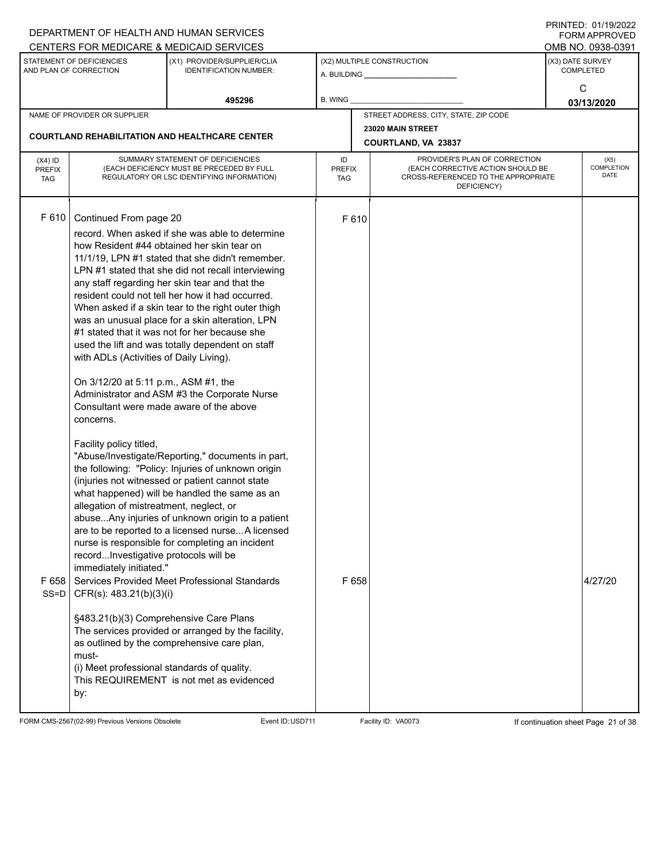|                                   |                                                                                                                                                                                                                                                                                     | DEPARTMENT OF HEALTH AND HUMAN SERVICES                                                                                                                                                                                                                                                                                                                                                                                                                                                                                                                                     |                                   |       |                                                                                                                          |                  | I I SII SI LED. O I <i>I</i> I <i>di E</i> uzz<br>FORM APPROVED |
|-----------------------------------|-------------------------------------------------------------------------------------------------------------------------------------------------------------------------------------------------------------------------------------------------------------------------------------|-----------------------------------------------------------------------------------------------------------------------------------------------------------------------------------------------------------------------------------------------------------------------------------------------------------------------------------------------------------------------------------------------------------------------------------------------------------------------------------------------------------------------------------------------------------------------------|-----------------------------------|-------|--------------------------------------------------------------------------------------------------------------------------|------------------|-----------------------------------------------------------------|
|                                   | STATEMENT OF DEFICIENCIES                                                                                                                                                                                                                                                           | CENTERS FOR MEDICARE & MEDICAID SERVICES<br>(X1) PROVIDER/SUPPLIER/CLIA                                                                                                                                                                                                                                                                                                                                                                                                                                                                                                     |                                   |       | (X2) MULTIPLE CONSTRUCTION                                                                                               | (X3) DATE SURVEY | OMB NO. 0938-0391                                               |
|                                   | AND PLAN OF CORRECTION                                                                                                                                                                                                                                                              | <b>IDENTIFICATION NUMBER:</b>                                                                                                                                                                                                                                                                                                                                                                                                                                                                                                                                               |                                   |       |                                                                                                                          |                  | <b>COMPLETED</b>                                                |
|                                   |                                                                                                                                                                                                                                                                                     |                                                                                                                                                                                                                                                                                                                                                                                                                                                                                                                                                                             |                                   |       |                                                                                                                          |                  | C                                                               |
|                                   |                                                                                                                                                                                                                                                                                     | 495296                                                                                                                                                                                                                                                                                                                                                                                                                                                                                                                                                                      | <b>B. WING</b>                    |       |                                                                                                                          |                  | 03/13/2020                                                      |
|                                   | NAME OF PROVIDER OR SUPPLIER                                                                                                                                                                                                                                                        |                                                                                                                                                                                                                                                                                                                                                                                                                                                                                                                                                                             |                                   |       | STREET ADDRESS, CITY, STATE, ZIP CODE                                                                                    |                  |                                                                 |
|                                   |                                                                                                                                                                                                                                                                                     | <b>COURTLAND REHABILITATION AND HEALTHCARE CENTER</b>                                                                                                                                                                                                                                                                                                                                                                                                                                                                                                                       |                                   |       | 23020 MAIN STREET                                                                                                        |                  |                                                                 |
|                                   |                                                                                                                                                                                                                                                                                     |                                                                                                                                                                                                                                                                                                                                                                                                                                                                                                                                                                             |                                   |       | COURTLAND, VA 23837                                                                                                      |                  |                                                                 |
| $(X4)$ ID<br>PREFIX<br><b>TAG</b> |                                                                                                                                                                                                                                                                                     | SUMMARY STATEMENT OF DEFICIENCIES<br>(EACH DEFICIENCY MUST BE PRECEDED BY FULL<br>REGULATORY OR LSC IDENTIFYING INFORMATION)                                                                                                                                                                                                                                                                                                                                                                                                                                                | ID<br><b>PREFIX</b><br><b>TAG</b> |       | PROVIDER'S PLAN OF CORRECTION<br>(EACH CORRECTIVE ACTION SHOULD BE<br>CROSS-REFERENCED TO THE APPROPRIATE<br>DEFICIENCY) |                  | (X5)<br>COMPLETION<br><b>DATE</b>                               |
| F 610                             | Continued From page 20<br>with ADLs (Activities of Daily Living).<br>On 3/12/20 at 5:11 p.m., ASM #1, the<br>Consultant were made aware of the above<br>concerns.                                                                                                                   | record. When asked if she was able to determine<br>how Resident #44 obtained her skin tear on<br>11/1/19, LPN #1 stated that she didn't remember.<br>LPN #1 stated that she did not recall interviewing<br>any staff regarding her skin tear and that the<br>resident could not tell her how it had occurred.<br>When asked if a skin tear to the right outer thigh<br>was an unusual place for a skin alteration, LPN<br>#1 stated that it was not for her because she<br>used the lift and was totally dependent on staff<br>Administrator and ASM #3 the Corporate Nurse |                                   | F 610 |                                                                                                                          |                  |                                                                 |
| F658                              | Facility policy titled,<br>allegation of mistreatment, neglect, or<br>recordInvestigative protocols will be<br>immediately initiated."<br>SS=D   CFR(s): $483.21(b)(3)(i)$<br>§483.21(b)(3) Comprehensive Care Plans<br>must-<br>(i) Meet professional standards of quality.<br>by: | "Abuse/Investigate/Reporting," documents in part,<br>the following: "Policy: Injuries of unknown origin<br>(injuries not witnessed or patient cannot state<br>what happened) will be handled the same as an<br>abuseAny injuries of unknown origin to a patient<br>are to be reported to a licensed nurseA licensed<br>nurse is responsible for completing an incident<br>Services Provided Meet Professional Standards<br>The services provided or arranged by the facility,<br>as outlined by the comprehensive care plan,<br>This REQUIREMENT is not met as evidenced    |                                   | F 658 |                                                                                                                          |                  | 4/27/20                                                         |

FORM CMS-2567(02-99) Previous Versions Obsolete Event ID:USD711 Facility ID: VA0073 If continuation sheet Page 21 of 38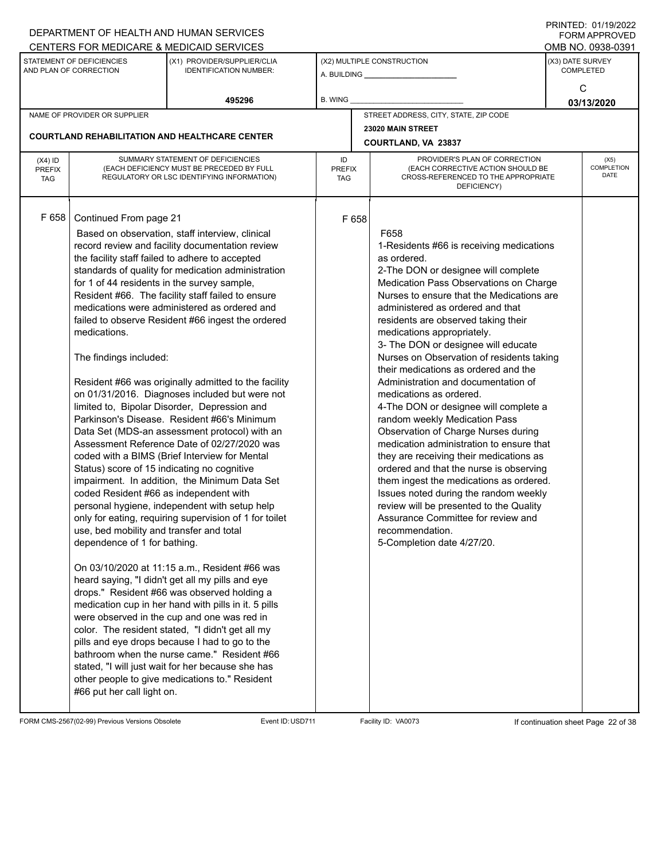|                                                                                                                                                                 |                                                                                                                                                                                                                                                                                                                    | DEPARTMENT OF HEALTH AND HUMAN SERVICES                                                                                                                                                                                                                                                                                                                                                                                                                                                                                                                                                                                                                                                                                                                                                                                                                                                                                                                                                                                                                                                                                                                                                                                                                                                                                                                                                                            |                                                                                                                                                        |                            |                                                                                                                                                                                                                                                                                                                                                                                                                                                                                                                                                                                                                                                                                                                                                                                                                                                                                                                                                                               |                  | 11111111122.01111312022<br><b>FORM APPROVED</b> |
|-----------------------------------------------------------------------------------------------------------------------------------------------------------------|--------------------------------------------------------------------------------------------------------------------------------------------------------------------------------------------------------------------------------------------------------------------------------------------------------------------|--------------------------------------------------------------------------------------------------------------------------------------------------------------------------------------------------------------------------------------------------------------------------------------------------------------------------------------------------------------------------------------------------------------------------------------------------------------------------------------------------------------------------------------------------------------------------------------------------------------------------------------------------------------------------------------------------------------------------------------------------------------------------------------------------------------------------------------------------------------------------------------------------------------------------------------------------------------------------------------------------------------------------------------------------------------------------------------------------------------------------------------------------------------------------------------------------------------------------------------------------------------------------------------------------------------------------------------------------------------------------------------------------------------------|--------------------------------------------------------------------------------------------------------------------------------------------------------|----------------------------|-------------------------------------------------------------------------------------------------------------------------------------------------------------------------------------------------------------------------------------------------------------------------------------------------------------------------------------------------------------------------------------------------------------------------------------------------------------------------------------------------------------------------------------------------------------------------------------------------------------------------------------------------------------------------------------------------------------------------------------------------------------------------------------------------------------------------------------------------------------------------------------------------------------------------------------------------------------------------------|------------------|-------------------------------------------------|
|                                                                                                                                                                 |                                                                                                                                                                                                                                                                                                                    |                                                                                                                                                                                                                                                                                                                                                                                                                                                                                                                                                                                                                                                                                                                                                                                                                                                                                                                                                                                                                                                                                                                                                                                                                                                                                                                                                                                                                    |                                                                                                                                                        |                            |                                                                                                                                                                                                                                                                                                                                                                                                                                                                                                                                                                                                                                                                                                                                                                                                                                                                                                                                                                               |                  | OMB NO. 0938-0391                               |
| CENTERS FOR MEDICARE & MEDICAID SERVICES<br>STATEMENT OF DEFICIENCIES<br>(X1) PROVIDER/SUPPLIER/CLIA<br>AND PLAN OF CORRECTION<br><b>IDENTIFICATION NUMBER:</b> |                                                                                                                                                                                                                                                                                                                    |                                                                                                                                                                                                                                                                                                                                                                                                                                                                                                                                                                                                                                                                                                                                                                                                                                                                                                                                                                                                                                                                                                                                                                                                                                                                                                                                                                                                                    |                                                                                                                                                        | (X2) MULTIPLE CONSTRUCTION | (X3) DATE SURVEY                                                                                                                                                                                                                                                                                                                                                                                                                                                                                                                                                                                                                                                                                                                                                                                                                                                                                                                                                              | <b>COMPLETED</b> |                                                 |
|                                                                                                                                                                 |                                                                                                                                                                                                                                                                                                                    | 495296                                                                                                                                                                                                                                                                                                                                                                                                                                                                                                                                                                                                                                                                                                                                                                                                                                                                                                                                                                                                                                                                                                                                                                                                                                                                                                                                                                                                             | B. WING                                                                                                                                                |                            |                                                                                                                                                                                                                                                                                                                                                                                                                                                                                                                                                                                                                                                                                                                                                                                                                                                                                                                                                                               |                  | С<br>03/13/2020                                 |
|                                                                                                                                                                 | NAME OF PROVIDER OR SUPPLIER                                                                                                                                                                                                                                                                                       |                                                                                                                                                                                                                                                                                                                                                                                                                                                                                                                                                                                                                                                                                                                                                                                                                                                                                                                                                                                                                                                                                                                                                                                                                                                                                                                                                                                                                    |                                                                                                                                                        |                            | STREET ADDRESS, CITY, STATE, ZIP CODE                                                                                                                                                                                                                                                                                                                                                                                                                                                                                                                                                                                                                                                                                                                                                                                                                                                                                                                                         |                  |                                                 |
|                                                                                                                                                                 |                                                                                                                                                                                                                                                                                                                    |                                                                                                                                                                                                                                                                                                                                                                                                                                                                                                                                                                                                                                                                                                                                                                                                                                                                                                                                                                                                                                                                                                                                                                                                                                                                                                                                                                                                                    |                                                                                                                                                        |                            | 23020 MAIN STREET                                                                                                                                                                                                                                                                                                                                                                                                                                                                                                                                                                                                                                                                                                                                                                                                                                                                                                                                                             |                  |                                                 |
|                                                                                                                                                                 |                                                                                                                                                                                                                                                                                                                    | <b>COURTLAND REHABILITATION AND HEALTHCARE CENTER</b>                                                                                                                                                                                                                                                                                                                                                                                                                                                                                                                                                                                                                                                                                                                                                                                                                                                                                                                                                                                                                                                                                                                                                                                                                                                                                                                                                              |                                                                                                                                                        |                            | COURTLAND, VA 23837                                                                                                                                                                                                                                                                                                                                                                                                                                                                                                                                                                                                                                                                                                                                                                                                                                                                                                                                                           |                  |                                                 |
| $(X4)$ ID<br><b>PREFIX</b><br><b>TAG</b>                                                                                                                        |                                                                                                                                                                                                                                                                                                                    | SUMMARY STATEMENT OF DEFICIENCIES<br>(EACH DEFICIENCY MUST BE PRECEDED BY FULL<br>REGULATORY OR LSC IDENTIFYING INFORMATION)                                                                                                                                                                                                                                                                                                                                                                                                                                                                                                                                                                                                                                                                                                                                                                                                                                                                                                                                                                                                                                                                                                                                                                                                                                                                                       | PROVIDER'S PLAN OF CORRECTION<br>ID<br>(EACH CORRECTIVE ACTION SHOULD BE<br><b>PREFIX</b><br>CROSS-REFERENCED TO THE APPROPRIATE<br>TAG<br>DEFICIENCY) |                            |                                                                                                                                                                                                                                                                                                                                                                                                                                                                                                                                                                                                                                                                                                                                                                                                                                                                                                                                                                               |                  | (X5)<br><b>COMPLETION</b><br><b>DATE</b>        |
| F 658                                                                                                                                                           | Continued From page 21<br>for 1 of 44 residents in the survey sample,<br>medications.<br>The findings included:<br>Status) score of 15 indicating no cognitive<br>coded Resident #66 as independent with<br>use, bed mobility and transfer and total<br>dependence of 1 for bathing.<br>#66 put her call light on. | Based on observation, staff interview, clinical<br>record review and facility documentation review<br>the facility staff failed to adhere to accepted<br>standards of quality for medication administration<br>Resident #66. The facility staff failed to ensure<br>medications were administered as ordered and<br>failed to observe Resident #66 ingest the ordered<br>Resident #66 was originally admitted to the facility<br>on 01/31/2016. Diagnoses included but were not<br>limited to, Bipolar Disorder, Depression and<br>Parkinson's Disease. Resident #66's Minimum<br>Data Set (MDS-an assessment protocol) with an<br>Assessment Reference Date of 02/27/2020 was<br>coded with a BIMS (Brief Interview for Mental<br>impairment. In addition, the Minimum Data Set<br>personal hygiene, independent with setup help<br>only for eating, requiring supervision of 1 for toilet<br>On 03/10/2020 at 11:15 a.m., Resident #66 was<br>heard saying, "I didn't get all my pills and eye<br>drops." Resident #66 was observed holding a<br>medication cup in her hand with pills in it. 5 pills<br>were observed in the cup and one was red in<br>color. The resident stated, "I didn't get all my<br>pills and eye drops because I had to go to the<br>bathroom when the nurse came." Resident #66<br>stated, "I will just wait for her because she has<br>other people to give medications to." Resident |                                                                                                                                                        | F 658                      | F658<br>1-Residents #66 is receiving medications<br>as ordered.<br>2-The DON or designee will complete<br>Medication Pass Observations on Charge<br>Nurses to ensure that the Medications are<br>administered as ordered and that<br>residents are observed taking their<br>medications appropriately.<br>3- The DON or designee will educate<br>Nurses on Observation of residents taking<br>their medications as ordered and the<br>Administration and documentation of<br>medications as ordered.<br>4-The DON or designee will complete a<br>random weekly Medication Pass<br>Observation of Charge Nurses during<br>medication administration to ensure that<br>they are receiving their medications as<br>ordered and that the nurse is observing<br>them ingest the medications as ordered.<br>Issues noted during the random weekly<br>review will be presented to the Quality<br>Assurance Committee for review and<br>recommendation.<br>5-Completion date 4/27/20. |                  |                                                 |

FORM CMS-2567(02-99) Previous Versions Obsolete Event ID:USD711 Facility ID: VA0073 If continuation sheet Page 22 of 38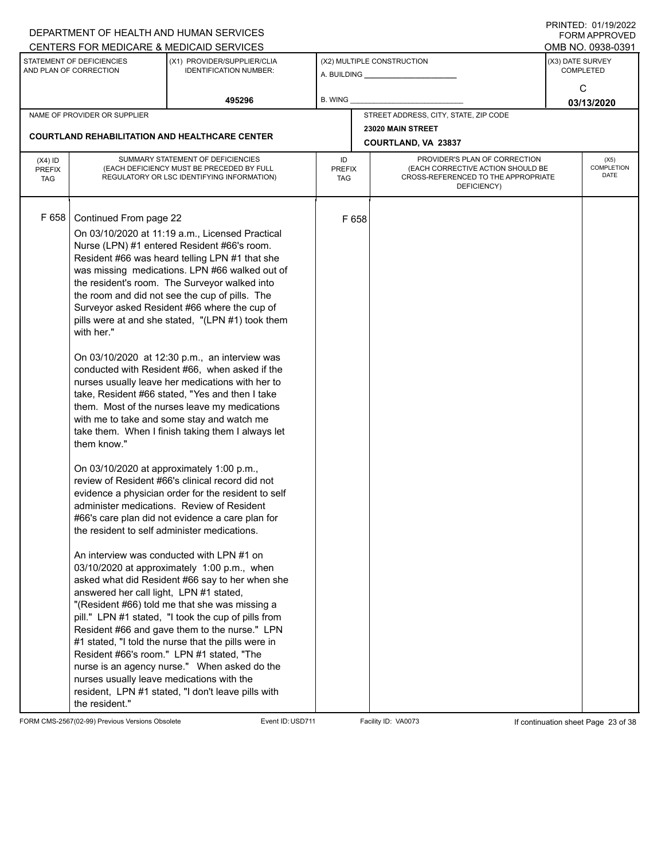| CENTERS FOR MEDICARE & MEDICAID SERVICES<br>STATEMENT OF DEFICIENCIES<br>(X2) MULTIPLE CONSTRUCTION<br>(X3) DATE SURVEY<br>(X1) PROVIDER/SUPPLIER/CLIA<br>AND PLAN OF CORRECTION<br><b>IDENTIFICATION NUMBER:</b><br><b>COMPLETED</b><br>С<br>495296<br>B. WING<br>03/13/2020<br>STREET ADDRESS, CITY, STATE, ZIP CODE<br>NAME OF PROVIDER OR SUPPLIER<br>23020 MAIN STREET<br><b>COURTLAND REHABILITATION AND HEALTHCARE CENTER</b><br>COURTLAND, VA 23837<br>SUMMARY STATEMENT OF DEFICIENCIES<br>PROVIDER'S PLAN OF CORRECTION<br>ID<br>(X5)<br>$(X4)$ ID<br><b>COMPLETION</b><br>(EACH DEFICIENCY MUST BE PRECEDED BY FULL<br>(EACH CORRECTIVE ACTION SHOULD BE<br><b>PREFIX</b><br><b>PREFIX</b><br>DATE<br>REGULATORY OR LSC IDENTIFYING INFORMATION)<br>CROSS-REFERENCED TO THE APPROPRIATE<br><b>TAG</b><br>TAG<br>DEFICIENCY)<br>F 658<br>Continued From page 22<br>F 658<br>On 03/10/2020 at 11:19 a.m., Licensed Practical<br>Nurse (LPN) #1 entered Resident #66's room.<br>Resident #66 was heard telling LPN #1 that she<br>was missing medications. LPN #66 walked out of<br>the resident's room. The Surveyor walked into<br>the room and did not see the cup of pills. The<br>Surveyor asked Resident #66 where the cup of<br>pills were at and she stated, "(LPN #1) took them<br>with her."<br>On 03/10/2020 at 12:30 p.m., an interview was<br>conducted with Resident #66, when asked if the<br>nurses usually leave her medications with her to<br>take, Resident #66 stated, "Yes and then I take<br>them. Most of the nurses leave my medications<br>with me to take and some stay and watch me<br>take them. When I finish taking them I always let<br>them know."<br>On 03/10/2020 at approximately 1:00 p.m.,<br>review of Resident #66's clinical record did not<br>evidence a physician order for the resident to self<br>administer medications. Review of Resident<br>#66's care plan did not evidence a care plan for<br>the resident to self administer medications.<br>An interview was conducted with LPN #1 on<br>03/10/2020 at approximately 1:00 p.m., when<br>asked what did Resident #66 say to her when she<br>answered her call light, LPN #1 stated,<br>"(Resident #66) told me that she was missing a<br>pill." LPN #1 stated, "I took the cup of pills from<br>Resident #66 and gave them to the nurse." LPN<br>#1 stated, "I told the nurse that the pills were in<br>Resident #66's room." LPN #1 stated, "The<br>nurse is an agency nurse." When asked do the<br>nurses usually leave medications with the<br>resident, LPN #1 stated, "I don't leave pills with |                | DEPARTMENT OF HEALTH AND HUMAN SERVICES |  |                                           |  |
|------------------------------------------------------------------------------------------------------------------------------------------------------------------------------------------------------------------------------------------------------------------------------------------------------------------------------------------------------------------------------------------------------------------------------------------------------------------------------------------------------------------------------------------------------------------------------------------------------------------------------------------------------------------------------------------------------------------------------------------------------------------------------------------------------------------------------------------------------------------------------------------------------------------------------------------------------------------------------------------------------------------------------------------------------------------------------------------------------------------------------------------------------------------------------------------------------------------------------------------------------------------------------------------------------------------------------------------------------------------------------------------------------------------------------------------------------------------------------------------------------------------------------------------------------------------------------------------------------------------------------------------------------------------------------------------------------------------------------------------------------------------------------------------------------------------------------------------------------------------------------------------------------------------------------------------------------------------------------------------------------------------------------------------------------------------------------------------------------------------------------------------------------------------------------------------------------------------------------------------------------------------------------------------------------------------------------------------------------------------------------------------------------------------------------------------------------------------------------------------------------------------------------------------------------------------------------------------------------------------|----------------|-----------------------------------------|--|-------------------------------------------|--|
|                                                                                                                                                                                                                                                                                                                                                                                                                                                                                                                                                                                                                                                                                                                                                                                                                                                                                                                                                                                                                                                                                                                                                                                                                                                                                                                                                                                                                                                                                                                                                                                                                                                                                                                                                                                                                                                                                                                                                                                                                                                                                                                                                                                                                                                                                                                                                                                                                                                                                                                                                                                                                  |                |                                         |  |                                           |  |
|                                                                                                                                                                                                                                                                                                                                                                                                                                                                                                                                                                                                                                                                                                                                                                                                                                                                                                                                                                                                                                                                                                                                                                                                                                                                                                                                                                                                                                                                                                                                                                                                                                                                                                                                                                                                                                                                                                                                                                                                                                                                                                                                                                                                                                                                                                                                                                                                                                                                                                                                                                                                                  |                |                                         |  |                                           |  |
|                                                                                                                                                                                                                                                                                                                                                                                                                                                                                                                                                                                                                                                                                                                                                                                                                                                                                                                                                                                                                                                                                                                                                                                                                                                                                                                                                                                                                                                                                                                                                                                                                                                                                                                                                                                                                                                                                                                                                                                                                                                                                                                                                                                                                                                                                                                                                                                                                                                                                                                                                                                                                  |                |                                         |  |                                           |  |
|                                                                                                                                                                                                                                                                                                                                                                                                                                                                                                                                                                                                                                                                                                                                                                                                                                                                                                                                                                                                                                                                                                                                                                                                                                                                                                                                                                                                                                                                                                                                                                                                                                                                                                                                                                                                                                                                                                                                                                                                                                                                                                                                                                                                                                                                                                                                                                                                                                                                                                                                                                                                                  |                |                                         |  |                                           |  |
|                                                                                                                                                                                                                                                                                                                                                                                                                                                                                                                                                                                                                                                                                                                                                                                                                                                                                                                                                                                                                                                                                                                                                                                                                                                                                                                                                                                                                                                                                                                                                                                                                                                                                                                                                                                                                                                                                                                                                                                                                                                                                                                                                                                                                                                                                                                                                                                                                                                                                                                                                                                                                  |                |                                         |  | <b>FORM APPROVED</b><br>OMB NO. 0938-0391 |  |
|                                                                                                                                                                                                                                                                                                                                                                                                                                                                                                                                                                                                                                                                                                                                                                                                                                                                                                                                                                                                                                                                                                                                                                                                                                                                                                                                                                                                                                                                                                                                                                                                                                                                                                                                                                                                                                                                                                                                                                                                                                                                                                                                                                                                                                                                                                                                                                                                                                                                                                                                                                                                                  |                |                                         |  |                                           |  |
|                                                                                                                                                                                                                                                                                                                                                                                                                                                                                                                                                                                                                                                                                                                                                                                                                                                                                                                                                                                                                                                                                                                                                                                                                                                                                                                                                                                                                                                                                                                                                                                                                                                                                                                                                                                                                                                                                                                                                                                                                                                                                                                                                                                                                                                                                                                                                                                                                                                                                                                                                                                                                  |                |                                         |  |                                           |  |
|                                                                                                                                                                                                                                                                                                                                                                                                                                                                                                                                                                                                                                                                                                                                                                                                                                                                                                                                                                                                                                                                                                                                                                                                                                                                                                                                                                                                                                                                                                                                                                                                                                                                                                                                                                                                                                                                                                                                                                                                                                                                                                                                                                                                                                                                                                                                                                                                                                                                                                                                                                                                                  |                |                                         |  |                                           |  |
|                                                                                                                                                                                                                                                                                                                                                                                                                                                                                                                                                                                                                                                                                                                                                                                                                                                                                                                                                                                                                                                                                                                                                                                                                                                                                                                                                                                                                                                                                                                                                                                                                                                                                                                                                                                                                                                                                                                                                                                                                                                                                                                                                                                                                                                                                                                                                                                                                                                                                                                                                                                                                  |                |                                         |  |                                           |  |
|                                                                                                                                                                                                                                                                                                                                                                                                                                                                                                                                                                                                                                                                                                                                                                                                                                                                                                                                                                                                                                                                                                                                                                                                                                                                                                                                                                                                                                                                                                                                                                                                                                                                                                                                                                                                                                                                                                                                                                                                                                                                                                                                                                                                                                                                                                                                                                                                                                                                                                                                                                                                                  |                |                                         |  |                                           |  |
|                                                                                                                                                                                                                                                                                                                                                                                                                                                                                                                                                                                                                                                                                                                                                                                                                                                                                                                                                                                                                                                                                                                                                                                                                                                                                                                                                                                                                                                                                                                                                                                                                                                                                                                                                                                                                                                                                                                                                                                                                                                                                                                                                                                                                                                                                                                                                                                                                                                                                                                                                                                                                  |                |                                         |  |                                           |  |
|                                                                                                                                                                                                                                                                                                                                                                                                                                                                                                                                                                                                                                                                                                                                                                                                                                                                                                                                                                                                                                                                                                                                                                                                                                                                                                                                                                                                                                                                                                                                                                                                                                                                                                                                                                                                                                                                                                                                                                                                                                                                                                                                                                                                                                                                                                                                                                                                                                                                                                                                                                                                                  |                |                                         |  |                                           |  |
|                                                                                                                                                                                                                                                                                                                                                                                                                                                                                                                                                                                                                                                                                                                                                                                                                                                                                                                                                                                                                                                                                                                                                                                                                                                                                                                                                                                                                                                                                                                                                                                                                                                                                                                                                                                                                                                                                                                                                                                                                                                                                                                                                                                                                                                                                                                                                                                                                                                                                                                                                                                                                  |                |                                         |  |                                           |  |
|                                                                                                                                                                                                                                                                                                                                                                                                                                                                                                                                                                                                                                                                                                                                                                                                                                                                                                                                                                                                                                                                                                                                                                                                                                                                                                                                                                                                                                                                                                                                                                                                                                                                                                                                                                                                                                                                                                                                                                                                                                                                                                                                                                                                                                                                                                                                                                                                                                                                                                                                                                                                                  |                |                                         |  |                                           |  |
|                                                                                                                                                                                                                                                                                                                                                                                                                                                                                                                                                                                                                                                                                                                                                                                                                                                                                                                                                                                                                                                                                                                                                                                                                                                                                                                                                                                                                                                                                                                                                                                                                                                                                                                                                                                                                                                                                                                                                                                                                                                                                                                                                                                                                                                                                                                                                                                                                                                                                                                                                                                                                  |                |                                         |  |                                           |  |
|                                                                                                                                                                                                                                                                                                                                                                                                                                                                                                                                                                                                                                                                                                                                                                                                                                                                                                                                                                                                                                                                                                                                                                                                                                                                                                                                                                                                                                                                                                                                                                                                                                                                                                                                                                                                                                                                                                                                                                                                                                                                                                                                                                                                                                                                                                                                                                                                                                                                                                                                                                                                                  |                |                                         |  |                                           |  |
|                                                                                                                                                                                                                                                                                                                                                                                                                                                                                                                                                                                                                                                                                                                                                                                                                                                                                                                                                                                                                                                                                                                                                                                                                                                                                                                                                                                                                                                                                                                                                                                                                                                                                                                                                                                                                                                                                                                                                                                                                                                                                                                                                                                                                                                                                                                                                                                                                                                                                                                                                                                                                  |                |                                         |  |                                           |  |
|                                                                                                                                                                                                                                                                                                                                                                                                                                                                                                                                                                                                                                                                                                                                                                                                                                                                                                                                                                                                                                                                                                                                                                                                                                                                                                                                                                                                                                                                                                                                                                                                                                                                                                                                                                                                                                                                                                                                                                                                                                                                                                                                                                                                                                                                                                                                                                                                                                                                                                                                                                                                                  |                |                                         |  |                                           |  |
|                                                                                                                                                                                                                                                                                                                                                                                                                                                                                                                                                                                                                                                                                                                                                                                                                                                                                                                                                                                                                                                                                                                                                                                                                                                                                                                                                                                                                                                                                                                                                                                                                                                                                                                                                                                                                                                                                                                                                                                                                                                                                                                                                                                                                                                                                                                                                                                                                                                                                                                                                                                                                  |                |                                         |  |                                           |  |
|                                                                                                                                                                                                                                                                                                                                                                                                                                                                                                                                                                                                                                                                                                                                                                                                                                                                                                                                                                                                                                                                                                                                                                                                                                                                                                                                                                                                                                                                                                                                                                                                                                                                                                                                                                                                                                                                                                                                                                                                                                                                                                                                                                                                                                                                                                                                                                                                                                                                                                                                                                                                                  |                |                                         |  |                                           |  |
|                                                                                                                                                                                                                                                                                                                                                                                                                                                                                                                                                                                                                                                                                                                                                                                                                                                                                                                                                                                                                                                                                                                                                                                                                                                                                                                                                                                                                                                                                                                                                                                                                                                                                                                                                                                                                                                                                                                                                                                                                                                                                                                                                                                                                                                                                                                                                                                                                                                                                                                                                                                                                  |                |                                         |  |                                           |  |
|                                                                                                                                                                                                                                                                                                                                                                                                                                                                                                                                                                                                                                                                                                                                                                                                                                                                                                                                                                                                                                                                                                                                                                                                                                                                                                                                                                                                                                                                                                                                                                                                                                                                                                                                                                                                                                                                                                                                                                                                                                                                                                                                                                                                                                                                                                                                                                                                                                                                                                                                                                                                                  |                |                                         |  |                                           |  |
|                                                                                                                                                                                                                                                                                                                                                                                                                                                                                                                                                                                                                                                                                                                                                                                                                                                                                                                                                                                                                                                                                                                                                                                                                                                                                                                                                                                                                                                                                                                                                                                                                                                                                                                                                                                                                                                                                                                                                                                                                                                                                                                                                                                                                                                                                                                                                                                                                                                                                                                                                                                                                  |                |                                         |  |                                           |  |
|                                                                                                                                                                                                                                                                                                                                                                                                                                                                                                                                                                                                                                                                                                                                                                                                                                                                                                                                                                                                                                                                                                                                                                                                                                                                                                                                                                                                                                                                                                                                                                                                                                                                                                                                                                                                                                                                                                                                                                                                                                                                                                                                                                                                                                                                                                                                                                                                                                                                                                                                                                                                                  |                |                                         |  |                                           |  |
|                                                                                                                                                                                                                                                                                                                                                                                                                                                                                                                                                                                                                                                                                                                                                                                                                                                                                                                                                                                                                                                                                                                                                                                                                                                                                                                                                                                                                                                                                                                                                                                                                                                                                                                                                                                                                                                                                                                                                                                                                                                                                                                                                                                                                                                                                                                                                                                                                                                                                                                                                                                                                  |                |                                         |  |                                           |  |
|                                                                                                                                                                                                                                                                                                                                                                                                                                                                                                                                                                                                                                                                                                                                                                                                                                                                                                                                                                                                                                                                                                                                                                                                                                                                                                                                                                                                                                                                                                                                                                                                                                                                                                                                                                                                                                                                                                                                                                                                                                                                                                                                                                                                                                                                                                                                                                                                                                                                                                                                                                                                                  |                |                                         |  |                                           |  |
|                                                                                                                                                                                                                                                                                                                                                                                                                                                                                                                                                                                                                                                                                                                                                                                                                                                                                                                                                                                                                                                                                                                                                                                                                                                                                                                                                                                                                                                                                                                                                                                                                                                                                                                                                                                                                                                                                                                                                                                                                                                                                                                                                                                                                                                                                                                                                                                                                                                                                                                                                                                                                  |                |                                         |  |                                           |  |
|                                                                                                                                                                                                                                                                                                                                                                                                                                                                                                                                                                                                                                                                                                                                                                                                                                                                                                                                                                                                                                                                                                                                                                                                                                                                                                                                                                                                                                                                                                                                                                                                                                                                                                                                                                                                                                                                                                                                                                                                                                                                                                                                                                                                                                                                                                                                                                                                                                                                                                                                                                                                                  |                |                                         |  |                                           |  |
|                                                                                                                                                                                                                                                                                                                                                                                                                                                                                                                                                                                                                                                                                                                                                                                                                                                                                                                                                                                                                                                                                                                                                                                                                                                                                                                                                                                                                                                                                                                                                                                                                                                                                                                                                                                                                                                                                                                                                                                                                                                                                                                                                                                                                                                                                                                                                                                                                                                                                                                                                                                                                  |                |                                         |  |                                           |  |
|                                                                                                                                                                                                                                                                                                                                                                                                                                                                                                                                                                                                                                                                                                                                                                                                                                                                                                                                                                                                                                                                                                                                                                                                                                                                                                                                                                                                                                                                                                                                                                                                                                                                                                                                                                                                                                                                                                                                                                                                                                                                                                                                                                                                                                                                                                                                                                                                                                                                                                                                                                                                                  |                |                                         |  |                                           |  |
|                                                                                                                                                                                                                                                                                                                                                                                                                                                                                                                                                                                                                                                                                                                                                                                                                                                                                                                                                                                                                                                                                                                                                                                                                                                                                                                                                                                                                                                                                                                                                                                                                                                                                                                                                                                                                                                                                                                                                                                                                                                                                                                                                                                                                                                                                                                                                                                                                                                                                                                                                                                                                  |                |                                         |  |                                           |  |
|                                                                                                                                                                                                                                                                                                                                                                                                                                                                                                                                                                                                                                                                                                                                                                                                                                                                                                                                                                                                                                                                                                                                                                                                                                                                                                                                                                                                                                                                                                                                                                                                                                                                                                                                                                                                                                                                                                                                                                                                                                                                                                                                                                                                                                                                                                                                                                                                                                                                                                                                                                                                                  |                |                                         |  |                                           |  |
|                                                                                                                                                                                                                                                                                                                                                                                                                                                                                                                                                                                                                                                                                                                                                                                                                                                                                                                                                                                                                                                                                                                                                                                                                                                                                                                                                                                                                                                                                                                                                                                                                                                                                                                                                                                                                                                                                                                                                                                                                                                                                                                                                                                                                                                                                                                                                                                                                                                                                                                                                                                                                  |                |                                         |  |                                           |  |
|                                                                                                                                                                                                                                                                                                                                                                                                                                                                                                                                                                                                                                                                                                                                                                                                                                                                                                                                                                                                                                                                                                                                                                                                                                                                                                                                                                                                                                                                                                                                                                                                                                                                                                                                                                                                                                                                                                                                                                                                                                                                                                                                                                                                                                                                                                                                                                                                                                                                                                                                                                                                                  |                |                                         |  |                                           |  |
|                                                                                                                                                                                                                                                                                                                                                                                                                                                                                                                                                                                                                                                                                                                                                                                                                                                                                                                                                                                                                                                                                                                                                                                                                                                                                                                                                                                                                                                                                                                                                                                                                                                                                                                                                                                                                                                                                                                                                                                                                                                                                                                                                                                                                                                                                                                                                                                                                                                                                                                                                                                                                  |                |                                         |  |                                           |  |
|                                                                                                                                                                                                                                                                                                                                                                                                                                                                                                                                                                                                                                                                                                                                                                                                                                                                                                                                                                                                                                                                                                                                                                                                                                                                                                                                                                                                                                                                                                                                                                                                                                                                                                                                                                                                                                                                                                                                                                                                                                                                                                                                                                                                                                                                                                                                                                                                                                                                                                                                                                                                                  |                |                                         |  |                                           |  |
|                                                                                                                                                                                                                                                                                                                                                                                                                                                                                                                                                                                                                                                                                                                                                                                                                                                                                                                                                                                                                                                                                                                                                                                                                                                                                                                                                                                                                                                                                                                                                                                                                                                                                                                                                                                                                                                                                                                                                                                                                                                                                                                                                                                                                                                                                                                                                                                                                                                                                                                                                                                                                  |                |                                         |  |                                           |  |
|                                                                                                                                                                                                                                                                                                                                                                                                                                                                                                                                                                                                                                                                                                                                                                                                                                                                                                                                                                                                                                                                                                                                                                                                                                                                                                                                                                                                                                                                                                                                                                                                                                                                                                                                                                                                                                                                                                                                                                                                                                                                                                                                                                                                                                                                                                                                                                                                                                                                                                                                                                                                                  |                |                                         |  |                                           |  |
|                                                                                                                                                                                                                                                                                                                                                                                                                                                                                                                                                                                                                                                                                                                                                                                                                                                                                                                                                                                                                                                                                                                                                                                                                                                                                                                                                                                                                                                                                                                                                                                                                                                                                                                                                                                                                                                                                                                                                                                                                                                                                                                                                                                                                                                                                                                                                                                                                                                                                                                                                                                                                  |                |                                         |  |                                           |  |
|                                                                                                                                                                                                                                                                                                                                                                                                                                                                                                                                                                                                                                                                                                                                                                                                                                                                                                                                                                                                                                                                                                                                                                                                                                                                                                                                                                                                                                                                                                                                                                                                                                                                                                                                                                                                                                                                                                                                                                                                                                                                                                                                                                                                                                                                                                                                                                                                                                                                                                                                                                                                                  |                |                                         |  |                                           |  |
|                                                                                                                                                                                                                                                                                                                                                                                                                                                                                                                                                                                                                                                                                                                                                                                                                                                                                                                                                                                                                                                                                                                                                                                                                                                                                                                                                                                                                                                                                                                                                                                                                                                                                                                                                                                                                                                                                                                                                                                                                                                                                                                                                                                                                                                                                                                                                                                                                                                                                                                                                                                                                  |                |                                         |  |                                           |  |
|                                                                                                                                                                                                                                                                                                                                                                                                                                                                                                                                                                                                                                                                                                                                                                                                                                                                                                                                                                                                                                                                                                                                                                                                                                                                                                                                                                                                                                                                                                                                                                                                                                                                                                                                                                                                                                                                                                                                                                                                                                                                                                                                                                                                                                                                                                                                                                                                                                                                                                                                                                                                                  |                |                                         |  |                                           |  |
|                                                                                                                                                                                                                                                                                                                                                                                                                                                                                                                                                                                                                                                                                                                                                                                                                                                                                                                                                                                                                                                                                                                                                                                                                                                                                                                                                                                                                                                                                                                                                                                                                                                                                                                                                                                                                                                                                                                                                                                                                                                                                                                                                                                                                                                                                                                                                                                                                                                                                                                                                                                                                  |                |                                         |  |                                           |  |
|                                                                                                                                                                                                                                                                                                                                                                                                                                                                                                                                                                                                                                                                                                                                                                                                                                                                                                                                                                                                                                                                                                                                                                                                                                                                                                                                                                                                                                                                                                                                                                                                                                                                                                                                                                                                                                                                                                                                                                                                                                                                                                                                                                                                                                                                                                                                                                                                                                                                                                                                                                                                                  |                |                                         |  |                                           |  |
|                                                                                                                                                                                                                                                                                                                                                                                                                                                                                                                                                                                                                                                                                                                                                                                                                                                                                                                                                                                                                                                                                                                                                                                                                                                                                                                                                                                                                                                                                                                                                                                                                                                                                                                                                                                                                                                                                                                                                                                                                                                                                                                                                                                                                                                                                                                                                                                                                                                                                                                                                                                                                  |                |                                         |  |                                           |  |
|                                                                                                                                                                                                                                                                                                                                                                                                                                                                                                                                                                                                                                                                                                                                                                                                                                                                                                                                                                                                                                                                                                                                                                                                                                                                                                                                                                                                                                                                                                                                                                                                                                                                                                                                                                                                                                                                                                                                                                                                                                                                                                                                                                                                                                                                                                                                                                                                                                                                                                                                                                                                                  |                |                                         |  |                                           |  |
|                                                                                                                                                                                                                                                                                                                                                                                                                                                                                                                                                                                                                                                                                                                                                                                                                                                                                                                                                                                                                                                                                                                                                                                                                                                                                                                                                                                                                                                                                                                                                                                                                                                                                                                                                                                                                                                                                                                                                                                                                                                                                                                                                                                                                                                                                                                                                                                                                                                                                                                                                                                                                  | the resident." |                                         |  |                                           |  |

FORM CMS-2567(02-99) Previous Versions Obsolete Event ID:USD711 Facility ID: VA0073 If continuation sheet Page 23 of 38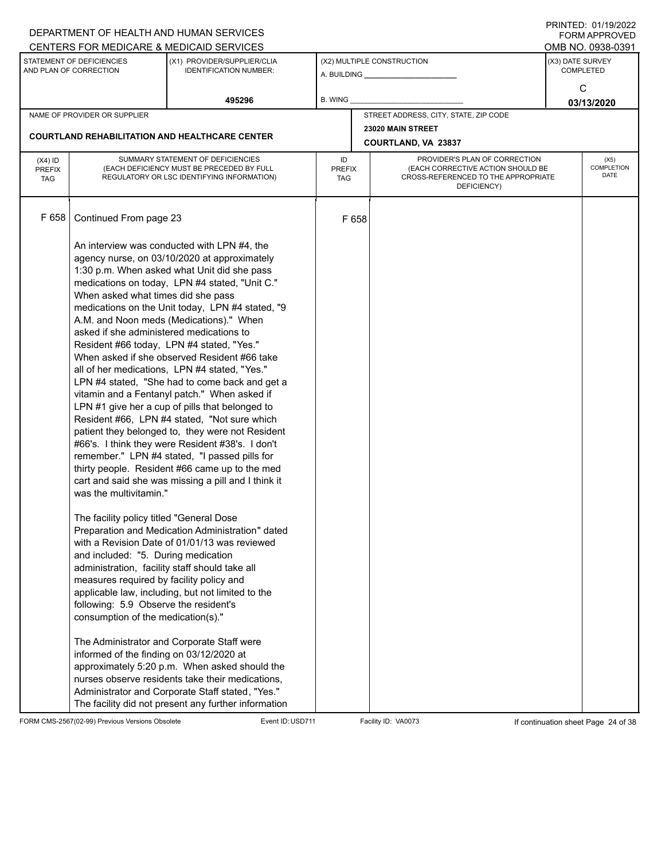|                                                                                                 |                                                                                                                                                                                                                                                              | DEPARTMENT OF HEALTH AND HUMAN SERVICES                                                                                                                                                                                                                                                                                                                                                                                                                                                                                                                                                                                                                                                                                                                                                                                                                                                                          |                                   |       |                                                                                                                          |                                      | FININILU. VIII JIZUZZ<br>FORM APPROVED<br>OMB NO. 0938-0391 |  |  |
|-------------------------------------------------------------------------------------------------|--------------------------------------------------------------------------------------------------------------------------------------------------------------------------------------------------------------------------------------------------------------|------------------------------------------------------------------------------------------------------------------------------------------------------------------------------------------------------------------------------------------------------------------------------------------------------------------------------------------------------------------------------------------------------------------------------------------------------------------------------------------------------------------------------------------------------------------------------------------------------------------------------------------------------------------------------------------------------------------------------------------------------------------------------------------------------------------------------------------------------------------------------------------------------------------|-----------------------------------|-------|--------------------------------------------------------------------------------------------------------------------------|--------------------------------------|-------------------------------------------------------------|--|--|
| CENTERS FOR MEDICARE & MEDICAID SERVICES<br>STATEMENT OF DEFICIENCIES<br>AND PLAN OF CORRECTION |                                                                                                                                                                                                                                                              | (X1) PROVIDER/SUPPLIER/CLIA<br><b>IDENTIFICATION NUMBER:</b>                                                                                                                                                                                                                                                                                                                                                                                                                                                                                                                                                                                                                                                                                                                                                                                                                                                     |                                   |       | (X2) MULTIPLE CONSTRUCTION<br>A. BUILDING <b>A.</b> BUILDING                                                             | (X3) DATE SURVEY<br><b>COMPLETED</b> |                                                             |  |  |
|                                                                                                 |                                                                                                                                                                                                                                                              | 495296                                                                                                                                                                                                                                                                                                                                                                                                                                                                                                                                                                                                                                                                                                                                                                                                                                                                                                           | <b>B. WING</b>                    |       |                                                                                                                          |                                      | C<br>03/13/2020                                             |  |  |
|                                                                                                 | NAME OF PROVIDER OR SUPPLIER                                                                                                                                                                                                                                 |                                                                                                                                                                                                                                                                                                                                                                                                                                                                                                                                                                                                                                                                                                                                                                                                                                                                                                                  |                                   |       | STREET ADDRESS, CITY, STATE, ZIP CODE                                                                                    |                                      |                                                             |  |  |
|                                                                                                 |                                                                                                                                                                                                                                                              | <b>COURTLAND REHABILITATION AND HEALTHCARE CENTER</b>                                                                                                                                                                                                                                                                                                                                                                                                                                                                                                                                                                                                                                                                                                                                                                                                                                                            |                                   |       | 23020 MAIN STREET<br><b>COURTLAND, VA 23837</b>                                                                          |                                      |                                                             |  |  |
| $(X4)$ ID<br><b>PREFIX</b><br><b>TAG</b>                                                        |                                                                                                                                                                                                                                                              | SUMMARY STATEMENT OF DEFICIENCIES<br>(EACH DEFICIENCY MUST BE PRECEDED BY FULL<br>REGULATORY OR LSC IDENTIFYING INFORMATION)                                                                                                                                                                                                                                                                                                                                                                                                                                                                                                                                                                                                                                                                                                                                                                                     | ID<br><b>PREFIX</b><br><b>TAG</b> |       | PROVIDER'S PLAN OF CORRECTION<br>(EACH CORRECTIVE ACTION SHOULD BE<br>CROSS-REFERENCED TO THE APPROPRIATE<br>DEFICIENCY) |                                      | (X5)<br><b>COMPLETION</b><br>DATE                           |  |  |
| F 658                                                                                           | Continued From page 23                                                                                                                                                                                                                                       |                                                                                                                                                                                                                                                                                                                                                                                                                                                                                                                                                                                                                                                                                                                                                                                                                                                                                                                  |                                   | F 658 |                                                                                                                          |                                      |                                                             |  |  |
|                                                                                                 | When asked what times did she pass<br>asked if she administered medications to<br>was the multivitamin."                                                                                                                                                     | An interview was conducted with LPN #4, the<br>agency nurse, on 03/10/2020 at approximately<br>1:30 p.m. When asked what Unit did she pass<br>medications on today, LPN #4 stated, "Unit C."<br>medications on the Unit today, LPN #4 stated, "9<br>A.M. and Noon meds (Medications)." When<br>Resident #66 today, LPN #4 stated, "Yes."<br>When asked if she observed Resident #66 take<br>all of her medications, LPN #4 stated, "Yes."<br>LPN #4 stated, "She had to come back and get a<br>vitamin and a Fentanyl patch." When asked if<br>LPN #1 give her a cup of pills that belonged to<br>Resident #66, LPN #4 stated, "Not sure which<br>patient they belonged to, they were not Resident<br>#66's. I think they were Resident #38's. I don't<br>remember." LPN #4 stated, "I passed pills for<br>thirty people. Resident #66 came up to the med<br>cart and said she was missing a pill and I think it |                                   |       |                                                                                                                          |                                      |                                                             |  |  |
|                                                                                                 | The facility policy titled "General Dose<br>and included: "5. During medication<br>administration, facility staff should take all<br>measures required by facility policy and<br>following: 5.9 Observe the resident's<br>consumption of the medication(s)." | Preparation and Medication Administration" dated<br>with a Revision Date of 01/01/13 was reviewed<br>applicable law, including, but not limited to the                                                                                                                                                                                                                                                                                                                                                                                                                                                                                                                                                                                                                                                                                                                                                           |                                   |       |                                                                                                                          |                                      |                                                             |  |  |
|                                                                                                 | informed of the finding on 03/12/2020 at                                                                                                                                                                                                                     | The Administrator and Corporate Staff were<br>approximately 5:20 p.m. When asked should the<br>nurses observe residents take their medications,<br>Administrator and Corporate Staff stated, "Yes."<br>The facility did not present any further information                                                                                                                                                                                                                                                                                                                                                                                                                                                                                                                                                                                                                                                      |                                   |       |                                                                                                                          |                                      |                                                             |  |  |

FORM CMS-2567(02-99) Previous Versions Obsolete Event ID:USD711 Facility ID: VA0073 If continuation sheet Page 24 of 38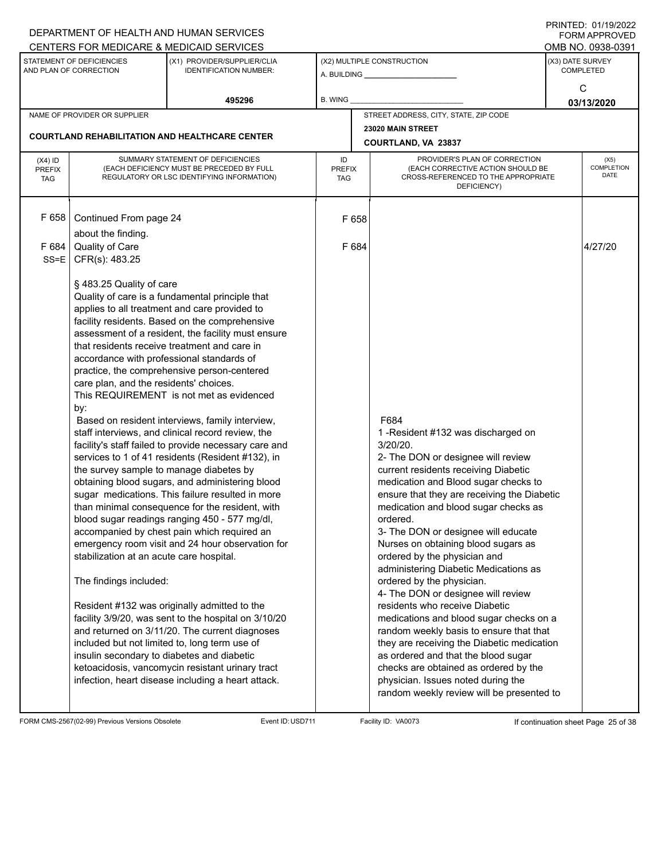|                                                                                                                                                                 | DEPARTMENT OF HEALTH AND HUMAN SERVICES                                                                                                                                                                                                                                               |                                                                                                                                                                                                                                                                                                                                                                                                                                                                                                                                                                                                                                                                                                                                                                                                                                                                                                                                                                                                                                                                                                                                                                                                              |                                   |                                                                                                                                                                                                                                                                                                                                                                                                                                                                                                                                                                                                                                                                                                                                                                                                                                                     |  | FININILU. VIII JIZUZZ<br><b>FORM APPROVED</b><br>OMB NO. 0938-0391 |
|-----------------------------------------------------------------------------------------------------------------------------------------------------------------|---------------------------------------------------------------------------------------------------------------------------------------------------------------------------------------------------------------------------------------------------------------------------------------|--------------------------------------------------------------------------------------------------------------------------------------------------------------------------------------------------------------------------------------------------------------------------------------------------------------------------------------------------------------------------------------------------------------------------------------------------------------------------------------------------------------------------------------------------------------------------------------------------------------------------------------------------------------------------------------------------------------------------------------------------------------------------------------------------------------------------------------------------------------------------------------------------------------------------------------------------------------------------------------------------------------------------------------------------------------------------------------------------------------------------------------------------------------------------------------------------------------|-----------------------------------|-----------------------------------------------------------------------------------------------------------------------------------------------------------------------------------------------------------------------------------------------------------------------------------------------------------------------------------------------------------------------------------------------------------------------------------------------------------------------------------------------------------------------------------------------------------------------------------------------------------------------------------------------------------------------------------------------------------------------------------------------------------------------------------------------------------------------------------------------------|--|--------------------------------------------------------------------|
| CENTERS FOR MEDICARE & MEDICAID SERVICES<br>(X1) PROVIDER/SUPPLIER/CLIA<br>STATEMENT OF DEFICIENCIES<br>AND PLAN OF CORRECTION<br><b>IDENTIFICATION NUMBER:</b> |                                                                                                                                                                                                                                                                                       |                                                                                                                                                                                                                                                                                                                                                                                                                                                                                                                                                                                                                                                                                                                                                                                                                                                                                                                                                                                                                                                                                                                                                                                                              | (X2) MULTIPLE CONSTRUCTION        | (X3) DATE SURVEY<br><b>COMPLETED</b>                                                                                                                                                                                                                                                                                                                                                                                                                                                                                                                                                                                                                                                                                                                                                                                                                |  |                                                                    |
|                                                                                                                                                                 |                                                                                                                                                                                                                                                                                       | 495296                                                                                                                                                                                                                                                                                                                                                                                                                                                                                                                                                                                                                                                                                                                                                                                                                                                                                                                                                                                                                                                                                                                                                                                                       | <b>B. WING</b>                    |                                                                                                                                                                                                                                                                                                                                                                                                                                                                                                                                                                                                                                                                                                                                                                                                                                                     |  | C<br>03/13/2020                                                    |
|                                                                                                                                                                 | NAME OF PROVIDER OR SUPPLIER                                                                                                                                                                                                                                                          |                                                                                                                                                                                                                                                                                                                                                                                                                                                                                                                                                                                                                                                                                                                                                                                                                                                                                                                                                                                                                                                                                                                                                                                                              |                                   | STREET ADDRESS, CITY, STATE, ZIP CODE                                                                                                                                                                                                                                                                                                                                                                                                                                                                                                                                                                                                                                                                                                                                                                                                               |  |                                                                    |
|                                                                                                                                                                 |                                                                                                                                                                                                                                                                                       |                                                                                                                                                                                                                                                                                                                                                                                                                                                                                                                                                                                                                                                                                                                                                                                                                                                                                                                                                                                                                                                                                                                                                                                                              |                                   | 23020 MAIN STREET                                                                                                                                                                                                                                                                                                                                                                                                                                                                                                                                                                                                                                                                                                                                                                                                                                   |  |                                                                    |
|                                                                                                                                                                 |                                                                                                                                                                                                                                                                                       | <b>COURTLAND REHABILITATION AND HEALTHCARE CENTER</b>                                                                                                                                                                                                                                                                                                                                                                                                                                                                                                                                                                                                                                                                                                                                                                                                                                                                                                                                                                                                                                                                                                                                                        |                                   | <b>COURTLAND, VA 23837</b>                                                                                                                                                                                                                                                                                                                                                                                                                                                                                                                                                                                                                                                                                                                                                                                                                          |  |                                                                    |
| $(X4)$ ID<br><b>PREFIX</b><br><b>TAG</b>                                                                                                                        |                                                                                                                                                                                                                                                                                       | SUMMARY STATEMENT OF DEFICIENCIES<br>(EACH DEFICIENCY MUST BE PRECEDED BY FULL<br>REGULATORY OR LSC IDENTIFYING INFORMATION)                                                                                                                                                                                                                                                                                                                                                                                                                                                                                                                                                                                                                                                                                                                                                                                                                                                                                                                                                                                                                                                                                 | ID<br><b>PREFIX</b><br><b>TAG</b> | PROVIDER'S PLAN OF CORRECTION<br>(EACH CORRECTIVE ACTION SHOULD BE<br>CROSS-REFERENCED TO THE APPROPRIATE<br>DEFICIENCY)                                                                                                                                                                                                                                                                                                                                                                                                                                                                                                                                                                                                                                                                                                                            |  | (X5)<br><b>COMPLETION</b><br><b>DATE</b>                           |
| F 658                                                                                                                                                           | Continued From page 24<br>about the finding.                                                                                                                                                                                                                                          |                                                                                                                                                                                                                                                                                                                                                                                                                                                                                                                                                                                                                                                                                                                                                                                                                                                                                                                                                                                                                                                                                                                                                                                                              | F 658                             |                                                                                                                                                                                                                                                                                                                                                                                                                                                                                                                                                                                                                                                                                                                                                                                                                                                     |  |                                                                    |
| F 684<br>$SS=E$                                                                                                                                                 | Quality of Care<br>CFR(s): 483.25                                                                                                                                                                                                                                                     |                                                                                                                                                                                                                                                                                                                                                                                                                                                                                                                                                                                                                                                                                                                                                                                                                                                                                                                                                                                                                                                                                                                                                                                                              | F 684                             |                                                                                                                                                                                                                                                                                                                                                                                                                                                                                                                                                                                                                                                                                                                                                                                                                                                     |  | 4/27/20                                                            |
|                                                                                                                                                                 | § 483.25 Quality of care<br>accordance with professional standards of<br>care plan, and the residents' choices.<br>by:<br>the survey sample to manage diabetes by<br>stabilization at an acute care hospital.<br>The findings included:<br>insulin secondary to diabetes and diabetic | Quality of care is a fundamental principle that<br>applies to all treatment and care provided to<br>facility residents. Based on the comprehensive<br>assessment of a resident, the facility must ensure<br>that residents receive treatment and care in<br>practice, the comprehensive person-centered<br>This REQUIREMENT is not met as evidenced<br>Based on resident interviews, family interview,<br>staff interviews, and clinical record review, the<br>facility's staff failed to provide necessary care and<br>services to 1 of 41 residents (Resident #132), in<br>obtaining blood sugars, and administering blood<br>sugar medications. This failure resulted in more<br>than minimal consequence for the resident, with<br>blood sugar readings ranging 450 - 577 mg/dl,<br>accompanied by chest pain which required an<br>emergency room visit and 24 hour observation for<br>Resident #132 was originally admitted to the<br>facility 3/9/20, was sent to the hospital on 3/10/20<br>and returned on 3/11/20. The current diagnoses<br>included but not limited to, long term use of<br>ketoacidosis, vancomycin resistant urinary tract<br>infection, heart disease including a heart attack. |                                   | F684<br>1 - Resident #132 was discharged on<br>3/20/20.<br>2- The DON or designee will review<br>current residents receiving Diabetic<br>medication and Blood sugar checks to<br>ensure that they are receiving the Diabetic<br>medication and blood sugar checks as<br>ordered.<br>3- The DON or designee will educate<br>Nurses on obtaining blood sugars as<br>ordered by the physician and<br>administering Diabetic Medications as<br>ordered by the physician.<br>4- The DON or designee will review<br>residents who receive Diabetic<br>medications and blood sugar checks on a<br>random weekly basis to ensure that that<br>they are receiving the Diabetic medication<br>as ordered and that the blood sugar<br>checks are obtained as ordered by the<br>physician. Issues noted during the<br>random weekly review will be presented to |  |                                                                    |

FORM CMS-2567(02-99) Previous Versions Obsolete Event ID:USD711 Facility ID: VA0073 If continuation sheet Page 25 of 38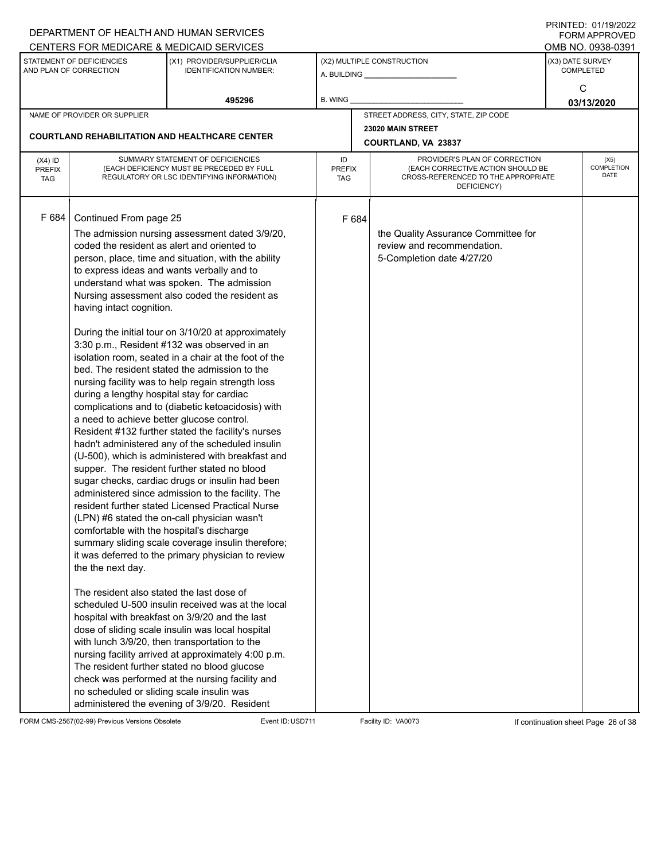|                                          |                                                                                                                                                                                                                                                                                                                                                                                                        | DEPARTMENT OF HEALTH AND HUMAN SERVICES                                                                                                                                                                                                                                                                                                                                                                                                                                                                                                                                                                                                                                                                                                                                                                                                                                                                                                                                                                                                                                                                                                                                                                                                                                                                                                                                                                                                  |                            |       |                                                                                                                          |                  | $1 \times 1 \times 1 = 1$ . $0 \times 1 \times 1 = 0$<br><b>FORM APPROVED</b> |
|------------------------------------------|--------------------------------------------------------------------------------------------------------------------------------------------------------------------------------------------------------------------------------------------------------------------------------------------------------------------------------------------------------------------------------------------------------|------------------------------------------------------------------------------------------------------------------------------------------------------------------------------------------------------------------------------------------------------------------------------------------------------------------------------------------------------------------------------------------------------------------------------------------------------------------------------------------------------------------------------------------------------------------------------------------------------------------------------------------------------------------------------------------------------------------------------------------------------------------------------------------------------------------------------------------------------------------------------------------------------------------------------------------------------------------------------------------------------------------------------------------------------------------------------------------------------------------------------------------------------------------------------------------------------------------------------------------------------------------------------------------------------------------------------------------------------------------------------------------------------------------------------------------|----------------------------|-------|--------------------------------------------------------------------------------------------------------------------------|------------------|-------------------------------------------------------------------------------|
|                                          |                                                                                                                                                                                                                                                                                                                                                                                                        | CENTERS FOR MEDICARE & MEDICAID SERVICES                                                                                                                                                                                                                                                                                                                                                                                                                                                                                                                                                                                                                                                                                                                                                                                                                                                                                                                                                                                                                                                                                                                                                                                                                                                                                                                                                                                                 |                            |       |                                                                                                                          |                  | OMB NO. 0938-0391                                                             |
|                                          | STATEMENT OF DEFICIENCIES<br>AND PLAN OF CORRECTION                                                                                                                                                                                                                                                                                                                                                    | (X1) PROVIDER/SUPPLIER/CLIA<br><b>IDENTIFICATION NUMBER:</b>                                                                                                                                                                                                                                                                                                                                                                                                                                                                                                                                                                                                                                                                                                                                                                                                                                                                                                                                                                                                                                                                                                                                                                                                                                                                                                                                                                             |                            |       | (X2) MULTIPLE CONSTRUCTION                                                                                               | (X3) DATE SURVEY | <b>COMPLETED</b>                                                              |
|                                          |                                                                                                                                                                                                                                                                                                                                                                                                        | 495296                                                                                                                                                                                                                                                                                                                                                                                                                                                                                                                                                                                                                                                                                                                                                                                                                                                                                                                                                                                                                                                                                                                                                                                                                                                                                                                                                                                                                                   | B. WING                    |       |                                                                                                                          |                  | С<br>03/13/2020                                                               |
|                                          | NAME OF PROVIDER OR SUPPLIER                                                                                                                                                                                                                                                                                                                                                                           |                                                                                                                                                                                                                                                                                                                                                                                                                                                                                                                                                                                                                                                                                                                                                                                                                                                                                                                                                                                                                                                                                                                                                                                                                                                                                                                                                                                                                                          |                            |       | STREET ADDRESS, CITY, STATE, ZIP CODE                                                                                    |                  |                                                                               |
|                                          |                                                                                                                                                                                                                                                                                                                                                                                                        |                                                                                                                                                                                                                                                                                                                                                                                                                                                                                                                                                                                                                                                                                                                                                                                                                                                                                                                                                                                                                                                                                                                                                                                                                                                                                                                                                                                                                                          |                            |       | 23020 MAIN STREET                                                                                                        |                  |                                                                               |
|                                          |                                                                                                                                                                                                                                                                                                                                                                                                        | <b>COURTLAND REHABILITATION AND HEALTHCARE CENTER</b>                                                                                                                                                                                                                                                                                                                                                                                                                                                                                                                                                                                                                                                                                                                                                                                                                                                                                                                                                                                                                                                                                                                                                                                                                                                                                                                                                                                    |                            |       | COURTLAND, VA 23837                                                                                                      |                  |                                                                               |
| $(X4)$ ID<br><b>PREFIX</b><br><b>TAG</b> |                                                                                                                                                                                                                                                                                                                                                                                                        | SUMMARY STATEMENT OF DEFICIENCIES<br>(EACH DEFICIENCY MUST BE PRECEDED BY FULL<br>REGULATORY OR LSC IDENTIFYING INFORMATION)                                                                                                                                                                                                                                                                                                                                                                                                                                                                                                                                                                                                                                                                                                                                                                                                                                                                                                                                                                                                                                                                                                                                                                                                                                                                                                             | ID<br><b>PREFIX</b><br>TAG |       | PROVIDER'S PLAN OF CORRECTION<br>(EACH CORRECTIVE ACTION SHOULD BE<br>CROSS-REFERENCED TO THE APPROPRIATE<br>DEFICIENCY) |                  | (X5)<br><b>COMPLETION</b><br><b>DATE</b>                                      |
| F 684                                    | Continued From page 25<br>coded the resident as alert and oriented to<br>to express ideas and wants verbally and to<br>having intact cognition.<br>during a lengthy hospital stay for cardiac<br>a need to achieve better glucose control.<br>comfortable with the hospital's discharge<br>the the next day.<br>The resident also stated the last dose of<br>no scheduled or sliding scale insulin was | The admission nursing assessment dated 3/9/20,<br>person, place, time and situation, with the ability<br>understand what was spoken. The admission<br>Nursing assessment also coded the resident as<br>During the initial tour on 3/10/20 at approximately<br>3:30 p.m., Resident #132 was observed in an<br>isolation room, seated in a chair at the foot of the<br>bed. The resident stated the admission to the<br>nursing facility was to help regain strength loss<br>complications and to (diabetic ketoacidosis) with<br>Resident #132 further stated the facility's nurses<br>hadn't administered any of the scheduled insulin<br>(U-500), which is administered with breakfast and<br>supper. The resident further stated no blood<br>sugar checks, cardiac drugs or insulin had been<br>administered since admission to the facility. The<br>resident further stated Licensed Practical Nurse<br>(LPN) #6 stated the on-call physician wasn't<br>summary sliding scale coverage insulin therefore;<br>it was deferred to the primary physician to review<br>scheduled U-500 insulin received was at the local<br>hospital with breakfast on 3/9/20 and the last<br>dose of sliding scale insulin was local hospital<br>with lunch 3/9/20, then transportation to the<br>nursing facility arrived at approximately 4:00 p.m.<br>The resident further stated no blood glucose<br>check was performed at the nursing facility and |                            | F 684 | the Quality Assurance Committee for<br>review and recommendation.<br>5-Completion date 4/27/20                           |                  |                                                                               |
|                                          |                                                                                                                                                                                                                                                                                                                                                                                                        | administered the evening of 3/9/20. Resident                                                                                                                                                                                                                                                                                                                                                                                                                                                                                                                                                                                                                                                                                                                                                                                                                                                                                                                                                                                                                                                                                                                                                                                                                                                                                                                                                                                             |                            |       |                                                                                                                          |                  |                                                                               |

FORM CMS-2567(02-99) Previous Versions Obsolete Event ID:USD711 Facility ID: VA0073 If continuation sheet Page 26 of 38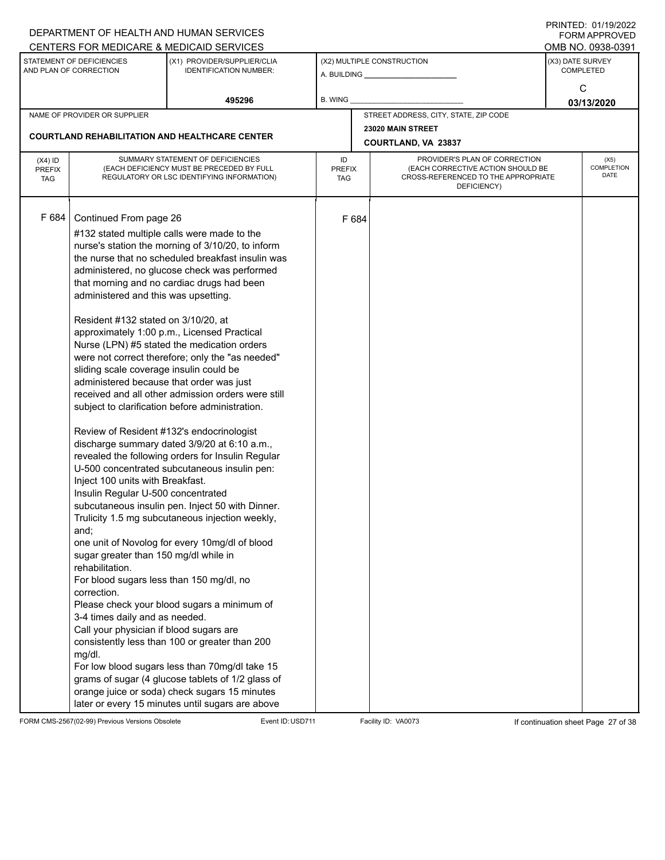|                             |                                                                                     | DEPARTMENT OF HEALTH AND HUMAN SERVICES<br>CENTERS FOR MEDICARE & MEDICAID SERVICES               |                             |       |                                                                          |                  | FININILU. VIII JIZUZZ<br><b>FORM APPROVED</b><br>OMB NO. 0938-0391 |
|-----------------------------|-------------------------------------------------------------------------------------|---------------------------------------------------------------------------------------------------|-----------------------------|-------|--------------------------------------------------------------------------|------------------|--------------------------------------------------------------------|
|                             | STATEMENT OF DEFICIENCIES                                                           | (X1) PROVIDER/SUPPLIER/CLIA                                                                       |                             |       | (X2) MULTIPLE CONSTRUCTION                                               | (X3) DATE SURVEY |                                                                    |
|                             | AND PLAN OF CORRECTION                                                              | <b>IDENTIFICATION NUMBER:</b>                                                                     |                             |       |                                                                          |                  | <b>COMPLETED</b>                                                   |
|                             |                                                                                     |                                                                                                   |                             |       |                                                                          |                  | С                                                                  |
|                             |                                                                                     | 495296                                                                                            | B. WING                     |       |                                                                          |                  | 03/13/2020                                                         |
|                             | NAME OF PROVIDER OR SUPPLIER                                                        |                                                                                                   |                             |       | STREET ADDRESS, CITY, STATE, ZIP CODE                                    |                  |                                                                    |
|                             |                                                                                     | <b>COURTLAND REHABILITATION AND HEALTHCARE CENTER</b>                                             |                             |       | 23020 MAIN STREET<br>COURTLAND, VA 23837                                 |                  |                                                                    |
| $(X4)$ ID                   |                                                                                     | SUMMARY STATEMENT OF DEFICIENCIES                                                                 | ID                          |       | PROVIDER'S PLAN OF CORRECTION                                            |                  | (X5)                                                               |
| <b>PREFIX</b><br><b>TAG</b> |                                                                                     | (EACH DEFICIENCY MUST BE PRECEDED BY FULL<br>REGULATORY OR LSC IDENTIFYING INFORMATION)           | <b>PREFIX</b><br><b>TAG</b> |       | (EACH CORRECTIVE ACTION SHOULD BE<br>CROSS-REFERENCED TO THE APPROPRIATE |                  | <b>COMPLETION</b><br>DATE                                          |
|                             |                                                                                     |                                                                                                   |                             |       | DEFICIENCY)                                                              |                  |                                                                    |
|                             |                                                                                     |                                                                                                   |                             |       |                                                                          |                  |                                                                    |
| F 684                       | Continued From page 26                                                              |                                                                                                   |                             | F 684 |                                                                          |                  |                                                                    |
|                             |                                                                                     | #132 stated multiple calls were made to the                                                       |                             |       |                                                                          |                  |                                                                    |
|                             |                                                                                     | nurse's station the morning of 3/10/20, to inform                                                 |                             |       |                                                                          |                  |                                                                    |
|                             |                                                                                     | the nurse that no scheduled breakfast insulin was<br>administered, no glucose check was performed |                             |       |                                                                          |                  |                                                                    |
|                             |                                                                                     | that morning and no cardiac drugs had been                                                        |                             |       |                                                                          |                  |                                                                    |
|                             | administered and this was upsetting.                                                |                                                                                                   |                             |       |                                                                          |                  |                                                                    |
|                             |                                                                                     |                                                                                                   |                             |       |                                                                          |                  |                                                                    |
|                             | Resident #132 stated on 3/10/20, at                                                 |                                                                                                   |                             |       |                                                                          |                  |                                                                    |
|                             |                                                                                     | approximately 1:00 p.m., Licensed Practical                                                       |                             |       |                                                                          |                  |                                                                    |
|                             |                                                                                     | Nurse (LPN) #5 stated the medication orders                                                       |                             |       |                                                                          |                  |                                                                    |
|                             |                                                                                     | were not correct therefore; only the "as needed"                                                  |                             |       |                                                                          |                  |                                                                    |
|                             | sliding scale coverage insulin could be<br>administered because that order was just |                                                                                                   |                             |       |                                                                          |                  |                                                                    |
|                             |                                                                                     | received and all other admission orders were still                                                |                             |       |                                                                          |                  |                                                                    |
|                             |                                                                                     | subject to clarification before administration.                                                   |                             |       |                                                                          |                  |                                                                    |
|                             |                                                                                     | Review of Resident #132's endocrinologist                                                         |                             |       |                                                                          |                  |                                                                    |
|                             |                                                                                     | discharge summary dated 3/9/20 at 6:10 a.m.,                                                      |                             |       |                                                                          |                  |                                                                    |
|                             |                                                                                     | revealed the following orders for Insulin Regular                                                 |                             |       |                                                                          |                  |                                                                    |
|                             |                                                                                     | U-500 concentrated subcutaneous insulin pen:                                                      |                             |       |                                                                          |                  |                                                                    |
|                             | Inject 100 units with Breakfast.                                                    |                                                                                                   |                             |       |                                                                          |                  |                                                                    |
|                             | Insulin Regular U-500 concentrated                                                  |                                                                                                   |                             |       |                                                                          |                  |                                                                    |
|                             |                                                                                     | subcutaneous insulin pen. Inject 50 with Dinner.                                                  |                             |       |                                                                          |                  |                                                                    |
|                             | and;                                                                                | Trulicity 1.5 mg subcutaneous injection weekly,                                                   |                             |       |                                                                          |                  |                                                                    |
|                             |                                                                                     | one unit of Novolog for every 10mg/dl of blood                                                    |                             |       |                                                                          |                  |                                                                    |
|                             | sugar greater than 150 mg/dl while in<br>rehabilitation.                            |                                                                                                   |                             |       |                                                                          |                  |                                                                    |
|                             | For blood sugars less than 150 mg/dl, no                                            |                                                                                                   |                             |       |                                                                          |                  |                                                                    |
|                             | correction.                                                                         |                                                                                                   |                             |       |                                                                          |                  |                                                                    |
|                             | 3-4 times daily and as needed.                                                      | Please check your blood sugars a minimum of                                                       |                             |       |                                                                          |                  |                                                                    |
|                             | Call your physician if blood sugars are                                             |                                                                                                   |                             |       |                                                                          |                  |                                                                    |
|                             |                                                                                     | consistently less than 100 or greater than 200                                                    |                             |       |                                                                          |                  |                                                                    |
|                             | mg/dl.                                                                              |                                                                                                   |                             |       |                                                                          |                  |                                                                    |
|                             |                                                                                     | For low blood sugars less than 70mg/dl take 15                                                    |                             |       |                                                                          |                  |                                                                    |
|                             |                                                                                     | grams of sugar (4 glucose tablets of 1/2 glass of                                                 |                             |       |                                                                          |                  |                                                                    |
|                             |                                                                                     | orange juice or soda) check sugars 15 minutes                                                     |                             |       |                                                                          |                  |                                                                    |
|                             |                                                                                     | later or every 15 minutes until sugars are above                                                  |                             |       |                                                                          |                  |                                                                    |

FORM CMS-2567(02-99) Previous Versions Obsolete Event ID:USD711 Facility ID: VA0073 If continuation sheet Page 27 of 38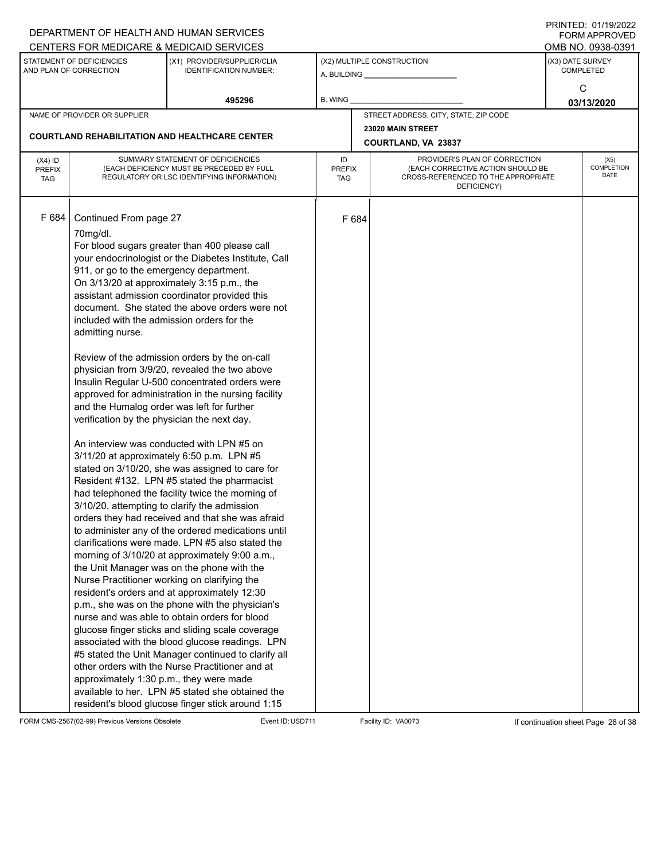|                                          |                                                                                                                                                                                                                                                                                         | DEPARTMENT OF HEALTH AND HUMAN SERVICES                                                                                                                                                                                                                                                                                                                                                                                                                                                                                                                                                                                                                                                                                                                                                                                                                                                                                                                                                                                                                                                                                                                                                                                                                                                                                                                                                                                                                                                                                                                       |                            |       |                                                                                                                          |                  | <b>FORM APPROVED</b>              |
|------------------------------------------|-----------------------------------------------------------------------------------------------------------------------------------------------------------------------------------------------------------------------------------------------------------------------------------------|---------------------------------------------------------------------------------------------------------------------------------------------------------------------------------------------------------------------------------------------------------------------------------------------------------------------------------------------------------------------------------------------------------------------------------------------------------------------------------------------------------------------------------------------------------------------------------------------------------------------------------------------------------------------------------------------------------------------------------------------------------------------------------------------------------------------------------------------------------------------------------------------------------------------------------------------------------------------------------------------------------------------------------------------------------------------------------------------------------------------------------------------------------------------------------------------------------------------------------------------------------------------------------------------------------------------------------------------------------------------------------------------------------------------------------------------------------------------------------------------------------------------------------------------------------------|----------------------------|-------|--------------------------------------------------------------------------------------------------------------------------|------------------|-----------------------------------|
|                                          |                                                                                                                                                                                                                                                                                         | CENTERS FOR MEDICARE & MEDICAID SERVICES                                                                                                                                                                                                                                                                                                                                                                                                                                                                                                                                                                                                                                                                                                                                                                                                                                                                                                                                                                                                                                                                                                                                                                                                                                                                                                                                                                                                                                                                                                                      |                            |       |                                                                                                                          |                  | OMB NO. 0938-0391                 |
|                                          | STATEMENT OF DEFICIENCIES<br>AND PLAN OF CORRECTION                                                                                                                                                                                                                                     | (X1) PROVIDER/SUPPLIER/CLIA<br><b>IDENTIFICATION NUMBER:</b>                                                                                                                                                                                                                                                                                                                                                                                                                                                                                                                                                                                                                                                                                                                                                                                                                                                                                                                                                                                                                                                                                                                                                                                                                                                                                                                                                                                                                                                                                                  |                            |       | (X2) MULTIPLE CONSTRUCTION<br>A. BUILDING __________________                                                             | (X3) DATE SURVEY | <b>COMPLETED</b>                  |
|                                          |                                                                                                                                                                                                                                                                                         | 495296                                                                                                                                                                                                                                                                                                                                                                                                                                                                                                                                                                                                                                                                                                                                                                                                                                                                                                                                                                                                                                                                                                                                                                                                                                                                                                                                                                                                                                                                                                                                                        | B. WING                    |       |                                                                                                                          |                  | C<br>03/13/2020                   |
|                                          | NAME OF PROVIDER OR SUPPLIER                                                                                                                                                                                                                                                            |                                                                                                                                                                                                                                                                                                                                                                                                                                                                                                                                                                                                                                                                                                                                                                                                                                                                                                                                                                                                                                                                                                                                                                                                                                                                                                                                                                                                                                                                                                                                                               |                            |       | STREET ADDRESS, CITY, STATE, ZIP CODE                                                                                    |                  |                                   |
|                                          |                                                                                                                                                                                                                                                                                         |                                                                                                                                                                                                                                                                                                                                                                                                                                                                                                                                                                                                                                                                                                                                                                                                                                                                                                                                                                                                                                                                                                                                                                                                                                                                                                                                                                                                                                                                                                                                                               |                            |       | 23020 MAIN STREET                                                                                                        |                  |                                   |
|                                          |                                                                                                                                                                                                                                                                                         | <b>COURTLAND REHABILITATION AND HEALTHCARE CENTER</b>                                                                                                                                                                                                                                                                                                                                                                                                                                                                                                                                                                                                                                                                                                                                                                                                                                                                                                                                                                                                                                                                                                                                                                                                                                                                                                                                                                                                                                                                                                         |                            |       | COURTLAND, VA 23837                                                                                                      |                  |                                   |
| $(X4)$ ID<br><b>PREFIX</b><br><b>TAG</b> |                                                                                                                                                                                                                                                                                         | SUMMARY STATEMENT OF DEFICIENCIES<br>(EACH DEFICIENCY MUST BE PRECEDED BY FULL<br>REGULATORY OR LSC IDENTIFYING INFORMATION)                                                                                                                                                                                                                                                                                                                                                                                                                                                                                                                                                                                                                                                                                                                                                                                                                                                                                                                                                                                                                                                                                                                                                                                                                                                                                                                                                                                                                                  | ID<br><b>PREFIX</b><br>TAG |       | PROVIDER'S PLAN OF CORRECTION<br>(EACH CORRECTIVE ACTION SHOULD BE<br>CROSS-REFERENCED TO THE APPROPRIATE<br>DEFICIENCY) |                  | (X5)<br><b>COMPLETION</b><br>DATE |
| F 684                                    | Continued From page 27<br>70mg/dl.<br>911, or go to the emergency department.<br>included with the admission orders for the<br>admitting nurse.<br>and the Humalog order was left for further<br>verification by the physician the next day.<br>approximately 1:30 p.m., they were made | For blood sugars greater than 400 please call<br>your endocrinologist or the Diabetes Institute, Call<br>On 3/13/20 at approximately 3:15 p.m., the<br>assistant admission coordinator provided this<br>document. She stated the above orders were not<br>Review of the admission orders by the on-call<br>physician from 3/9/20, revealed the two above<br>Insulin Regular U-500 concentrated orders were<br>approved for administration in the nursing facility<br>An interview was conducted with LPN #5 on<br>3/11/20 at approximately 6:50 p.m. LPN #5<br>stated on 3/10/20, she was assigned to care for<br>Resident #132. LPN #5 stated the pharmacist<br>had telephoned the facility twice the morning of<br>3/10/20, attempting to clarify the admission<br>orders they had received and that she was afraid<br>to administer any of the ordered medications until<br>clarifications were made. LPN #5 also stated the<br>morning of 3/10/20 at approximately 9:00 a.m.,<br>the Unit Manager was on the phone with the<br>Nurse Practitioner working on clarifying the<br>resident's orders and at approximately 12:30<br>p.m., she was on the phone with the physician's<br>nurse and was able to obtain orders for blood<br>glucose finger sticks and sliding scale coverage<br>associated with the blood glucose readings. LPN<br>#5 stated the Unit Manager continued to clarify all<br>other orders with the Nurse Practitioner and at<br>available to her. LPN #5 stated she obtained the<br>resident's blood glucose finger stick around 1:15 |                            | F 684 |                                                                                                                          |                  |                                   |

FORM CMS-2567(02-99) Previous Versions Obsolete Event ID:USD711 Facility ID: VA0073 If continuation sheet Page 28 of 38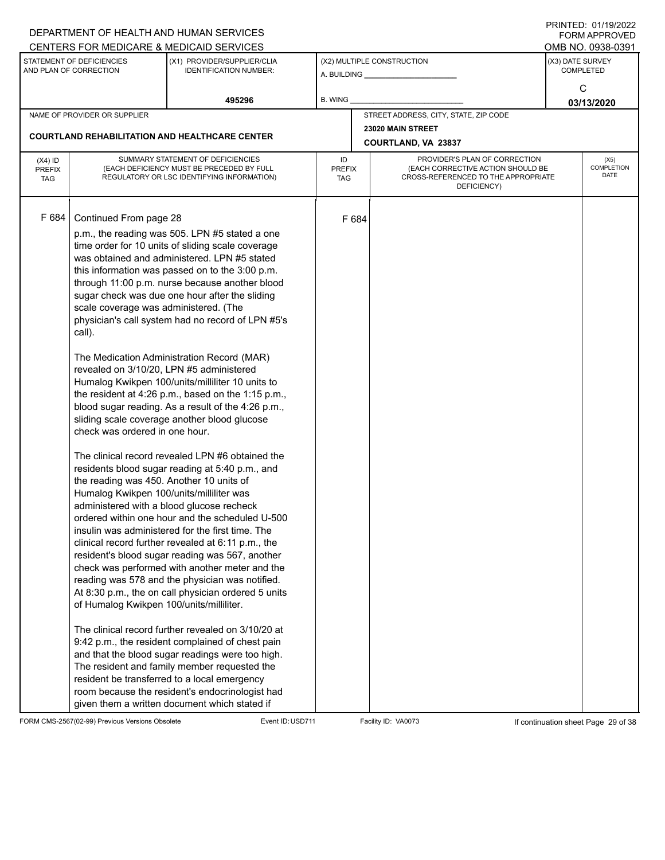|                             |                                                     | DEPARTMENT OF HEALTH AND HUMAN SERVICES                                                           |                      |       |                                                                          |                  | I I SII SI LED. U I <i>I I SI L</i> UZZ<br><b>FORM APPROVED</b> |
|-----------------------------|-----------------------------------------------------|---------------------------------------------------------------------------------------------------|----------------------|-------|--------------------------------------------------------------------------|------------------|-----------------------------------------------------------------|
|                             |                                                     | CENTERS FOR MEDICARE & MEDICAID SERVICES                                                          |                      |       |                                                                          |                  | OMB NO. 0938-0391                                               |
|                             | STATEMENT OF DEFICIENCIES<br>AND PLAN OF CORRECTION | (X1) PROVIDER/SUPPLIER/CLIA<br><b>IDENTIFICATION NUMBER:</b>                                      |                      |       | (X2) MULTIPLE CONSTRUCTION                                               | (X3) DATE SURVEY | <b>COMPLETED</b>                                                |
|                             |                                                     |                                                                                                   |                      |       |                                                                          |                  | С                                                               |
|                             |                                                     | 495296                                                                                            | B. WING              |       |                                                                          |                  | 03/13/2020                                                      |
|                             | NAME OF PROVIDER OR SUPPLIER                        |                                                                                                   |                      |       | STREET ADDRESS, CITY, STATE, ZIP CODE                                    |                  |                                                                 |
|                             |                                                     |                                                                                                   |                      |       | 23020 MAIN STREET                                                        |                  |                                                                 |
|                             |                                                     | <b>COURTLAND REHABILITATION AND HEALTHCARE CENTER</b>                                             |                      |       | COURTLAND, VA 23837                                                      |                  |                                                                 |
| $(X4)$ ID                   |                                                     | SUMMARY STATEMENT OF DEFICIENCIES                                                                 | ID                   |       | PROVIDER'S PLAN OF CORRECTION                                            |                  | (X5)                                                            |
| <b>PREFIX</b><br><b>TAG</b> |                                                     | (EACH DEFICIENCY MUST BE PRECEDED BY FULL<br>REGULATORY OR LSC IDENTIFYING INFORMATION)           | <b>PREFIX</b><br>TAG |       | (EACH CORRECTIVE ACTION SHOULD BE<br>CROSS-REFERENCED TO THE APPROPRIATE |                  | COMPLETION<br>DATE                                              |
|                             |                                                     |                                                                                                   |                      |       | DEFICIENCY)                                                              |                  |                                                                 |
|                             |                                                     |                                                                                                   |                      |       |                                                                          |                  |                                                                 |
| F 684                       | Continued From page 28                              |                                                                                                   |                      | F 684 |                                                                          |                  |                                                                 |
|                             |                                                     | p.m., the reading was 505. LPN #5 stated a one                                                    |                      |       |                                                                          |                  |                                                                 |
|                             |                                                     | time order for 10 units of sliding scale coverage<br>was obtained and administered. LPN #5 stated |                      |       |                                                                          |                  |                                                                 |
|                             |                                                     | this information was passed on to the 3:00 p.m.                                                   |                      |       |                                                                          |                  |                                                                 |
|                             |                                                     | through 11:00 p.m. nurse because another blood                                                    |                      |       |                                                                          |                  |                                                                 |
|                             |                                                     | sugar check was due one hour after the sliding                                                    |                      |       |                                                                          |                  |                                                                 |
|                             | scale coverage was administered. (The               |                                                                                                   |                      |       |                                                                          |                  |                                                                 |
|                             |                                                     | physician's call system had no record of LPN #5's                                                 |                      |       |                                                                          |                  |                                                                 |
|                             | call).                                              |                                                                                                   |                      |       |                                                                          |                  |                                                                 |
|                             |                                                     | The Medication Administration Record (MAR)                                                        |                      |       |                                                                          |                  |                                                                 |
|                             | revealed on 3/10/20, LPN #5 administered            |                                                                                                   |                      |       |                                                                          |                  |                                                                 |
|                             |                                                     | Humalog Kwikpen 100/units/milliliter 10 units to                                                  |                      |       |                                                                          |                  |                                                                 |
|                             |                                                     | the resident at 4:26 p.m., based on the 1:15 p.m.,                                                |                      |       |                                                                          |                  |                                                                 |
|                             |                                                     | blood sugar reading. As a result of the 4:26 p.m.,                                                |                      |       |                                                                          |                  |                                                                 |
|                             | check was ordered in one hour.                      | sliding scale coverage another blood glucose                                                      |                      |       |                                                                          |                  |                                                                 |
|                             |                                                     |                                                                                                   |                      |       |                                                                          |                  |                                                                 |
|                             |                                                     | The clinical record revealed LPN #6 obtained the                                                  |                      |       |                                                                          |                  |                                                                 |
|                             |                                                     | residents blood sugar reading at 5:40 p.m., and                                                   |                      |       |                                                                          |                  |                                                                 |
|                             | the reading was 450. Another 10 units of            |                                                                                                   |                      |       |                                                                          |                  |                                                                 |
|                             | Humalog Kwikpen 100/units/milliliter was            |                                                                                                   |                      |       |                                                                          |                  |                                                                 |
|                             |                                                     | administered with a blood glucose recheck<br>ordered within one hour and the scheduled U-500      |                      |       |                                                                          |                  |                                                                 |
|                             |                                                     | insulin was administered for the first time. The                                                  |                      |       |                                                                          |                  |                                                                 |
|                             |                                                     | clinical record further revealed at 6:11 p.m., the                                                |                      |       |                                                                          |                  |                                                                 |
|                             |                                                     | resident's blood sugar reading was 567, another                                                   |                      |       |                                                                          |                  |                                                                 |
|                             |                                                     | check was performed with another meter and the                                                    |                      |       |                                                                          |                  |                                                                 |
|                             |                                                     | reading was 578 and the physician was notified.                                                   |                      |       |                                                                          |                  |                                                                 |
|                             | of Humalog Kwikpen 100/units/milliliter.            | At 8:30 p.m., the on call physician ordered 5 units                                               |                      |       |                                                                          |                  |                                                                 |
|                             |                                                     |                                                                                                   |                      |       |                                                                          |                  |                                                                 |
|                             |                                                     | The clinical record further revealed on 3/10/20 at                                                |                      |       |                                                                          |                  |                                                                 |
|                             |                                                     | 9:42 p.m., the resident complained of chest pain                                                  |                      |       |                                                                          |                  |                                                                 |
|                             |                                                     | and that the blood sugar readings were too high.                                                  |                      |       |                                                                          |                  |                                                                 |
|                             |                                                     | The resident and family member requested the                                                      |                      |       |                                                                          |                  |                                                                 |
|                             |                                                     | resident be transferred to a local emergency<br>room because the resident's endocrinologist had   |                      |       |                                                                          |                  |                                                                 |
|                             |                                                     | given them a written document which stated if                                                     |                      |       |                                                                          |                  |                                                                 |

FORM CMS-2567(02-99) Previous Versions Obsolete Event ID:USD711 Facility ID: VA0073 If continuation sheet Page 29 of 38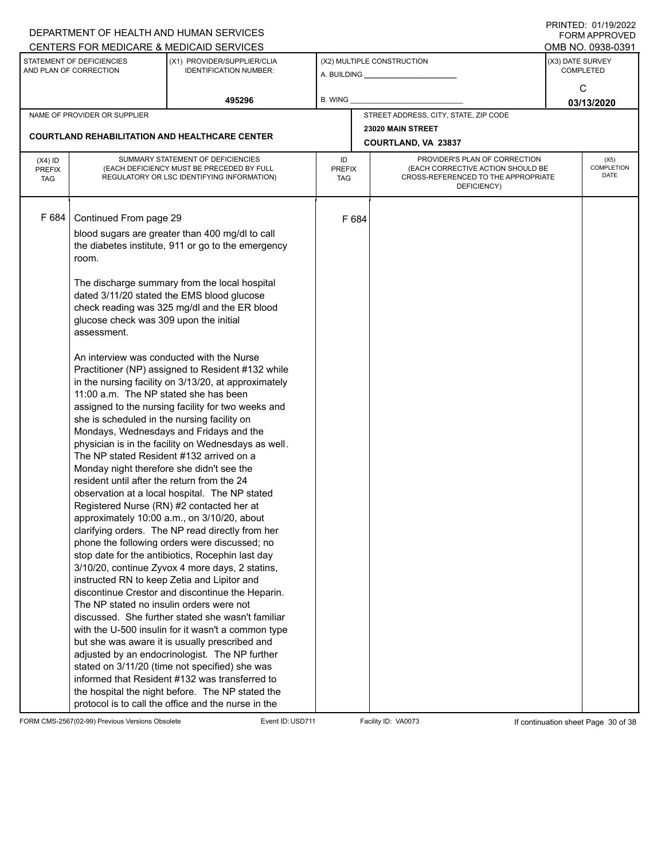|               |                                             | DEPARTMENT OF HEALTH AND HUMAN SERVICES                      |               |       |                                                    |                  | <b>FORM APPROVED</b>      |
|---------------|---------------------------------------------|--------------------------------------------------------------|---------------|-------|----------------------------------------------------|------------------|---------------------------|
|               | STATEMENT OF DEFICIENCIES                   | CENTERS FOR MEDICARE & MEDICAID SERVICES                     |               |       |                                                    |                  | OMB NO. 0938-0391         |
|               | AND PLAN OF CORRECTION                      | (X1) PROVIDER/SUPPLIER/CLIA<br><b>IDENTIFICATION NUMBER:</b> |               |       | (X2) MULTIPLE CONSTRUCTION                         | (X3) DATE SURVEY | <b>COMPLETED</b>          |
|               |                                             |                                                              |               |       |                                                    |                  |                           |
|               |                                             |                                                              |               |       |                                                    |                  | С                         |
|               |                                             | 495296                                                       | B. WING       |       |                                                    |                  | 03/13/2020                |
|               | NAME OF PROVIDER OR SUPPLIER                |                                                              |               |       | STREET ADDRESS, CITY, STATE, ZIP CODE              |                  |                           |
|               |                                             | <b>COURTLAND REHABILITATION AND HEALTHCARE CENTER</b>        |               |       | 23020 MAIN STREET                                  |                  |                           |
|               |                                             |                                                              |               |       | COURTLAND, VA 23837                                |                  |                           |
| $(X4)$ ID     |                                             | SUMMARY STATEMENT OF DEFICIENCIES                            | ID            |       | PROVIDER'S PLAN OF CORRECTION                      |                  | (X5)                      |
| <b>PREFIX</b> |                                             | (EACH DEFICIENCY MUST BE PRECEDED BY FULL                    | <b>PREFIX</b> |       | (EACH CORRECTIVE ACTION SHOULD BE                  |                  | <b>COMPLETION</b><br>DATE |
| <b>TAG</b>    |                                             | REGULATORY OR LSC IDENTIFYING INFORMATION)                   | TAG           |       | CROSS-REFERENCED TO THE APPROPRIATE<br>DEFICIENCY) |                  |                           |
|               |                                             |                                                              |               |       |                                                    |                  |                           |
|               |                                             |                                                              |               |       |                                                    |                  |                           |
| F 684         | Continued From page 29                      |                                                              |               | F 684 |                                                    |                  |                           |
|               |                                             | blood sugars are greater than 400 mg/dl to call              |               |       |                                                    |                  |                           |
|               |                                             | the diabetes institute, 911 or go to the emergency           |               |       |                                                    |                  |                           |
|               | room.                                       |                                                              |               |       |                                                    |                  |                           |
|               |                                             |                                                              |               |       |                                                    |                  |                           |
|               |                                             | The discharge summary from the local hospital                |               |       |                                                    |                  |                           |
|               |                                             | dated 3/11/20 stated the EMS blood glucose                   |               |       |                                                    |                  |                           |
|               |                                             | check reading was 325 mg/dl and the ER blood                 |               |       |                                                    |                  |                           |
|               | glucose check was 309 upon the initial      |                                                              |               |       |                                                    |                  |                           |
|               | assessment.                                 |                                                              |               |       |                                                    |                  |                           |
|               |                                             | An interview was conducted with the Nurse                    |               |       |                                                    |                  |                           |
|               |                                             | Practitioner (NP) assigned to Resident #132 while            |               |       |                                                    |                  |                           |
|               |                                             | in the nursing facility on 3/13/20, at approximately         |               |       |                                                    |                  |                           |
|               | 11:00 a.m. The NP stated she has been       |                                                              |               |       |                                                    |                  |                           |
|               |                                             | assigned to the nursing facility for two weeks and           |               |       |                                                    |                  |                           |
|               | she is scheduled in the nursing facility on |                                                              |               |       |                                                    |                  |                           |
|               |                                             | Mondays, Wednesdays and Fridays and the                      |               |       |                                                    |                  |                           |
|               |                                             | physician is in the facility on Wednesdays as well.          |               |       |                                                    |                  |                           |
|               | The NP stated Resident #132 arrived on a    |                                                              |               |       |                                                    |                  |                           |
|               | Monday night therefore she didn't see the   |                                                              |               |       |                                                    |                  |                           |
|               | resident until after the return from the 24 |                                                              |               |       |                                                    |                  |                           |
|               |                                             | observation at a local hospital. The NP stated               |               |       |                                                    |                  |                           |
|               |                                             | Registered Nurse (RN) #2 contacted her at                    |               |       |                                                    |                  |                           |
|               |                                             | approximately 10:00 a.m., on 3/10/20, about                  |               |       |                                                    |                  |                           |
|               |                                             | clarifying orders. The NP read directly from her             |               |       |                                                    |                  |                           |
|               |                                             | phone the following orders were discussed; no                |               |       |                                                    |                  |                           |
|               |                                             | stop date for the antibiotics, Rocephin last day             |               |       |                                                    |                  |                           |
|               |                                             | 3/10/20, continue Zyvox 4 more days, 2 statins,              |               |       |                                                    |                  |                           |
|               |                                             | instructed RN to keep Zetia and Lipitor and                  |               |       |                                                    |                  |                           |
|               |                                             | discontinue Crestor and discontinue the Heparin.             |               |       |                                                    |                  |                           |
|               | The NP stated no insulin orders were not    |                                                              |               |       |                                                    |                  |                           |
|               |                                             | discussed. She further stated she wasn't familiar            |               |       |                                                    |                  |                           |
|               |                                             | with the U-500 insulin for it wasn't a common type           |               |       |                                                    |                  |                           |
|               |                                             | but she was aware it is usually prescribed and               |               |       |                                                    |                  |                           |
|               |                                             | adjusted by an endocrinologist. The NP further               |               |       |                                                    |                  |                           |
|               |                                             | stated on 3/11/20 (time not specified) she was               |               |       |                                                    |                  |                           |
|               |                                             | informed that Resident #132 was transferred to               |               |       |                                                    |                  |                           |
|               |                                             | the hospital the night before. The NP stated the             |               |       |                                                    |                  |                           |
|               |                                             | protocol is to call the office and the nurse in the          |               |       |                                                    |                  |                           |

FORM CMS-2567(02-99) Previous Versions Obsolete Event ID:USD711 Facility ID: VA0073 If continuation sheet Page 30 of 38

PRINTED: 01/19/2022 FORM APPROVED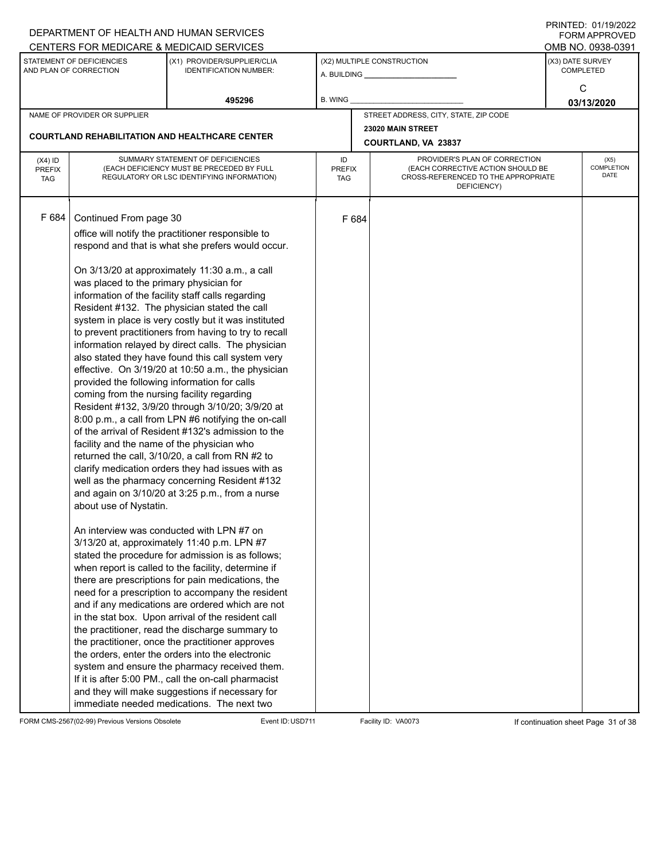|               |                                                     | DEPARTMENT OF HEALTH AND HUMAN SERVICES                                                                 |               |       |                                                                          |                  | $1 \times 1 \times 1 = 1$ . $0 \times 1 \times 1 = 0$<br><b>FORM APPROVED</b> |
|---------------|-----------------------------------------------------|---------------------------------------------------------------------------------------------------------|---------------|-------|--------------------------------------------------------------------------|------------------|-------------------------------------------------------------------------------|
|               |                                                     | CENTERS FOR MEDICARE & MEDICAID SERVICES                                                                |               |       |                                                                          |                  | OMB NO. 0938-0391                                                             |
|               | STATEMENT OF DEFICIENCIES<br>AND PLAN OF CORRECTION | (X1) PROVIDER/SUPPLIER/CLIA<br><b>IDENTIFICATION NUMBER:</b>                                            |               |       | (X2) MULTIPLE CONSTRUCTION                                               | (X3) DATE SURVEY | <b>COMPLETED</b>                                                              |
|               |                                                     |                                                                                                         |               |       |                                                                          |                  | С                                                                             |
|               |                                                     | 495296                                                                                                  | B. WING       |       |                                                                          |                  | 03/13/2020                                                                    |
|               | NAME OF PROVIDER OR SUPPLIER                        |                                                                                                         |               |       | STREET ADDRESS, CITY, STATE, ZIP CODE                                    |                  |                                                                               |
|               |                                                     |                                                                                                         |               |       | 23020 MAIN STREET                                                        |                  |                                                                               |
|               |                                                     | <b>COURTLAND REHABILITATION AND HEALTHCARE CENTER</b>                                                   |               |       | COURTLAND, VA 23837                                                      |                  |                                                                               |
| $(X4)$ ID     |                                                     | SUMMARY STATEMENT OF DEFICIENCIES                                                                       | ID            |       | PROVIDER'S PLAN OF CORRECTION                                            |                  | (X5)                                                                          |
| <b>PREFIX</b> |                                                     | (EACH DEFICIENCY MUST BE PRECEDED BY FULL                                                               | <b>PREFIX</b> |       | (EACH CORRECTIVE ACTION SHOULD BE<br>CROSS-REFERENCED TO THE APPROPRIATE |                  | <b>COMPLETION</b><br>DATE                                                     |
| <b>TAG</b>    |                                                     | REGULATORY OR LSC IDENTIFYING INFORMATION)                                                              | TAG           |       | DEFICIENCY)                                                              |                  |                                                                               |
|               |                                                     |                                                                                                         |               |       |                                                                          |                  |                                                                               |
| F 684         | Continued From page 30                              |                                                                                                         |               | F 684 |                                                                          |                  |                                                                               |
|               |                                                     | office will notify the practitioner responsible to                                                      |               |       |                                                                          |                  |                                                                               |
|               |                                                     | respond and that is what she prefers would occur.                                                       |               |       |                                                                          |                  |                                                                               |
|               |                                                     |                                                                                                         |               |       |                                                                          |                  |                                                                               |
|               |                                                     | On 3/13/20 at approximately 11:30 a.m., a call                                                          |               |       |                                                                          |                  |                                                                               |
|               | was placed to the primary physician for             |                                                                                                         |               |       |                                                                          |                  |                                                                               |
|               |                                                     | information of the facility staff calls regarding                                                       |               |       |                                                                          |                  |                                                                               |
|               |                                                     | Resident #132. The physician stated the call                                                            |               |       |                                                                          |                  |                                                                               |
|               |                                                     | system in place is very costly but it was instituted                                                    |               |       |                                                                          |                  |                                                                               |
|               |                                                     | to prevent practitioners from having to try to recall                                                   |               |       |                                                                          |                  |                                                                               |
|               |                                                     | information relayed by direct calls. The physician<br>also stated they have found this call system very |               |       |                                                                          |                  |                                                                               |
|               |                                                     | effective. On 3/19/20 at 10:50 a.m., the physician                                                      |               |       |                                                                          |                  |                                                                               |
|               | provided the following information for calls        |                                                                                                         |               |       |                                                                          |                  |                                                                               |
|               | coming from the nursing facility regarding          |                                                                                                         |               |       |                                                                          |                  |                                                                               |
|               |                                                     | Resident #132, 3/9/20 through 3/10/20; 3/9/20 at                                                        |               |       |                                                                          |                  |                                                                               |
|               |                                                     | 8:00 p.m., a call from LPN #6 notifying the on-call                                                     |               |       |                                                                          |                  |                                                                               |
|               |                                                     | of the arrival of Resident #132's admission to the                                                      |               |       |                                                                          |                  |                                                                               |
|               | facility and the name of the physician who          |                                                                                                         |               |       |                                                                          |                  |                                                                               |
|               |                                                     | returned the call, 3/10/20, a call from RN #2 to                                                        |               |       |                                                                          |                  |                                                                               |
|               |                                                     | clarify medication orders they had issues with as                                                       |               |       |                                                                          |                  |                                                                               |
|               |                                                     | well as the pharmacy concerning Resident #132<br>and again on 3/10/20 at 3:25 p.m., from a nurse        |               |       |                                                                          |                  |                                                                               |
|               | about use of Nystatin.                              |                                                                                                         |               |       |                                                                          |                  |                                                                               |
|               |                                                     |                                                                                                         |               |       |                                                                          |                  |                                                                               |
|               |                                                     | An interview was conducted with LPN #7 on                                                               |               |       |                                                                          |                  |                                                                               |
|               |                                                     | 3/13/20 at, approximately 11:40 p.m. LPN #7                                                             |               |       |                                                                          |                  |                                                                               |
|               |                                                     | stated the procedure for admission is as follows;                                                       |               |       |                                                                          |                  |                                                                               |
|               |                                                     | when report is called to the facility, determine if                                                     |               |       |                                                                          |                  |                                                                               |
|               |                                                     | there are prescriptions for pain medications, the                                                       |               |       |                                                                          |                  |                                                                               |
|               |                                                     | need for a prescription to accompany the resident                                                       |               |       |                                                                          |                  |                                                                               |
|               |                                                     | and if any medications are ordered which are not                                                        |               |       |                                                                          |                  |                                                                               |
|               |                                                     | in the stat box. Upon arrival of the resident call<br>the practitioner, read the discharge summary to   |               |       |                                                                          |                  |                                                                               |
|               |                                                     | the practitioner, once the practitioner approves                                                        |               |       |                                                                          |                  |                                                                               |
|               |                                                     | the orders, enter the orders into the electronic                                                        |               |       |                                                                          |                  |                                                                               |
|               |                                                     | system and ensure the pharmacy received them.                                                           |               |       |                                                                          |                  |                                                                               |
|               |                                                     | If it is after 5:00 PM., call the on-call pharmacist                                                    |               |       |                                                                          |                  |                                                                               |
|               |                                                     | and they will make suggestions if necessary for                                                         |               |       |                                                                          |                  |                                                                               |
|               |                                                     | immediate needed medications. The next two                                                              |               |       |                                                                          |                  |                                                                               |

FORM CMS-2567(02-99) Previous Versions Obsolete Event ID:USD711 Facility ID: VA0073 If continuation sheet Page 31 of 38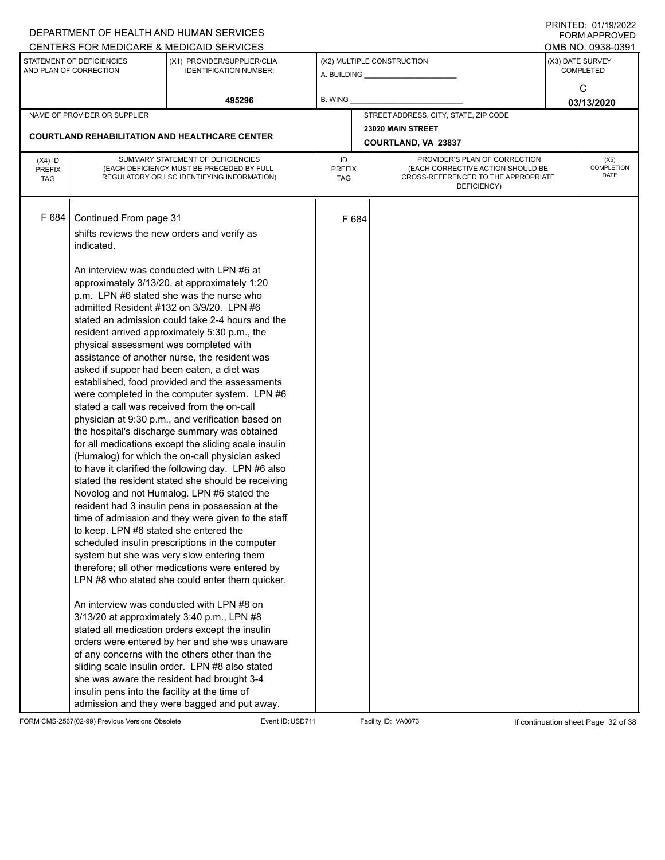|                                          |                                                                                                                                                                                                                        | DEPARTMENT OF HEALTH AND HUMAN SERVICES                                                                                                                                                                                                                                                                                                                                                                                                                                                                                                                                                                                                                                                                                                                                                                                                                                                                                                                                                                                                                                                                                                                                                                                                                                                                                                                                                |                            |                     |                                                                                                                          |                  | ▏▎ <b>៶</b> ▏▎▎▏▏▏▁▁▁▏▁▕▏▏▏░▏∠◡∠∠<br><b>FORM APPROVED</b> |
|------------------------------------------|------------------------------------------------------------------------------------------------------------------------------------------------------------------------------------------------------------------------|----------------------------------------------------------------------------------------------------------------------------------------------------------------------------------------------------------------------------------------------------------------------------------------------------------------------------------------------------------------------------------------------------------------------------------------------------------------------------------------------------------------------------------------------------------------------------------------------------------------------------------------------------------------------------------------------------------------------------------------------------------------------------------------------------------------------------------------------------------------------------------------------------------------------------------------------------------------------------------------------------------------------------------------------------------------------------------------------------------------------------------------------------------------------------------------------------------------------------------------------------------------------------------------------------------------------------------------------------------------------------------------|----------------------------|---------------------|--------------------------------------------------------------------------------------------------------------------------|------------------|-----------------------------------------------------------|
|                                          |                                                                                                                                                                                                                        | CENTERS FOR MEDICARE & MEDICAID SERVICES                                                                                                                                                                                                                                                                                                                                                                                                                                                                                                                                                                                                                                                                                                                                                                                                                                                                                                                                                                                                                                                                                                                                                                                                                                                                                                                                               |                            |                     |                                                                                                                          |                  | OMB NO. 0938-0391                                         |
|                                          | STATEMENT OF DEFICIENCIES<br>AND PLAN OF CORRECTION                                                                                                                                                                    | (X1) PROVIDER/SUPPLIER/CLIA<br><b>IDENTIFICATION NUMBER:</b>                                                                                                                                                                                                                                                                                                                                                                                                                                                                                                                                                                                                                                                                                                                                                                                                                                                                                                                                                                                                                                                                                                                                                                                                                                                                                                                           |                            |                     | (X2) MULTIPLE CONSTRUCTION                                                                                               | (X3) DATE SURVEY | <b>COMPLETED</b>                                          |
|                                          |                                                                                                                                                                                                                        | 495296                                                                                                                                                                                                                                                                                                                                                                                                                                                                                                                                                                                                                                                                                                                                                                                                                                                                                                                                                                                                                                                                                                                                                                                                                                                                                                                                                                                 | B. WING                    |                     |                                                                                                                          |                  | С<br>03/13/2020                                           |
|                                          | NAME OF PROVIDER OR SUPPLIER                                                                                                                                                                                           |                                                                                                                                                                                                                                                                                                                                                                                                                                                                                                                                                                                                                                                                                                                                                                                                                                                                                                                                                                                                                                                                                                                                                                                                                                                                                                                                                                                        |                            |                     | STREET ADDRESS, CITY, STATE, ZIP CODE                                                                                    |                  |                                                           |
|                                          |                                                                                                                                                                                                                        |                                                                                                                                                                                                                                                                                                                                                                                                                                                                                                                                                                                                                                                                                                                                                                                                                                                                                                                                                                                                                                                                                                                                                                                                                                                                                                                                                                                        |                            |                     | 23020 MAIN STREET                                                                                                        |                  |                                                           |
|                                          |                                                                                                                                                                                                                        | <b>COURTLAND REHABILITATION AND HEALTHCARE CENTER</b>                                                                                                                                                                                                                                                                                                                                                                                                                                                                                                                                                                                                                                                                                                                                                                                                                                                                                                                                                                                                                                                                                                                                                                                                                                                                                                                                  |                            | COURTLAND, VA 23837 |                                                                                                                          |                  |                                                           |
| $(X4)$ ID<br><b>PREFIX</b><br><b>TAG</b> |                                                                                                                                                                                                                        | SUMMARY STATEMENT OF DEFICIENCIES<br>(EACH DEFICIENCY MUST BE PRECEDED BY FULL<br>REGULATORY OR LSC IDENTIFYING INFORMATION)                                                                                                                                                                                                                                                                                                                                                                                                                                                                                                                                                                                                                                                                                                                                                                                                                                                                                                                                                                                                                                                                                                                                                                                                                                                           | ID<br><b>PREFIX</b><br>TAG |                     | PROVIDER'S PLAN OF CORRECTION<br>(EACH CORRECTIVE ACTION SHOULD BE<br>CROSS-REFERENCED TO THE APPROPRIATE<br>DEFICIENCY) |                  | (X5)<br><b>COMPLETION</b><br><b>DATE</b>                  |
| F 684                                    | Continued From page 31<br>shifts reviews the new orders and verify as<br>indicated.<br>physical assessment was completed with<br>stated a call was received from the on-call<br>to keep. LPN #6 stated she entered the | An interview was conducted with LPN #6 at<br>approximately 3/13/20, at approximately 1:20<br>p.m. LPN #6 stated she was the nurse who<br>admitted Resident #132 on 3/9/20. LPN #6<br>stated an admission could take 2-4 hours and the<br>resident arrived approximately 5:30 p.m., the<br>assistance of another nurse, the resident was<br>asked if supper had been eaten, a diet was<br>established, food provided and the assessments<br>were completed in the computer system. LPN #6<br>physician at 9:30 p.m., and verification based on<br>the hospital's discharge summary was obtained<br>for all medications except the sliding scale insulin<br>(Humalog) for which the on-call physician asked<br>to have it clarified the following day. LPN #6 also<br>stated the resident stated she should be receiving<br>Novolog and not Humalog. LPN #6 stated the<br>resident had 3 insulin pens in possession at the<br>time of admission and they were given to the staff<br>scheduled insulin prescriptions in the computer<br>system but she was very slow entering them<br>therefore; all other medications were entered by<br>LPN #8 who stated she could enter them quicker.<br>An interview was conducted with LPN #8 on<br>3/13/20 at approximately 3:40 p.m., LPN #8<br>stated all medication orders except the insulin<br>orders were entered by her and she was unaware |                            | F 684               |                                                                                                                          |                  |                                                           |
|                                          | insulin pens into the facility at the time of                                                                                                                                                                          | of any concerns with the others other than the<br>sliding scale insulin order. LPN #8 also stated<br>she was aware the resident had brought 3-4<br>admission and they were bagged and put away.                                                                                                                                                                                                                                                                                                                                                                                                                                                                                                                                                                                                                                                                                                                                                                                                                                                                                                                                                                                                                                                                                                                                                                                        |                            |                     |                                                                                                                          |                  |                                                           |

FORM CMS-2567(02-99) Previous Versions Obsolete Event ID:USD711 Facility ID: VA0073 If continuation sheet Page 32 of 38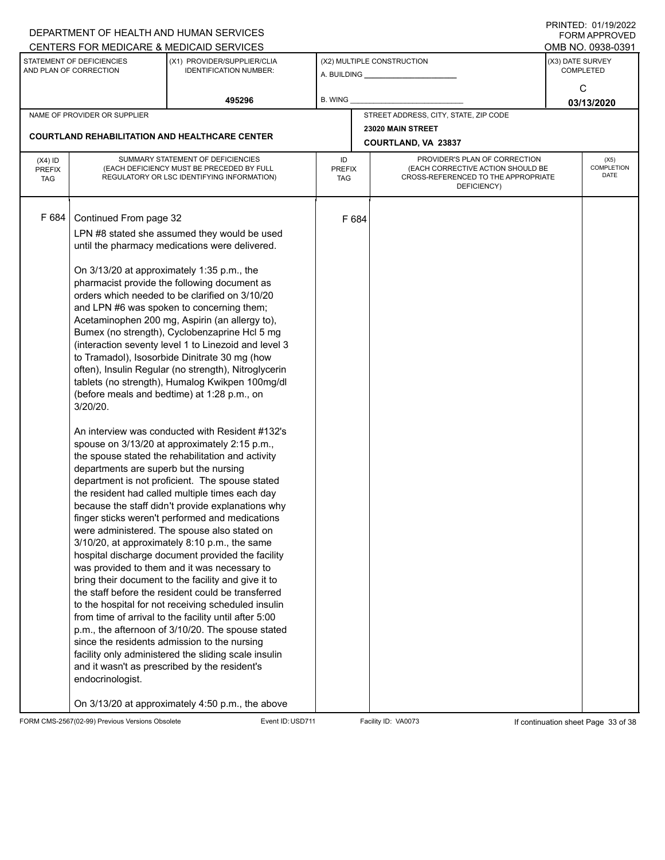|                                          |                                                                                                     | DEPARTMENT OF HEALTH AND HUMAN SERVICES                                                                                                                                                                                                                                                                                                                                                                                                                                                                                                                                                                                                                                                                                                                                                                                                                                                                                                                                                                                                                                                                                                                                                                                                                                                                                                                                                                                                                                                                                                                                                                                                                                                   |                            |       |                                                                                                                          |                  | <b>FORM APPROVED</b>       |
|------------------------------------------|-----------------------------------------------------------------------------------------------------|-------------------------------------------------------------------------------------------------------------------------------------------------------------------------------------------------------------------------------------------------------------------------------------------------------------------------------------------------------------------------------------------------------------------------------------------------------------------------------------------------------------------------------------------------------------------------------------------------------------------------------------------------------------------------------------------------------------------------------------------------------------------------------------------------------------------------------------------------------------------------------------------------------------------------------------------------------------------------------------------------------------------------------------------------------------------------------------------------------------------------------------------------------------------------------------------------------------------------------------------------------------------------------------------------------------------------------------------------------------------------------------------------------------------------------------------------------------------------------------------------------------------------------------------------------------------------------------------------------------------------------------------------------------------------------------------|----------------------------|-------|--------------------------------------------------------------------------------------------------------------------------|------------------|----------------------------|
|                                          |                                                                                                     | CENTERS FOR MEDICARE & MEDICAID SERVICES                                                                                                                                                                                                                                                                                                                                                                                                                                                                                                                                                                                                                                                                                                                                                                                                                                                                                                                                                                                                                                                                                                                                                                                                                                                                                                                                                                                                                                                                                                                                                                                                                                                  |                            |       |                                                                                                                          |                  | OMB NO. 0938-0391          |
|                                          | STATEMENT OF DEFICIENCIES<br>AND PLAN OF CORRECTION                                                 | (X1) PROVIDER/SUPPLIER/CLIA<br>IDENTIFICATION NUMBER:                                                                                                                                                                                                                                                                                                                                                                                                                                                                                                                                                                                                                                                                                                                                                                                                                                                                                                                                                                                                                                                                                                                                                                                                                                                                                                                                                                                                                                                                                                                                                                                                                                     |                            |       | (X2) MULTIPLE CONSTRUCTION                                                                                               | (X3) DATE SURVEY | <b>COMPLETED</b>           |
|                                          |                                                                                                     | 495296                                                                                                                                                                                                                                                                                                                                                                                                                                                                                                                                                                                                                                                                                                                                                                                                                                                                                                                                                                                                                                                                                                                                                                                                                                                                                                                                                                                                                                                                                                                                                                                                                                                                                    | B. WING                    |       |                                                                                                                          |                  | C<br>03/13/2020            |
|                                          | NAME OF PROVIDER OR SUPPLIER                                                                        |                                                                                                                                                                                                                                                                                                                                                                                                                                                                                                                                                                                                                                                                                                                                                                                                                                                                                                                                                                                                                                                                                                                                                                                                                                                                                                                                                                                                                                                                                                                                                                                                                                                                                           |                            |       | STREET ADDRESS, CITY, STATE, ZIP CODE                                                                                    |                  |                            |
|                                          |                                                                                                     | <b>COURTLAND REHABILITATION AND HEALTHCARE CENTER</b>                                                                                                                                                                                                                                                                                                                                                                                                                                                                                                                                                                                                                                                                                                                                                                                                                                                                                                                                                                                                                                                                                                                                                                                                                                                                                                                                                                                                                                                                                                                                                                                                                                     |                            |       | 23020 MAIN STREET                                                                                                        |                  |                            |
|                                          |                                                                                                     |                                                                                                                                                                                                                                                                                                                                                                                                                                                                                                                                                                                                                                                                                                                                                                                                                                                                                                                                                                                                                                                                                                                                                                                                                                                                                                                                                                                                                                                                                                                                                                                                                                                                                           |                            |       | COURTLAND, VA 23837                                                                                                      |                  |                            |
| $(X4)$ ID<br><b>PREFIX</b><br><b>TAG</b> |                                                                                                     | SUMMARY STATEMENT OF DEFICIENCIES<br>(EACH DEFICIENCY MUST BE PRECEDED BY FULL<br>REGULATORY OR LSC IDENTIFYING INFORMATION)                                                                                                                                                                                                                                                                                                                                                                                                                                                                                                                                                                                                                                                                                                                                                                                                                                                                                                                                                                                                                                                                                                                                                                                                                                                                                                                                                                                                                                                                                                                                                              | ID<br><b>PREFIX</b><br>TAG |       | PROVIDER'S PLAN OF CORRECTION<br>(EACH CORRECTIVE ACTION SHOULD BE<br>CROSS-REFERENCED TO THE APPROPRIATE<br>DEFICIENCY) |                  | (X5)<br>COMPLETION<br>DATE |
| F 684                                    | Continued From page 32<br>$3/20/20$ .<br>departments are superb but the nursing<br>endocrinologist. | LPN #8 stated she assumed they would be used<br>until the pharmacy medications were delivered.<br>On 3/13/20 at approximately 1:35 p.m., the<br>pharmacist provide the following document as<br>orders which needed to be clarified on 3/10/20<br>and LPN #6 was spoken to concerning them;<br>Acetaminophen 200 mg, Aspirin (an allergy to),<br>Bumex (no strength), Cyclobenzaprine Hcl 5 mg<br>(interaction seventy level 1 to Linezoid and level 3<br>to Tramadol), Isosorbide Dinitrate 30 mg (how<br>often), Insulin Regular (no strength), Nitroglycerin<br>tablets (no strength), Humalog Kwikpen 100mg/dl<br>(before meals and bedtime) at 1:28 p.m., on<br>An interview was conducted with Resident #132's<br>spouse on 3/13/20 at approximately 2:15 p.m.,<br>the spouse stated the rehabilitation and activity<br>department is not proficient. The spouse stated<br>the resident had called multiple times each day<br>because the staff didn't provide explanations why<br>finger sticks weren't performed and medications<br>were administered. The spouse also stated on<br>3/10/20, at approximately 8:10 p.m., the same<br>hospital discharge document provided the facility<br>was provided to them and it was necessary to<br>bring their document to the facility and give it to<br>the staff before the resident could be transferred<br>to the hospital for not receiving scheduled insulin<br>from time of arrival to the facility until after 5:00<br>p.m., the afternoon of 3/10/20. The spouse stated<br>since the residents admission to the nursing<br>facility only administered the sliding scale insulin<br>and it wasn't as prescribed by the resident's |                            | F 684 |                                                                                                                          |                  |                            |
|                                          |                                                                                                     | On 3/13/20 at approximately 4:50 p.m., the above                                                                                                                                                                                                                                                                                                                                                                                                                                                                                                                                                                                                                                                                                                                                                                                                                                                                                                                                                                                                                                                                                                                                                                                                                                                                                                                                                                                                                                                                                                                                                                                                                                          |                            |       |                                                                                                                          |                  |                            |

FORM CMS-2567(02-99) Previous Versions Obsolete Event ID:USD711 Facility ID: VA0073 If continuation sheet Page 33 of 38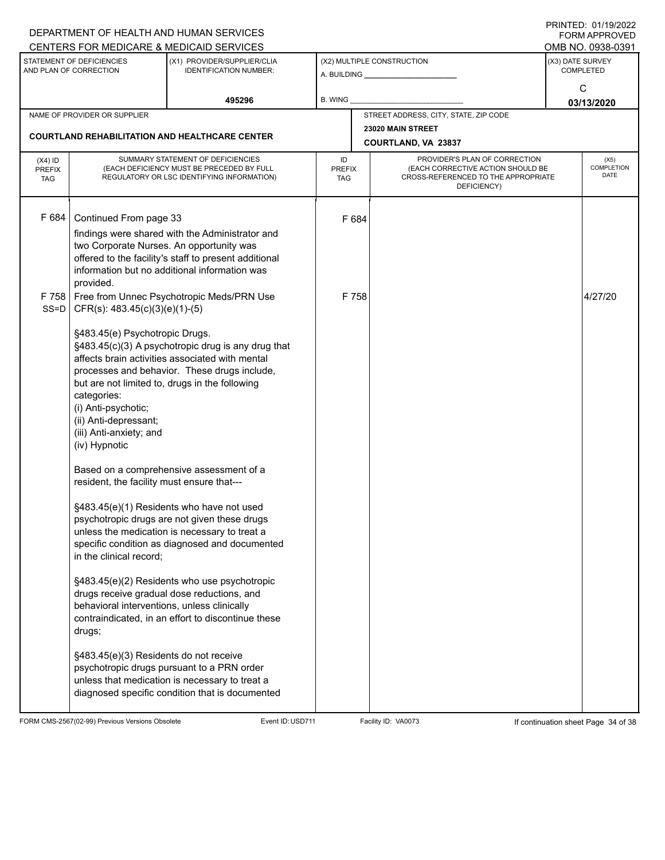|                                          |                                                                                                                                           | DEPARTMENT OF HEALTH AND HUMAN SERVICES                                                                                                                                                                 |                                   |       |                                                                                                                          | I INITILD. 01/19/4944<br><b>FORM APPROVED</b> |
|------------------------------------------|-------------------------------------------------------------------------------------------------------------------------------------------|---------------------------------------------------------------------------------------------------------------------------------------------------------------------------------------------------------|-----------------------------------|-------|--------------------------------------------------------------------------------------------------------------------------|-----------------------------------------------|
|                                          |                                                                                                                                           | CENTERS FOR MEDICARE & MEDICAID SERVICES                                                                                                                                                                |                                   |       |                                                                                                                          | OMB NO. 0938-0391                             |
|                                          | STATEMENT OF DEFICIENCIES<br>AND PLAN OF CORRECTION                                                                                       | (X1) PROVIDER/SUPPLIER/CLIA<br><b>IDENTIFICATION NUMBER:</b>                                                                                                                                            |                                   |       | (X2) MULTIPLE CONSTRUCTION<br>A. BUILDING <b>A. BUILDING</b>                                                             | (X3) DATE SURVEY<br><b>COMPLETED</b>          |
|                                          |                                                                                                                                           | 495296                                                                                                                                                                                                  | <b>B. WING</b>                    |       |                                                                                                                          | C<br>03/13/2020                               |
|                                          | NAME OF PROVIDER OR SUPPLIER                                                                                                              |                                                                                                                                                                                                         |                                   |       | STREET ADDRESS, CITY, STATE, ZIP CODE                                                                                    |                                               |
|                                          |                                                                                                                                           |                                                                                                                                                                                                         |                                   |       | 23020 MAIN STREET                                                                                                        |                                               |
|                                          |                                                                                                                                           | <b>COURTLAND REHABILITATION AND HEALTHCARE CENTER</b>                                                                                                                                                   |                                   |       | COURTLAND, VA 23837                                                                                                      |                                               |
| $(X4)$ ID<br><b>PREFIX</b><br><b>TAG</b> |                                                                                                                                           | SUMMARY STATEMENT OF DEFICIENCIES<br>(EACH DEFICIENCY MUST BE PRECEDED BY FULL<br>REGULATORY OR LSC IDENTIFYING INFORMATION)                                                                            | ID<br><b>PREFIX</b><br><b>TAG</b> |       | PROVIDER'S PLAN OF CORRECTION<br>(EACH CORRECTIVE ACTION SHOULD BE<br>CROSS-REFERENCED TO THE APPROPRIATE<br>DEFICIENCY) | (X5)<br>COMPLETION<br><b>DATE</b>             |
| F 684                                    | Continued From page 33<br>two Corporate Nurses. An opportunity was<br>provided.                                                           | findings were shared with the Administrator and<br>offered to the facility's staff to present additional<br>information but no additional information was                                               |                                   | F 684 |                                                                                                                          |                                               |
| F 758<br>SS=D                            | Free from Unnec Psychotropic Meds/PRN Use<br>$CFR(s): 483.45(c)(3)(e)(1)-(5)$                                                             |                                                                                                                                                                                                         |                                   | F 758 |                                                                                                                          | 4/27/20                                       |
|                                          | §483.45(e) Psychotropic Drugs.<br>categories:<br>(i) Anti-psychotic;<br>(ii) Anti-depressant;<br>(iii) Anti-anxiety; and<br>(iv) Hypnotic | §483.45(c)(3) A psychotropic drug is any drug that<br>affects brain activities associated with mental<br>processes and behavior. These drugs include,<br>but are not limited to, drugs in the following |                                   |       |                                                                                                                          |                                               |
|                                          | resident, the facility must ensure that---                                                                                                | Based on a comprehensive assessment of a                                                                                                                                                                |                                   |       |                                                                                                                          |                                               |
|                                          | in the clinical record;                                                                                                                   | §483.45(e)(1) Residents who have not used<br>psychotropic drugs are not given these drugs<br>unless the medication is necessary to treat a<br>specific condition as diagnosed and documented            |                                   |       |                                                                                                                          |                                               |
|                                          | behavioral interventions, unless clinically<br>drugs;                                                                                     | §483.45(e)(2) Residents who use psychotropic<br>drugs receive gradual dose reductions, and<br>contraindicated, in an effort to discontinue these                                                        |                                   |       |                                                                                                                          |                                               |
|                                          | §483.45(e)(3) Residents do not receive                                                                                                    | psychotropic drugs pursuant to a PRN order<br>unless that medication is necessary to treat a<br>diagnosed specific condition that is documented                                                         |                                   |       |                                                                                                                          |                                               |

FORM CMS-2567(02-99) Previous Versions Obsolete Event ID:USD711 Facility ID: VA0073 If continuation sheet Page 34 of 38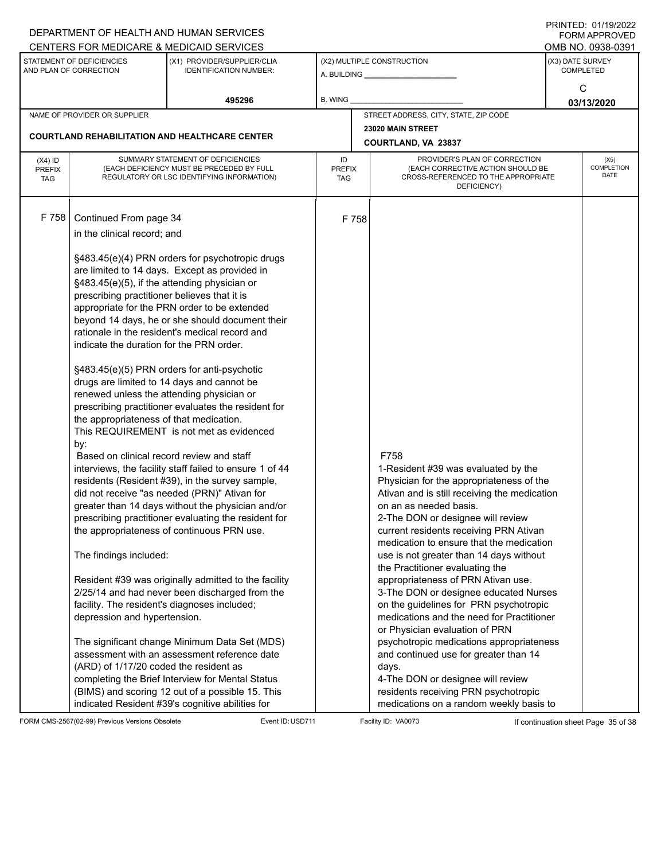|                             |                                              | DEPARTMENT OF HEALTH AND HUMAN SERVICES                                                                |                      |       |                                                                             |                  | FORM APPROVED      |  |  |
|-----------------------------|----------------------------------------------|--------------------------------------------------------------------------------------------------------|----------------------|-------|-----------------------------------------------------------------------------|------------------|--------------------|--|--|
|                             |                                              | CENTERS FOR MEDICARE & MEDICAID SERVICES                                                               |                      |       |                                                                             |                  | OMB NO. 0938-0391  |  |  |
|                             | STATEMENT OF DEFICIENCIES                    | (X1) PROVIDER/SUPPLIER/CLIA                                                                            |                      |       | (X2) MULTIPLE CONSTRUCTION                                                  | (X3) DATE SURVEY |                    |  |  |
|                             | AND PLAN OF CORRECTION                       | <b>IDENTIFICATION NUMBER:</b>                                                                          |                      |       | A. BUILDING <b>A.</b> BUILDING                                              |                  | <b>COMPLETED</b>   |  |  |
|                             |                                              |                                                                                                        |                      |       |                                                                             |                  | C                  |  |  |
|                             |                                              | 495296                                                                                                 | B. WING              |       |                                                                             |                  | 03/13/2020         |  |  |
|                             | NAME OF PROVIDER OR SUPPLIER                 |                                                                                                        |                      |       | STREET ADDRESS, CITY, STATE, ZIP CODE                                       |                  |                    |  |  |
|                             |                                              | <b>COURTLAND REHABILITATION AND HEALTHCARE CENTER</b>                                                  |                      |       | 23020 MAIN STREET                                                           |                  |                    |  |  |
|                             |                                              |                                                                                                        |                      |       | COURTLAND, VA 23837                                                         |                  |                    |  |  |
| $(X4)$ ID                   |                                              | SUMMARY STATEMENT OF DEFICIENCIES                                                                      | ID                   |       | PROVIDER'S PLAN OF CORRECTION                                               |                  | (X5)               |  |  |
| <b>PREFIX</b><br><b>TAG</b> |                                              | (EACH DEFICIENCY MUST BE PRECEDED BY FULL<br>REGULATORY OR LSC IDENTIFYING INFORMATION)                | <b>PREFIX</b><br>TAG |       | (EACH CORRECTIVE ACTION SHOULD BE<br>CROSS-REFERENCED TO THE APPROPRIATE    |                  | COMPLETION<br>DATE |  |  |
|                             |                                              |                                                                                                        |                      |       | DEFICIENCY)                                                                 |                  |                    |  |  |
|                             |                                              |                                                                                                        |                      |       |                                                                             |                  |                    |  |  |
| F 758                       | Continued From page 34                       |                                                                                                        |                      | F 758 |                                                                             |                  |                    |  |  |
|                             | in the clinical record; and                  |                                                                                                        |                      |       |                                                                             |                  |                    |  |  |
|                             |                                              |                                                                                                        |                      |       |                                                                             |                  |                    |  |  |
|                             |                                              | §483.45(e)(4) PRN orders for psychotropic drugs                                                        |                      |       |                                                                             |                  |                    |  |  |
|                             |                                              | are limited to 14 days. Except as provided in                                                          |                      |       |                                                                             |                  |                    |  |  |
|                             | §483.45(e)(5), if the attending physician or |                                                                                                        |                      |       |                                                                             |                  |                    |  |  |
|                             | prescribing practitioner believes that it is |                                                                                                        |                      |       |                                                                             |                  |                    |  |  |
|                             |                                              | appropriate for the PRN order to be extended                                                           |                      |       |                                                                             |                  |                    |  |  |
|                             |                                              | beyond 14 days, he or she should document their                                                        |                      |       |                                                                             |                  |                    |  |  |
|                             | indicate the duration for the PRN order.     | rationale in the resident's medical record and                                                         |                      |       |                                                                             |                  |                    |  |  |
|                             |                                              |                                                                                                        |                      |       |                                                                             |                  |                    |  |  |
|                             |                                              | §483.45(e)(5) PRN orders for anti-psychotic                                                            |                      |       |                                                                             |                  |                    |  |  |
|                             |                                              | drugs are limited to 14 days and cannot be                                                             |                      |       |                                                                             |                  |                    |  |  |
|                             | renewed unless the attending physician or    |                                                                                                        |                      |       |                                                                             |                  |                    |  |  |
|                             |                                              | prescribing practitioner evaluates the resident for                                                    |                      |       |                                                                             |                  |                    |  |  |
|                             | the appropriateness of that medication.      |                                                                                                        |                      |       |                                                                             |                  |                    |  |  |
|                             |                                              | This REQUIREMENT is not met as evidenced                                                               |                      |       |                                                                             |                  |                    |  |  |
|                             | by:                                          |                                                                                                        |                      |       | F758                                                                        |                  |                    |  |  |
|                             | Based on clinical record review and staff    | interviews, the facility staff failed to ensure 1 of 44                                                |                      |       | 1-Resident #39 was evaluated by the                                         |                  |                    |  |  |
|                             |                                              | residents (Resident #39), in the survey sample,                                                        |                      |       | Physician for the appropriateness of the                                    |                  |                    |  |  |
|                             |                                              | did not receive "as needed (PRN)" Ativan for                                                           |                      |       | Ativan and is still receiving the medication                                |                  |                    |  |  |
|                             |                                              | greater than 14 days without the physician and/or                                                      |                      |       | on an as needed basis.                                                      |                  |                    |  |  |
|                             |                                              | prescribing practitioner evaluating the resident for                                                   |                      |       | 2-The DON or designee will review                                           |                  |                    |  |  |
|                             |                                              | the appropriateness of continuous PRN use.                                                             |                      |       | current residents receiving PRN Ativan                                      |                  |                    |  |  |
|                             |                                              |                                                                                                        |                      |       | medication to ensure that the medication                                    |                  |                    |  |  |
|                             | The findings included:                       |                                                                                                        |                      |       | use is not greater than 14 days without                                     |                  |                    |  |  |
|                             |                                              |                                                                                                        |                      |       | the Practitioner evaluating the                                             |                  |                    |  |  |
|                             |                                              | Resident #39 was originally admitted to the facility<br>2/25/14 and had never been discharged from the |                      |       | appropriateness of PRN Ativan use.<br>3-The DON or designee educated Nurses |                  |                    |  |  |
|                             | facility. The resident's diagnoses included; |                                                                                                        |                      |       | on the guidelines for PRN psychotropic                                      |                  |                    |  |  |
|                             | depression and hypertension.                 |                                                                                                        |                      |       | medications and the need for Practitioner                                   |                  |                    |  |  |
|                             |                                              |                                                                                                        |                      |       | or Physician evaluation of PRN                                              |                  |                    |  |  |
|                             |                                              | The significant change Minimum Data Set (MDS)                                                          |                      |       | psychotropic medications appropriateness                                    |                  |                    |  |  |
|                             |                                              | assessment with an assessment reference date                                                           |                      |       | and continued use for greater than 14                                       |                  |                    |  |  |
|                             | (ARD) of 1/17/20 coded the resident as       |                                                                                                        |                      |       | days.                                                                       |                  |                    |  |  |
|                             |                                              | completing the Brief Interview for Mental Status                                                       |                      |       | 4-The DON or designee will review                                           |                  |                    |  |  |
|                             |                                              | (BIMS) and scoring 12 out of a possible 15. This                                                       |                      |       | residents receiving PRN psychotropic                                        |                  |                    |  |  |
|                             |                                              | indicated Resident #39's cognitive abilities for                                                       |                      |       | medications on a random weekly basis to                                     |                  |                    |  |  |

FORM CMS-2567(02-99) Previous Versions Obsolete Event ID:USD711 Facility ID: VA0073 If continuation sheet Page 35 of 38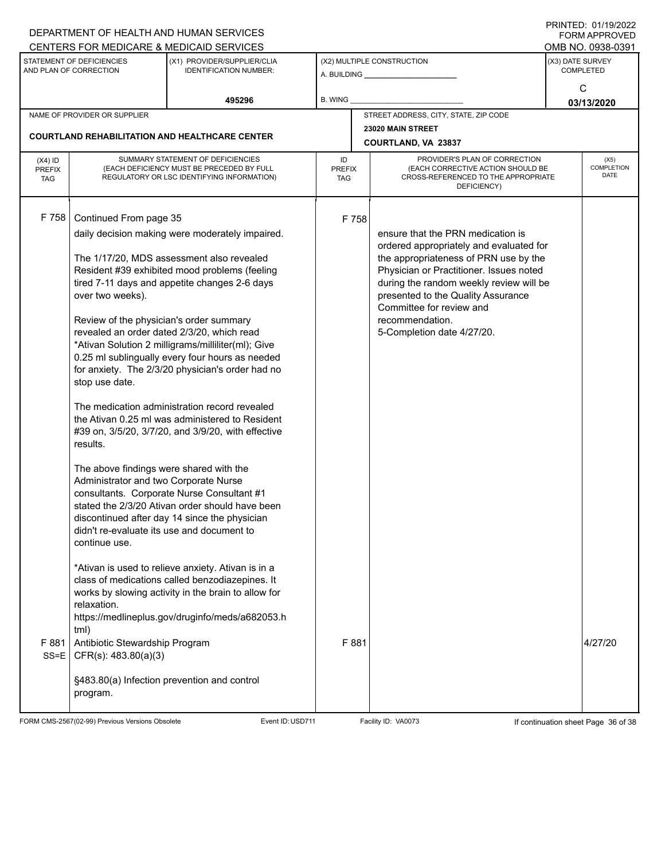|                             |                                                     | DEPARTMENT OF HEALTH AND HUMAN SERVICES                                        |                     |                   |                                                                    |                  | <b>FORM APPROVED</b>      |
|-----------------------------|-----------------------------------------------------|--------------------------------------------------------------------------------|---------------------|-------------------|--------------------------------------------------------------------|------------------|---------------------------|
|                             |                                                     | CENTERS FOR MEDICARE & MEDICAID SERVICES                                       |                     |                   |                                                                    |                  | OMB NO. 0938-0391         |
|                             | STATEMENT OF DEFICIENCIES<br>AND PLAN OF CORRECTION | (X1) PROVIDER/SUPPLIER/CLIA<br><b>IDENTIFICATION NUMBER:</b>                   |                     |                   | (X2) MULTIPLE CONSTRUCTION                                         | (X3) DATE SURVEY | <b>COMPLETED</b>          |
|                             |                                                     |                                                                                |                     |                   |                                                                    |                  |                           |
|                             |                                                     | 495296                                                                         | B. WING             |                   |                                                                    |                  | C                         |
|                             |                                                     |                                                                                |                     |                   |                                                                    |                  | 03/13/2020                |
|                             | NAME OF PROVIDER OR SUPPLIER                        |                                                                                |                     |                   | STREET ADDRESS, CITY, STATE, ZIP CODE                              |                  |                           |
|                             |                                                     | <b>COURTLAND REHABILITATION AND HEALTHCARE CENTER</b>                          |                     | 23020 MAIN STREET |                                                                    |                  |                           |
|                             |                                                     |                                                                                |                     |                   | COURTLAND, VA 23837                                                |                  |                           |
| $(X4)$ ID                   |                                                     | SUMMARY STATEMENT OF DEFICIENCIES<br>(EACH DEFICIENCY MUST BE PRECEDED BY FULL | ID<br><b>PREFIX</b> |                   | PROVIDER'S PLAN OF CORRECTION<br>(EACH CORRECTIVE ACTION SHOULD BE |                  | (X5)<br><b>COMPLETION</b> |
| <b>PREFIX</b><br><b>TAG</b> |                                                     | REGULATORY OR LSC IDENTIFYING INFORMATION)                                     | TAG                 |                   | CROSS-REFERENCED TO THE APPROPRIATE                                |                  | DATE                      |
|                             |                                                     |                                                                                |                     |                   | DEFICIENCY)                                                        |                  |                           |
|                             |                                                     |                                                                                |                     |                   |                                                                    |                  |                           |
| F 758                       | Continued From page 35                              |                                                                                |                     | F 758             |                                                                    |                  |                           |
|                             |                                                     | daily decision making were moderately impaired.                                |                     |                   | ensure that the PRN medication is                                  |                  |                           |
|                             |                                                     |                                                                                |                     |                   | ordered appropriately and evaluated for                            |                  |                           |
|                             |                                                     | The 1/17/20, MDS assessment also revealed                                      |                     |                   | the appropriateness of PRN use by the                              |                  |                           |
|                             |                                                     | Resident #39 exhibited mood problems (feeling                                  |                     |                   | Physician or Practitioner. Issues noted                            |                  |                           |
|                             |                                                     | tired 7-11 days and appetite changes 2-6 days                                  |                     |                   | during the random weekly review will be                            |                  |                           |
|                             | over two weeks).                                    |                                                                                |                     |                   | presented to the Quality Assurance<br>Committee for review and     |                  |                           |
|                             | Review of the physician's order summary             |                                                                                |                     |                   | recommendation.                                                    |                  |                           |
|                             |                                                     | revealed an order dated 2/3/20, which read                                     |                     |                   | 5-Completion date 4/27/20.                                         |                  |                           |
|                             |                                                     | *Ativan Solution 2 milligrams/milliliter(ml); Give                             |                     |                   |                                                                    |                  |                           |
|                             |                                                     | 0.25 ml sublingually every four hours as needed                                |                     |                   |                                                                    |                  |                           |
|                             |                                                     | for anxiety. The 2/3/20 physician's order had no                               |                     |                   |                                                                    |                  |                           |
|                             | stop use date.                                      |                                                                                |                     |                   |                                                                    |                  |                           |
|                             |                                                     | The medication administration record revealed                                  |                     |                   |                                                                    |                  |                           |
|                             |                                                     | the Ativan 0.25 ml was administered to Resident                                |                     |                   |                                                                    |                  |                           |
|                             |                                                     | #39 on, 3/5/20, 3/7/20, and 3/9/20, with effective                             |                     |                   |                                                                    |                  |                           |
|                             | results.                                            |                                                                                |                     |                   |                                                                    |                  |                           |
|                             | The above findings were shared with the             |                                                                                |                     |                   |                                                                    |                  |                           |
|                             | Administrator and two Corporate Nurse               |                                                                                |                     |                   |                                                                    |                  |                           |
|                             |                                                     | consultants. Corporate Nurse Consultant #1                                     |                     |                   |                                                                    |                  |                           |
|                             |                                                     | stated the 2/3/20 Ativan order should have been                                |                     |                   |                                                                    |                  |                           |
|                             | didn't re-evaluate its use and document to          | discontinued after day 14 since the physician                                  |                     |                   |                                                                    |                  |                           |
|                             | continue use.                                       |                                                                                |                     |                   |                                                                    |                  |                           |
|                             |                                                     |                                                                                |                     |                   |                                                                    |                  |                           |
|                             |                                                     | *Ativan is used to relieve anxiety. Ativan is in a                             |                     |                   |                                                                    |                  |                           |
|                             |                                                     | class of medications called benzodiazepines. It                                |                     |                   |                                                                    |                  |                           |
|                             | relaxation.                                         | works by slowing activity in the brain to allow for                            |                     |                   |                                                                    |                  |                           |
|                             |                                                     | https://medlineplus.gov/druginfo/meds/a682053.h                                |                     |                   |                                                                    |                  |                           |
|                             | tml)                                                |                                                                                |                     |                   |                                                                    |                  |                           |
| F 881                       | Antibiotic Stewardship Program                      |                                                                                |                     | F 881             |                                                                    |                  | 4/27/20                   |
| $SS = E$                    | CFR(s): 483.80(a)(3)                                |                                                                                |                     |                   |                                                                    |                  |                           |
|                             |                                                     |                                                                                |                     |                   |                                                                    |                  |                           |
|                             |                                                     | §483.80(a) Infection prevention and control                                    |                     |                   |                                                                    |                  |                           |
|                             | program.                                            |                                                                                |                     |                   |                                                                    |                  |                           |
|                             |                                                     |                                                                                |                     |                   |                                                                    |                  |                           |

FORM CMS-2567(02-99) Previous Versions Obsolete Event ID:USD711 Facility ID: VA0073 If continuation sheet Page 36 of 38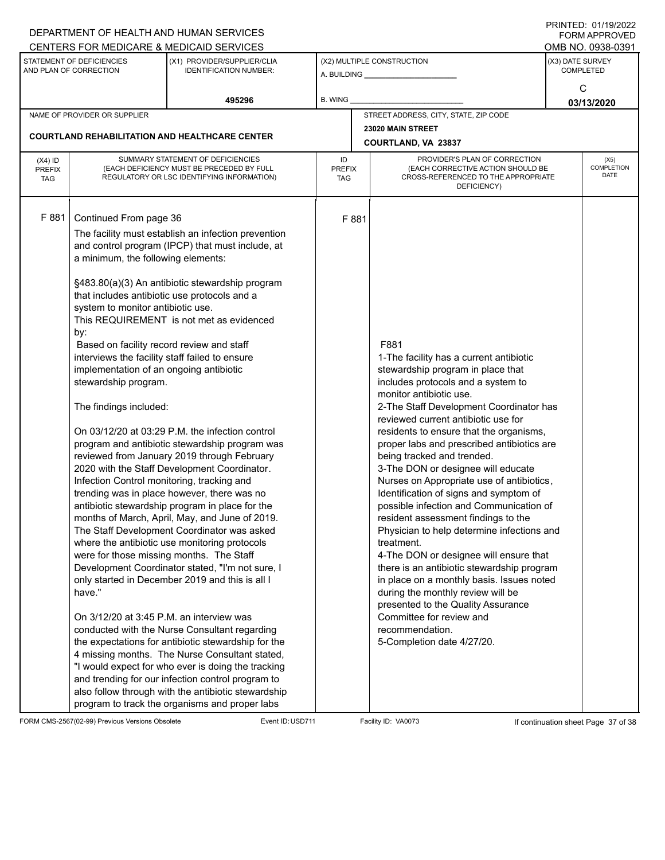|                                                     |                                                                                                                                                                                                                                                                                                                                                                                                                                                                                                                                                                                                                                                                                                                                                                                                                                                                                                                                                                                                                                                                                                                                                                                                                                                                                                                                                                                                                                                                                                                                                                                                                                                             | DEPARTMENT OF HEALTH AND HUMAN SERVICES                      |                            |       |                                                                                                                                                                                                                                                                                                                                                                                                                                                                                                                                                                                                                                                                                                                                                                                                                                                                                                                                        |                                      | 11111111122.011111121222<br><b>FORM APPROVED</b> |  |
|-----------------------------------------------------|-------------------------------------------------------------------------------------------------------------------------------------------------------------------------------------------------------------------------------------------------------------------------------------------------------------------------------------------------------------------------------------------------------------------------------------------------------------------------------------------------------------------------------------------------------------------------------------------------------------------------------------------------------------------------------------------------------------------------------------------------------------------------------------------------------------------------------------------------------------------------------------------------------------------------------------------------------------------------------------------------------------------------------------------------------------------------------------------------------------------------------------------------------------------------------------------------------------------------------------------------------------------------------------------------------------------------------------------------------------------------------------------------------------------------------------------------------------------------------------------------------------------------------------------------------------------------------------------------------------------------------------------------------------|--------------------------------------------------------------|----------------------------|-------|----------------------------------------------------------------------------------------------------------------------------------------------------------------------------------------------------------------------------------------------------------------------------------------------------------------------------------------------------------------------------------------------------------------------------------------------------------------------------------------------------------------------------------------------------------------------------------------------------------------------------------------------------------------------------------------------------------------------------------------------------------------------------------------------------------------------------------------------------------------------------------------------------------------------------------------|--------------------------------------|--------------------------------------------------|--|
|                                                     | CENTERS FOR MEDICARE & MEDICAID SERVICES                                                                                                                                                                                                                                                                                                                                                                                                                                                                                                                                                                                                                                                                                                                                                                                                                                                                                                                                                                                                                                                                                                                                                                                                                                                                                                                                                                                                                                                                                                                                                                                                                    |                                                              |                            |       |                                                                                                                                                                                                                                                                                                                                                                                                                                                                                                                                                                                                                                                                                                                                                                                                                                                                                                                                        |                                      | OMB NO. 0938-0391                                |  |
| STATEMENT OF DEFICIENCIES<br>AND PLAN OF CORRECTION |                                                                                                                                                                                                                                                                                                                                                                                                                                                                                                                                                                                                                                                                                                                                                                                                                                                                                                                                                                                                                                                                                                                                                                                                                                                                                                                                                                                                                                                                                                                                                                                                                                                             | (X1) PROVIDER/SUPPLIER/CLIA<br><b>IDENTIFICATION NUMBER:</b> | (X2) MULTIPLE CONSTRUCTION |       |                                                                                                                                                                                                                                                                                                                                                                                                                                                                                                                                                                                                                                                                                                                                                                                                                                                                                                                                        | (X3) DATE SURVEY<br><b>COMPLETED</b> |                                                  |  |
|                                                     |                                                                                                                                                                                                                                                                                                                                                                                                                                                                                                                                                                                                                                                                                                                                                                                                                                                                                                                                                                                                                                                                                                                                                                                                                                                                                                                                                                                                                                                                                                                                                                                                                                                             | 495296                                                       | B. WING                    |       |                                                                                                                                                                                                                                                                                                                                                                                                                                                                                                                                                                                                                                                                                                                                                                                                                                                                                                                                        | С<br>03/13/2020                      |                                                  |  |
|                                                     | NAME OF PROVIDER OR SUPPLIER                                                                                                                                                                                                                                                                                                                                                                                                                                                                                                                                                                                                                                                                                                                                                                                                                                                                                                                                                                                                                                                                                                                                                                                                                                                                                                                                                                                                                                                                                                                                                                                                                                |                                                              |                            |       | STREET ADDRESS, CITY, STATE, ZIP CODE                                                                                                                                                                                                                                                                                                                                                                                                                                                                                                                                                                                                                                                                                                                                                                                                                                                                                                  |                                      |                                                  |  |
|                                                     |                                                                                                                                                                                                                                                                                                                                                                                                                                                                                                                                                                                                                                                                                                                                                                                                                                                                                                                                                                                                                                                                                                                                                                                                                                                                                                                                                                                                                                                                                                                                                                                                                                                             |                                                              |                            |       | 23020 MAIN STREET                                                                                                                                                                                                                                                                                                                                                                                                                                                                                                                                                                                                                                                                                                                                                                                                                                                                                                                      |                                      |                                                  |  |
|                                                     | <b>COURTLAND REHABILITATION AND HEALTHCARE CENTER</b>                                                                                                                                                                                                                                                                                                                                                                                                                                                                                                                                                                                                                                                                                                                                                                                                                                                                                                                                                                                                                                                                                                                                                                                                                                                                                                                                                                                                                                                                                                                                                                                                       |                                                              |                            |       | COURTLAND, VA 23837                                                                                                                                                                                                                                                                                                                                                                                                                                                                                                                                                                                                                                                                                                                                                                                                                                                                                                                    |                                      |                                                  |  |
| $(X4)$ ID<br><b>PREFIX</b><br><b>TAG</b>            | SUMMARY STATEMENT OF DEFICIENCIES<br>(EACH DEFICIENCY MUST BE PRECEDED BY FULL<br>REGULATORY OR LSC IDENTIFYING INFORMATION)                                                                                                                                                                                                                                                                                                                                                                                                                                                                                                                                                                                                                                                                                                                                                                                                                                                                                                                                                                                                                                                                                                                                                                                                                                                                                                                                                                                                                                                                                                                                |                                                              | ID<br><b>PREFIX</b><br>TAG |       | PROVIDER'S PLAN OF CORRECTION<br>(EACH CORRECTIVE ACTION SHOULD BE<br>CROSS-REFERENCED TO THE APPROPRIATE<br>DEFICIENCY)                                                                                                                                                                                                                                                                                                                                                                                                                                                                                                                                                                                                                                                                                                                                                                                                               |                                      | (X5)<br><b>COMPLETION</b><br><b>DATE</b>         |  |
| F 881                                               | Continued From page 36<br>The facility must establish an infection prevention<br>and control program (IPCP) that must include, at<br>a minimum, the following elements:<br>§483.80(a)(3) An antibiotic stewardship program<br>that includes antibiotic use protocols and a<br>system to monitor antibiotic use.<br>This REQUIREMENT is not met as evidenced<br>by:<br>Based on facility record review and staff<br>interviews the facility staff failed to ensure<br>implementation of an ongoing antibiotic<br>stewardship program.<br>The findings included:<br>On 03/12/20 at 03:29 P.M. the infection control<br>program and antibiotic stewardship program was<br>reviewed from January 2019 through February<br>2020 with the Staff Development Coordinator.<br>Infection Control monitoring, tracking and<br>trending was in place however, there was no<br>antibiotic stewardship program in place for the<br>months of March, April, May, and June of 2019.<br>The Staff Development Coordinator was asked<br>where the antibiotic use monitoring protocols<br>were for those missing months. The Staff<br>Development Coordinator stated, "I'm not sure, I<br>only started in December 2019 and this is all I<br>have."<br>On 3/12/20 at 3:45 P.M. an interview was<br>conducted with the Nurse Consultant regarding<br>the expectations for antibiotic stewardship for the<br>4 missing months. The Nurse Consultant stated,<br>"I would expect for who ever is doing the tracking<br>and trending for our infection control program to<br>also follow through with the antibiotic stewardship<br>program to track the organisms and proper labs |                                                              |                            | F 881 | F881<br>1-The facility has a current antibiotic<br>stewardship program in place that<br>includes protocols and a system to<br>monitor antibiotic use.<br>2-The Staff Development Coordinator has<br>reviewed current antibiotic use for<br>residents to ensure that the organisms,<br>proper labs and prescribed antibiotics are<br>being tracked and trended.<br>3-The DON or designee will educate<br>Nurses on Appropriate use of antibiotics,<br>Identification of signs and symptom of<br>possible infection and Communication of<br>resident assessment findings to the<br>Physician to help determine infections and<br>treatment.<br>4-The DON or designee will ensure that<br>there is an antibiotic stewardship program<br>in place on a monthly basis. Issues noted<br>during the monthly review will be<br>presented to the Quality Assurance<br>Committee for review and<br>recommendation.<br>5-Completion date 4/27/20. |                                      |                                                  |  |

FORM CMS-2567(02-99) Previous Versions Obsolete Event ID:USD711 Facility ID: VA0073 If continuation sheet Page 37 of 38